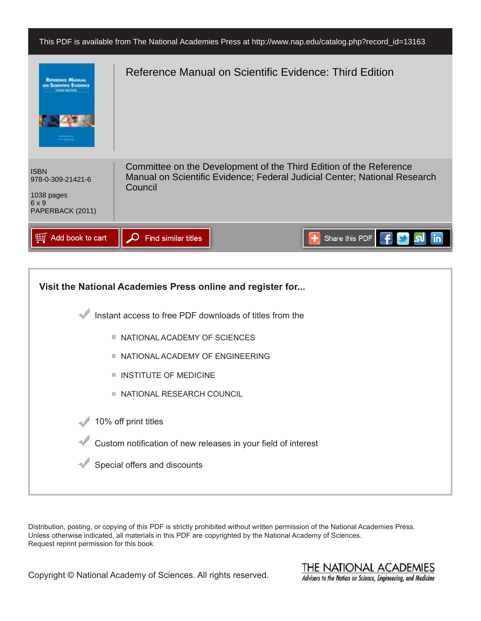| This PDF is available from The National Academies Press at http://www.nap.edu/catalog.php?record_id=13163 |                                                                                                                                                            |  |  |
|-----------------------------------------------------------------------------------------------------------|------------------------------------------------------------------------------------------------------------------------------------------------------------|--|--|
| <b>RIFIBUNCE MANUAL</b><br><b>INTIRE EVISING</b>                                                          | Reference Manual on Scientific Evidence: Third Edition                                                                                                     |  |  |
| <b>ISBN</b><br>978-0-309-21421-6<br>1038 pages<br>6 x 9<br>PAPERBACK (2011)                               | Committee on the Development of the Third Edition of the Reference<br>Manual on Scientific Evidence; Federal Judicial Center; National Research<br>Council |  |  |
| 鬥<br>Add book to cart                                                                                     | Share this PDF<br>Find similar titles                                                                                                                      |  |  |

| Visit the National Academies Press online and register for    |  |  |
|---------------------------------------------------------------|--|--|
| Instant access to free PDF downloads of titles from the       |  |  |
| $\blacksquare$ NATIONAL ACADEMY OF SCIENCES                   |  |  |
| ■ NATIONAL ACADEMY OF ENGINEERING                             |  |  |
| ■ INSTITUTE OF MEDICINE                                       |  |  |
| ■ NATIONAL RESEARCH COUNCIL                                   |  |  |
| 10% off print titles                                          |  |  |
| Custom notification of new releases in your field of interest |  |  |
| Special offers and discounts                                  |  |  |
|                                                               |  |  |
|                                                               |  |  |

Distribution, posting, or copying of this PDF is strictly prohibited without written permission of the National Academies Press. Unless otherwise indicated, all materials in this PDF are copyrighted by the National Academy of Sciences. [Request reprint permission for this book](http://www.nap.edu/reprint_permission.html)

Copyright © National Academy of Sciences. All rights reserved.

THE NATIONAL ACADEMIES Advisers to the Nation on Science, Engineering, and Medicine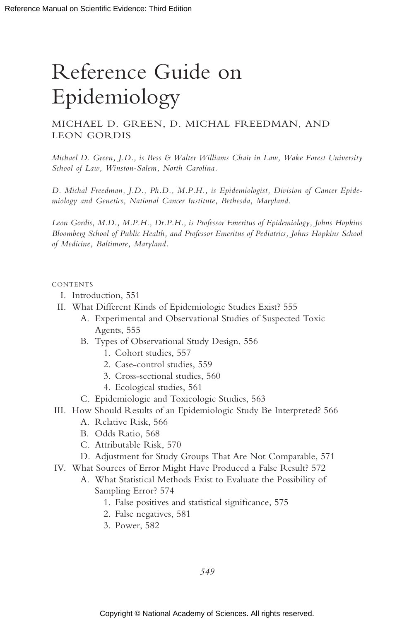### MICHAEL D. GREEN, D. MICHAL FREEDMAN, AND LEON GORDIS

*Michael D. Green, J.D., is Bess & Walter Williams Chair in Law, Wake Forest University School of Law, Winston-Salem, North Carolina.* 

*D. Michal Freedman, J.D., Ph.D., M.P.H., is Epidemiologist, Division of Cancer Epidemiology and Genetics, National Cancer Institute, Bethesda, Maryland.* 

*Leon Gordis, M.D., M.P.H., Dr.P.H., is Professor Emeritus of Epidemiology, Johns Hopkins Bloomberg School of Public Health, and Professor Emeritus of Pediatrics, Johns Hopkins School of Medicine, Baltimore, Maryland.* 

### **CONTENTS**

- I. Introduction, 551
- II. What Different Kinds of Epidemiologic Studies Exist? 555
	- A. Experimental and Observational Studies of Suspected Toxic Agents, 555
	- B. Types of Observational Study Design, 556
		- 1. Cohort studies, 557
		- 2. Case-control studies, 559
		- 3. Cross-sectional studies, 560
		- 4. Ecological studies, 561
	- C. Epidemiologic and Toxicologic Studies, 563
- III. How Should Results of an Epidemiologic Study Be Interpreted? 566
	- A. Relative Risk, 566
	- B. Odds Ratio, 568
	- C. Attributable Risk, 570
	- D. Adjustment for Study Groups That Are Not Comparable, 571
- IV. What Sources of Error Might Have Produced a False Result? 572
	- A. What Statistical Methods Exist to Evaluate the Possibility of Sampling Error? 574
		- 1. False positives and statistical significance, 575
		- 2. False negatives, 581
		- 3. Power, 582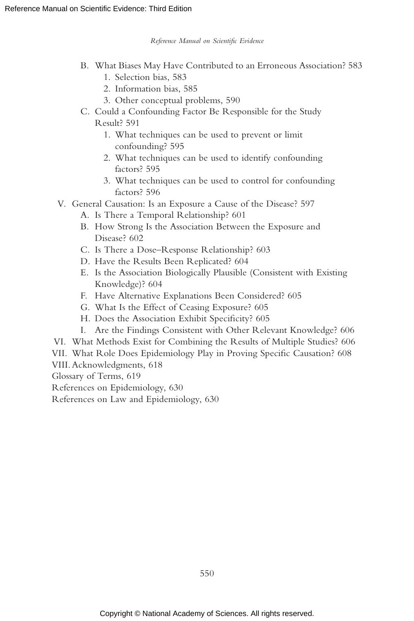- B. What Biases May Have Contributed to an Erroneous Association? 583
	- 1. Selection bias, 583
	- 2. Information bias, 585
	- 3. Other conceptual problems, 590
- C. Could a Confounding Factor Be Responsible for the Study Result? 591
	- 1. What techniques can be used to prevent or limit confounding? 595
	- 2. What techniques can be used to identify confounding factors? 595
	- 3. What techniques can be used to control for confounding factors? 596
- V. General Causation: Is an Exposure a Cause of the Disease? 597
	- A. Is There a Temporal Relationship? 601
	- B. How Strong Is the Association Between the Exposure and Disease? 602
	- C. Is There a Dose–Response Relationship? 603
	- D. Have the Results Been Replicated? 604
	- E. Is the Association Biologically Plausible (Consistent with Existing Knowledge)? 604
	- F. Have Alternative Explanations Been Considered? 605
	- G. What Is the Effect of Ceasing Exposure? 605
	- H. Does the Association Exhibit Specificity? 605
	- I. Are the Findings Consistent with Other Relevant Knowledge? 606
- VI. What Methods Exist for Combining the Results of Multiple Studies? 606
- VII. What Role Does Epidemiology Play in Proving Specific Causation? 608
- VIII.Acknowledgments, 618

Glossary of Terms, 619

References on Epidemiology, 630

References on Law and Epidemiology, 630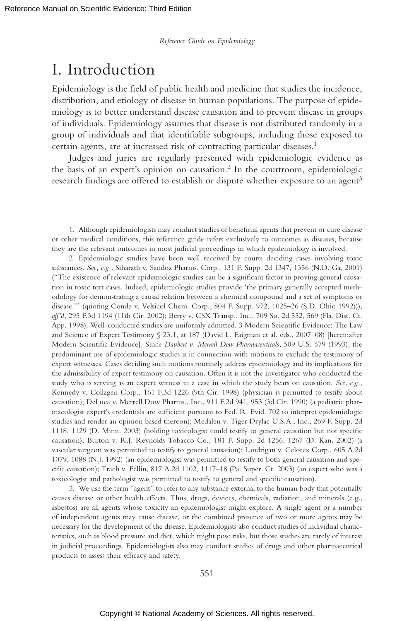## I. Introduction

Epidemiology is the field of public health and medicine that studies the incidence, distribution, and etiology of disease in human populations. The purpose of epidemiology is to better understand disease causation and to prevent disease in groups of individuals. Epidemiology assumes that disease is not distributed randomly in a group of individuals and that identifiable subgroups, including those exposed to certain agents, are at increased risk of contracting particular diseases.1

Judges and juries are regularly presented with epidemiologic evidence as the basis of an expert's opinion on causation.2 In the courtroom, epidemiologic research findings are offered to establish or dispute whether exposure to an agent<sup>3</sup>

1. Although epidemiologists may conduct studies of beneficial agents that prevent or cure disease or other medical conditions, this reference guide refers exclusively to outcomes as diseases, because they are the relevant outcomes in most judicial proceedings in which epidemiology is involved.

2. Epidemiologic studies have been well received by courts deciding cases involving toxic substances. *See, e.g.,* Siharath v. Sandoz Pharms. Corp., 131 F. Supp. 2d 1347, 1356 (N.D. Ga. 2001) ("The existence of relevant epidemiologic studies can be a significant factor in proving general causation in toxic tort cases. Indeed, epidemiologic studies provide 'the primary generally accepted methodology for demonstrating a causal relation between a chemical compound and a set of symptoms or disease.'" (quoting Conde v. Velsicol Chem. Corp., 804 F. Supp. 972, 1025–26 (S.D. Ohio 1992))), *aff'd,* 295 F.3d 1194 (11th Cir. 2002); Berry v. CSX Transp., Inc., 709 So. 2d 552, 569 (Fla. Dist. Ct. App. 1998). Well-conducted studies are uniformly admitted. 3 Modern Scientific Evidence: The Law and Science of Expert Testimony § 23.1, at 187 (David L. Faigman et al. eds., 2007–08) [hereinafter Modern Scientific Evidence]. Since *Daubert v. Merrell Dow Pharmaceuticals,* 509 U.S. 579 (1993), the predominant use of epidemiologic studies is in connection with motions to exclude the testimony of expert witnesses. Cases deciding such motions routinely address epidemiology and its implications for the admissibility of expert testimony on causation. Often it is not the investigator who conducted the study who is serving as an expert witness in a case in which the study bears on causation. *See, e.g.,*  Kennedy v. Collagen Corp., 161 F.3d 1226 (9th Cir. 1998) (physician is permitted to testify about causation); DeLuca v. Merrell Dow Pharms., Inc., 911 F.2d 941, 953 (3d Cir. 1990) (a pediatric pharmacologist expert's credentials are sufficient pursuant to Fed. R. Evid. 702 to interpret epidemiologic studies and render an opinion based thereon); Medalen v. Tiger Drylac U.S.A., Inc., 269 F. Supp. 2d 1118, 1129 (D. Minn. 2003) (holding toxicologist could testify to general causation but not specific causation); Burton v. R.J. Reynolds Tobacco Co., 181 F. Supp. 2d 1256, 1267 (D. Kan. 2002) (a vascular surgeon was permitted to testify to general causation); Landrigan v. Celotex Corp., 605 A.2d 1079, 1088 (N.J. 1992) (an epidemiologist was permitted to testify to both general causation and specific causation); Trach v. Fellin, 817 A.2d 1102, 1117–18 (Pa. Super. Ct. 2003) (an expert who was a toxicologist and pathologist was permitted to testify to general and specific causation).

3. We use the term "agent" to refer to any substance external to the human body that potentially causes disease or other health effects. Thus, drugs, devices, chemicals, radiation, and minerals (e.g., asbestos) are all agents whose toxicity an epidemiologist might explore. A single agent or a number of independent agents may cause disease, or the combined presence of two or more agents may be necessary for the development of the disease. Epidemiologists also conduct studies of individual characteristics, such as blood pressure and diet, which might pose risks, but those studies are rarely of interest in judicial proceedings. Epidemiologists also may conduct studies of drugs and other pharmaceutical products to assess their efficacy and safety.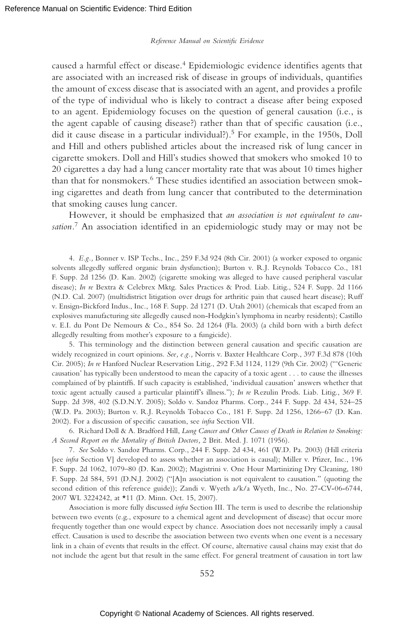caused a harmful effect or disease.4 Epidemiologic evidence identifies agents that are associated with an increased risk of disease in groups of individuals, quantifies the amount of excess disease that is associated with an agent, and provides a profile of the type of individual who is likely to contract a disease after being exposed to an agent. Epidemiology focuses on the question of general causation (i.e., is the agent capable of causing disease?) rather than that of specific causation (i.e., did it cause disease in a particular individual?).5 For example, in the 1950s, Doll and Hill and others published articles about the increased risk of lung cancer in cigarette smokers. Doll and Hill's studies showed that smokers who smoked 10 to 20 cigarettes a day had a lung cancer mortality rate that was about 10 times higher than that for nonsmokers.6 These studies identified an association between smoking cigarettes and death from lung cancer that contributed to the determination that smoking causes lung cancer.

However, it should be emphasized that *an association is not equivalent to causation.*7 An association identified in an epidemiologic study may or may not be

4. *E.g.,* Bonner v. ISP Techs., Inc., 259 F.3d 924 (8th Cir. 2001) (a worker exposed to organic solvents allegedly suffered organic brain dysfunction); Burton v. R.J. Reynolds Tobacco Co., 181 F. Supp. 2d 1256 (D. Kan. 2002) (cigarette smoking was alleged to have caused peripheral vascular disease); *In re* Bextra & Celebrex Mktg. Sales Practices & Prod. Liab. Litig., 524 F. Supp. 2d 1166 (N.D. Cal. 2007) (multidistrict litigation over drugs for arthritic pain that caused heart disease); Ruff v. Ensign-Bickford Indus., Inc., 168 F. Supp. 2d 1271 (D. Utah 2001) (chemicals that escaped from an explosives manufacturing site allegedly caused non-Hodgkin's lymphoma in nearby residents); Castillo v. E.I. du Pont De Nemours & Co., 854 So. 2d 1264 (Fla. 2003) (a child born with a birth defect allegedly resulting from mother's exposure to a fungicide).

5. This terminology and the distinction between general causation and specific causation are widely recognized in court opinions. *See, e.g.,* Norris v. Baxter Healthcare Corp., 397 F.3d 878 (10th Cir. 2005); *In re* Hanford Nuclear Reservation Litig., 292 F.3d 1124, 1129 (9th Cir. 2002) ("'Generic causation' has typically been understood to mean the capacity of a toxic agent . . . to cause the illnesses complained of by plaintiffs. If such capacity is established, 'individual causation' answers whether that toxic agent actually caused a particular plaintiff's illness."); *In re* Rezulin Prods. Liab. Litig., 369 F. Supp. 2d 398, 402 (S.D.N.Y. 2005); Soldo v. Sandoz Pharms. Corp., 244 F. Supp. 2d 434, 524–25 (W.D. Pa. 2003); Burton v. R.J. Reynolds Tobacco Co., 181 F. Supp. 2d 1256, 1266–67 (D. Kan. 2002). For a discussion of specific causation, see *infra* Section VII.

6. Richard Doll & A. Bradford Hill, *Lung Cancer and Other Causes of Death in Relation to Smoking: A Second Report on the Mortality of British Doctors,* 2 Brit. Med. J. 1071 (1956).

7. *See* Soldo v. Sandoz Pharms. Corp., 244 F. Supp. 2d 434, 461 (W.D. Pa. 2003) (Hill criteria [see *infra* Section V] developed to assess whether an association is causal); Miller v. Pfizer, Inc., 196 F. Supp. 2d 1062, 1079–80 (D. Kan. 2002); Magistrini v. One Hour Martinizing Dry Cleaning, 180 F. Supp. 2d 584, 591 (D.N.J. 2002) ("[A]n association is not equivalent to causation." (quoting the second edition of this reference guide)); Zandi v. Wyeth a/k/a Wyeth, Inc., No. 27-CV-06-6744, 2007 WL 3224242, at \*11 (D. Minn. Oct. 15, 2007).

Association is more fully discussed *infra* Section III. The term is used to describe the relationship between two events (e.g., exposure to a chemical agent and development of disease) that occur more frequently together than one would expect by chance. Association does not necessarily imply a causal effect. Causation is used to describe the association between two events when one event is a necessary link in a chain of events that results in the effect. Of course, alternative causal chains may exist that do not include the agent but that result in the same effect. For general treatment of causation in tort law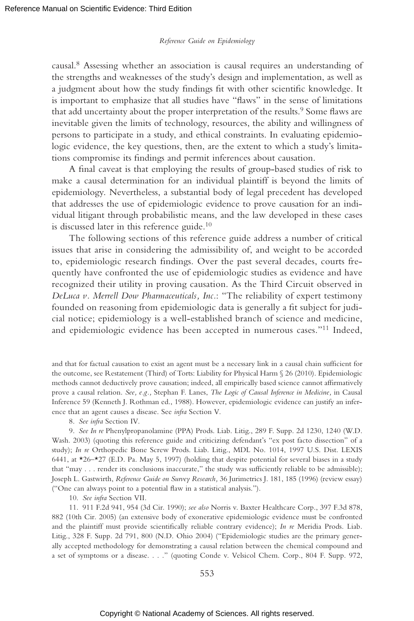causal.8 Assessing whether an association is causal requires an understanding of the strengths and weaknesses of the study's design and implementation, as well as a judgment about how the study findings fit with other scientific knowledge. It is important to emphasize that all studies have "flaws" in the sense of limitations that add uncertainty about the proper interpretation of the results.<sup>9</sup> Some flaws are inevitable given the limits of technology, resources, the ability and willingness of persons to participate in a study, and ethical constraints. In evaluating epidemiologic evidence, the key questions, then, are the extent to which a study's limitations compromise its findings and permit inferences about causation.

A final caveat is that employing the results of group-based studies of risk to make a causal determination for an individual plaintiff is beyond the limits of epidemiology. Nevertheless, a substantial body of legal precedent has developed that addresses the use of epidemiologic evidence to prove causation for an individual litigant through probabilistic means, and the law developed in these cases is discussed later in this reference guide.<sup>10</sup>

The following sections of this reference guide address a number of critical issues that arise in considering the admissibility of, and weight to be accorded to, epidemiologic research findings. Over the past several decades, courts frequently have confronted the use of epidemiologic studies as evidence and have recognized their utility in proving causation. As the Third Circuit observed in *DeLuca v. Merrell Dow Pharmaceuticals, Inc.*: "The reliability of expert testimony founded on reasoning from epidemiologic data is generally a fit subject for judicial notice; epidemiology is a well-established branch of science and medicine, and epidemiologic evidence has been accepted in numerous cases."<sup>11</sup> Indeed,

and that for factual causation to exist an agent must be a necessary link in a causal chain sufficient for the outcome, see Restatement (Third) of Torts: Liability for Physical Harm § 26 (2010). Epidemiologic methods cannot deductively prove causation; indeed, all empirically based science cannot affirmatively prove a causal relation. *See, e.g.,* Stephan F. Lanes, *The Logic of Causal Inference in Medicine,* in Causal Inference 59 (Kenneth J. Rothman ed., 1988). However, epidemiologic evidence can justify an inference that an agent causes a disease. See *infra* Section V.

8. *See infra* Section IV.

9. *See In re* Phenylpropanolamine (PPA) Prods. Liab. Litig., 289 F. Supp. 2d 1230, 1240 (W.D. Wash. 2003) (quoting this reference guide and criticizing defendant's "ex post facto dissection" of a study); *In re* Orthopedic Bone Screw Prods. Liab. Litig., MDL No. 1014, 1997 U.S. Dist. LEXIS 6441, at \*26–\*27 (E.D. Pa. May 5, 1997) (holding that despite potential for several biases in a study that "may . . . render its conclusions inaccurate," the study was sufficiently reliable to be admissible); Joseph L. Gastwirth, *Reference Guide on Survey Research,* 36 Jurimetrics J. 181, 185 (1996) (review essay) ("One can always point to a potential flaw in a statistical analysis.").

10. *See infra* Section VII.

11. 911 F.2d 941, 954 (3d Cir. 1990); *see also* Norris v. Baxter Healthcare Corp., 397 F.3d 878, 882 (10th Cir. 2005) (an extensive body of exonerative epidemiologic evidence must be confronted and the plaintiff must provide scientifically reliable contrary evidence); *In re* Meridia Prods. Liab. Litig., 328 F. Supp. 2d 791, 800 (N.D. Ohio 2004) ("Epidemiologic studies are the primary generally accepted methodology for demonstrating a causal relation between the chemical compound and a set of symptoms or a disease. . . ." (quoting Conde v. Velsicol Chem. Corp., 804 F. Supp. 972,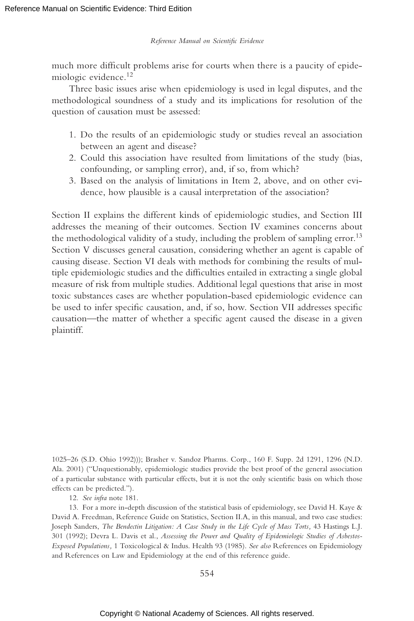much more difficult problems arise for courts when there is a paucity of epidemiologic evidence.12

Three basic issues arise when epidemiology is used in legal disputes, and the methodological soundness of a study and its implications for resolution of the question of causation must be assessed:

- 1. Do the results of an epidemiologic study or studies reveal an association between an agent and disease?
- 2. Could this association have resulted from limitations of the study (bias, confounding, or sampling error), and, if so, from which?
- 3. Based on the analysis of limitations in Item 2, above, and on other evidence, how plausible is a causal interpretation of the association?

Section II explains the different kinds of epidemiologic studies, and Section III addresses the meaning of their outcomes. Section IV examines concerns about the methodological validity of a study, including the problem of sampling error.<sup>13</sup> Section V discusses general causation, considering whether an agent is capable of causing disease. Section VI deals with methods for combining the results of multiple epidemiologic studies and the difficulties entailed in extracting a single global measure of risk from multiple studies. Additional legal questions that arise in most toxic substances cases are whether population-based epidemiologic evidence can be used to infer specific causation, and, if so, how. Section VII addresses specific causation—the matter of whether a specific agent caused the disease in a given plaintiff.

1025–26 (S.D. Ohio 1992))); Brasher v. Sandoz Pharms. Corp., 160 F. Supp. 2d 1291, 1296 (N.D. Ala. 2001) ("Unquestionably, epidemiologic studies provide the best proof of the general association of a particular substance with particular effects, but it is not the only scientific basis on which those effects can be predicted.").

12. *See infra* note 181.

13. For a more in-depth discussion of the statistical basis of epidemiology, see David H. Kaye & David A. Freedman, Reference Guide on Statistics, Section II.A, in this manual, and two case studies: Joseph Sanders, *The Bendectin Litigation: A Case Study in the Life Cycle of Mass Torts,* 43 Hastings L.J. 301 (1992); Devra L. Davis et al., *Assessing the Power and Quality of Epidemiologic Studies of Asbestos-Exposed Populations,* 1 Toxicological & Indus. Health 93 (1985). *See also* References on Epidemiology and References on Law and Epidemiology at the end of this reference guide.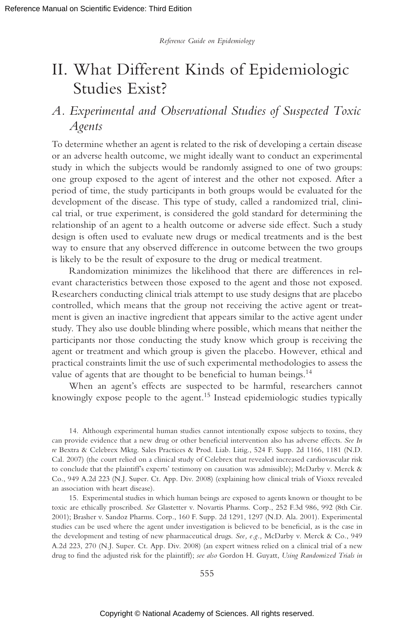## II. What Different Kinds of Epidemiologic Studies Exist?

### *A. Experimental and Observational Studies of Suspected Toxic Agents*

To determine whether an agent is related to the risk of developing a certain disease or an adverse health outcome, we might ideally want to conduct an experimental study in which the subjects would be randomly assigned to one of two groups: one group exposed to the agent of interest and the other not exposed. After a period of time, the study participants in both groups would be evaluated for the development of the disease. This type of study, called a randomized trial, clinical trial, or true experiment, is considered the gold standard for determining the relationship of an agent to a health outcome or adverse side effect. Such a study design is often used to evaluate new drugs or medical treatments and is the best way to ensure that any observed difference in outcome between the two groups is likely to be the result of exposure to the drug or medical treatment.

Randomization minimizes the likelihood that there are differences in relevant characteristics between those exposed to the agent and those not exposed. Researchers conducting clinical trials attempt to use study designs that are placebo controlled, which means that the group not receiving the active agent or treatment is given an inactive ingredient that appears similar to the active agent under study. They also use double blinding where possible, which means that neither the participants nor those conducting the study know which group is receiving the agent or treatment and which group is given the placebo. However, ethical and practical constraints limit the use of such experimental methodologies to assess the value of agents that are thought to be beneficial to human beings. $14$ 

When an agent's effects are suspected to be harmful, researchers cannot knowingly expose people to the agent.<sup>15</sup> Instead epidemiologic studies typically

14. Although experimental human studies cannot intentionally expose subjects to toxins, they can provide evidence that a new drug or other beneficial intervention also has adverse effects. *See In re* Bextra & Celebrex Mktg. Sales Practices & Prod. Liab. Litig., 524 F. Supp. 2d 1166, 1181 (N.D. Cal. 2007) (the court relied on a clinical study of Celebrex that revealed increased cardiovascular risk to conclude that the plaintiff's experts' testimony on causation was admissible); McDarby v. Merck & Co., 949 A.2d 223 (N.J. Super. Ct. App. Div. 2008) (explaining how clinical trials of Vioxx revealed an association with heart disease).

15. Experimental studies in which human beings are exposed to agents known or thought to be toxic are ethically proscribed. *See* Glastetter v. Novartis Pharms. Corp., 252 F.3d 986, 992 (8th Cir. 2001); Brasher v. Sandoz Pharms. Corp., 160 F. Supp. 2d 1291, 1297 (N.D. Ala. 2001). Experimental studies can be used where the agent under investigation is believed to be beneficial, as is the case in the development and testing of new pharmaceutical drugs. *See, e.g.,* McDarby v. Merck & Co., 949 A.2d 223, 270 (N.J. Super. Ct. App. Div. 2008) (an expert witness relied on a clinical trial of a new drug to find the adjusted risk for the plaintiff); *see also* Gordon H. Guyatt, *Using Randomized Trials in*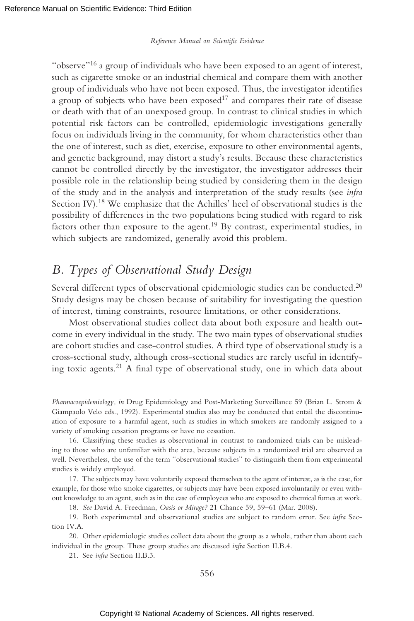"observe"<sup>16</sup> a group of individuals who have been exposed to an agent of interest, such as cigarette smoke or an industrial chemical and compare them with another group of individuals who have not been exposed. Thus, the investigator identifies a group of subjects who have been exposed<sup>17</sup> and compares their rate of disease or death with that of an unexposed group. In contrast to clinical studies in which potential risk factors can be controlled, epidemiologic investigations generally focus on individuals living in the community, for whom characteristics other than the one of interest, such as diet, exercise, exposure to other environmental agents, and genetic background, may distort a study's results. Because these characteristics cannot be controlled directly by the investigator, the investigator addresses their possible role in the relationship being studied by considering them in the design of the study and in the analysis and interpretation of the study results (see *infra* Section IV).<sup>18</sup> We emphasize that the Achilles' heel of observational studies is the possibility of differences in the two populations being studied with regard to risk factors other than exposure to the agent.<sup>19</sup> By contrast, experimental studies, in which subjects are randomized, generally avoid this problem.

### *B. Types of Observational Study Design*

Several different types of observational epidemiologic studies can be conducted.20 Study designs may be chosen because of suitability for investigating the question of interest, timing constraints, resource limitations, or other considerations.

Most observational studies collect data about both exposure and health outcome in every individual in the study. The two main types of observational studies are cohort studies and case-control studies. A third type of observational study is a cross-sectional study, although cross-sectional studies are rarely useful in identifying toxic agents.21 A final type of observational study, one in which data about

*Pharmacoepidemiology, in* Drug Epidemiology and Post-Marketing Surveillance 59 (Brian L. Strom & Giampaolo Velo eds., 1992). Experimental studies also may be conducted that entail the discontinuation of exposure to a harmful agent, such as studies in which smokers are randomly assigned to a variety of smoking cessation programs or have no cessation.

16. Classifying these studies as observational in contrast to randomized trials can be misleading to those who are unfamiliar with the area, because subjects in a randomized trial are observed as well. Nevertheless, the use of the term "observational studies" to distinguish them from experimental studies is widely employed.

17. The subjects may have voluntarily exposed themselves to the agent of interest, as is the case, for example, for those who smoke cigarettes, or subjects may have been exposed involuntarily or even without knowledge to an agent, such as in the case of employees who are exposed to chemical fumes at work.

18. *See* David A. Freedman, *Oasis or Mirage?* 21 Chance 59, 59–61 (Mar. 2008).

19. Both experimental and observational studies are subject to random error. See *infra* Section IV.A.

20. Other epidemiologic studies collect data about the group as a whole, rather than about each individual in the group. These group studies are discussed *infra* Section II.B.4.

21. See *infra* Section II.B.3.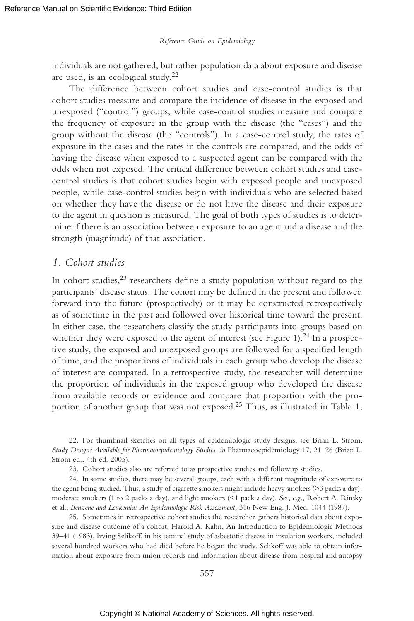individuals are not gathered, but rather population data about exposure and disease are used, is an ecological study.<sup>22</sup>

The difference between cohort studies and case-control studies is that cohort studies measure and compare the incidence of disease in the exposed and unexposed ("control") groups, while case-control studies measure and compare the frequency of exposure in the group with the disease (the "cases") and the group without the disease (the "controls"). In a case-control study, the rates of exposure in the cases and the rates in the controls are compared, and the odds of having the disease when exposed to a suspected agent can be compared with the odds when not exposed. The critical difference between cohort studies and casecontrol studies is that cohort studies begin with exposed people and unexposed people, while case-control studies begin with individuals who are selected based on whether they have the disease or do not have the disease and their exposure to the agent in question is measured. The goal of both types of studies is to determine if there is an association between exposure to an agent and a disease and the strength (magnitude) of that association.

### *1. Cohort studies*

In cohort studies, $^{23}$  researchers define a study population without regard to the participants' disease status. The cohort may be defined in the present and followed forward into the future (prospectively) or it may be constructed retrospectively as of sometime in the past and followed over historical time toward the present. In either case, the researchers classify the study participants into groups based on whether they were exposed to the agent of interest (see Figure 1).<sup>24</sup> In a prospective study, the exposed and unexposed groups are followed for a specified length of time, and the proportions of individuals in each group who develop the disease of interest are compared. In a retrospective study, the researcher will determine the proportion of individuals in the exposed group who developed the disease from available records or evidence and compare that proportion with the proportion of another group that was not exposed.<sup>25</sup> Thus, as illustrated in Table 1,

22. For thumbnail sketches on all types of epidemiologic study designs, see Brian L. Strom, *Study Designs Available for Pharmacoepidemiology Studies, in* Pharmacoepidemiology 17, 21–26 (Brian L. Strom ed., 4th ed. 2005).

23. Cohort studies also are referred to as prospective studies and followup studies.

24. In some studies, there may be several groups, each with a different magnitude of exposure to the agent being studied. Thus, a study of cigarette smokers might include heavy smokers (>3 packs a day), moderate smokers (1 to 2 packs a day), and light smokers (<1 pack a day). *See, e.g.,* Robert A. Rinsky et al., *Benzene and Leukemia: An Epidemiologic Risk Assessment,* 316 New Eng. J. Med. 1044 (1987).

25. Sometimes in retrospective cohort studies the researcher gathers historical data about exposure and disease outcome of a cohort. Harold A. Kahn, An Introduction to Epidemiologic Methods 39–41 (1983). Irving Selikoff, in his seminal study of asbestotic disease in insulation workers, included several hundred workers who had died before he began the study. Selikoff was able to obtain information about exposure from union records and information about disease from hospital and autopsy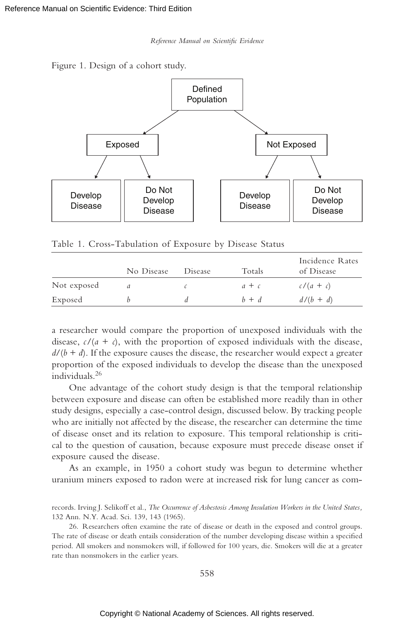Figure 1. Design of a cohort study.



Table 1. Cross-Tabulation of Exposure by Disease Status

|             | No Disease | <b>Disease</b> | Totals  | Incidence Rates<br>of Disease |
|-------------|------------|----------------|---------|-------------------------------|
| Not exposed |            |                | $a + c$ | $c/(a + c)$                   |
| Exposed     |            |                | $h + d$ | $d/(b + d)$                   |

a researcher would compare the proportion of unexposed individuals with the disease,  $c/(a + c)$ , with the proportion of exposed individuals with the disease,  $d/(b + d)$ . If the exposure causes the disease, the researcher would expect a greater proportion of the exposed individuals to develop the disease than the unexposed individuals.26

One advantage of the cohort study design is that the temporal relationship between exposure and disease can often be established more readily than in other study designs, especially a case-control design, discussed below. By tracking people who are initially not affected by the disease, the researcher can determine the time of disease onset and its relation to exposure. This temporal relationship is critical to the question of causation, because exposure must precede disease onset if exposure caused the disease.

As an example, in 1950 a cohort study was begun to determine whether uranium miners exposed to radon were at increased risk for lung cancer as com-

records. Irving J. Selikoff et al., *The Occurrence of Asbestosis Among Insulation Workers in the United States,* 132 Ann. N.Y. Acad. Sci. 139, 143 (1965).

26. Researchers often examine the rate of disease or death in the exposed and control groups. The rate of disease or death entails consideration of the number developing disease within a specified period. All smokers and nonsmokers will, if followed for 100 years, die. Smokers will die at a greater rate than nonsmokers in the earlier years.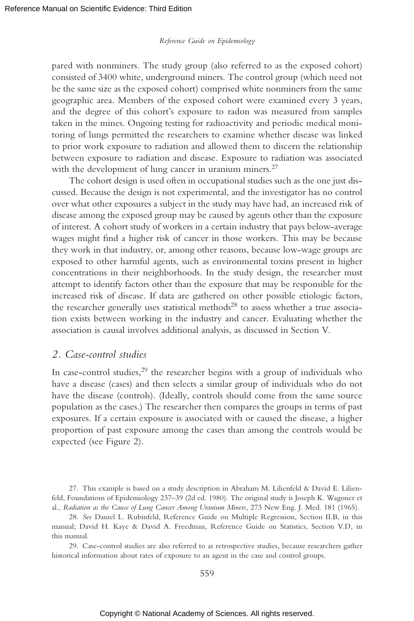pared with nonminers. The study group (also referred to as the exposed cohort) consisted of 3400 white, underground miners. The control group (which need not be the same size as the exposed cohort) comprised white nonminers from the same geographic area. Members of the exposed cohort were examined every 3 years, and the degree of this cohort's exposure to radon was measured from samples taken in the mines. Ongoing testing for radioactivity and periodic medical monitoring of lungs permitted the researchers to examine whether disease was linked to prior work exposure to radiation and allowed them to discern the relationship between exposure to radiation and disease. Exposure to radiation was associated with the development of lung cancer in uranium miners. $27$ 

The cohort design is used often in occupational studies such as the one just discussed. Because the design is not experimental, and the investigator has no control over what other exposures a subject in the study may have had, an increased risk of disease among the exposed group may be caused by agents other than the exposure of interest. A cohort study of workers in a certain industry that pays below-average wages might find a higher risk of cancer in those workers. This may be because they work in that industry, or, among other reasons, because low-wage groups are exposed to other harmful agents, such as environmental toxins present in higher concentrations in their neighborhoods. In the study design, the researcher must attempt to identify factors other than the exposure that may be responsible for the increased risk of disease. If data are gathered on other possible etiologic factors, the researcher generally uses statistical methods<sup>28</sup> to assess whether a true association exists between working in the industry and cancer. Evaluating whether the association is causal involves additional analysis, as discussed in Section V.

### *2. Case-control studies*

In case-control studies, $29$  the researcher begins with a group of individuals who have a disease (cases) and then selects a similar group of individuals who do not have the disease (controls). (Ideally, controls should come from the same source population as the cases.) The researcher then compares the groups in terms of past exposures. If a certain exposure is associated with or caused the disease, a higher proportion of past exposure among the cases than among the controls would be expected (see Figure 2).

27. This example is based on a study description in Abraham M. Lilienfeld & David E. Lilienfeld, Foundations of Epidemiology 237–39 (2d ed. 1980). The original study is Joseph K. Wagoner et al., *Radiation as the Cause of Lung Cancer Among Uranium Miners,* 273 New Eng. J. Med. 181 (1965).

28. *See* Daniel L. Rubinfeld, Reference Guide on Multiple Regression, Section II.B, in this manual; David H. Kaye & David A. Freedman, Reference Guide on Statistics, Section V.D, in this manual.

29. Case-control studies are also referred to as retrospective studies, because researchers gather historical information about rates of exposure to an agent in the case and control groups.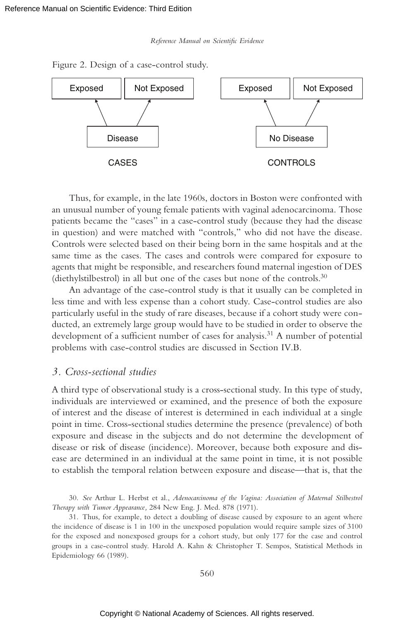Figure 2. Design of a case-control study.



Thus, for example, in the late 1960s, doctors in Boston were confronted with an unusual number of young female patients with vaginal adenocarcinoma. Those patients became the "cases" in a case-control study (because they had the disease in question) and were matched with "controls," who did not have the disease. Controls were selected based on their being born in the same hospitals and at the same time as the cases. The cases and controls were compared for exposure to agents that might be responsible, and researchers found maternal ingestion of DES (diethylstilbestrol) in all but one of the cases but none of the controls. $30$ 

An advantage of the case-control study is that it usually can be completed in less time and with less expense than a cohort study. Case-control studies are also particularly useful in the study of rare diseases, because if a cohort study were conducted, an extremely large group would have to be studied in order to observe the development of a sufficient number of cases for analysis.<sup>31</sup> A number of potential problems with case-control studies are discussed in Section IV.B.

### *3. Cross-sectional studies*

A third type of observational study is a cross-sectional study. In this type of study, individuals are interviewed or examined, and the presence of both the exposure of interest and the disease of interest is determined in each individual at a single point in time. Cross-sectional studies determine the presence (prevalence) of both exposure and disease in the subjects and do not determine the development of disease or risk of disease (incidence). Moreover, because both exposure and disease are determined in an individual at the same point in time, it is not possible to establish the temporal relation between exposure and disease—that is, that the

30. *See* Arthur L. Herbst et al., *Adenocarcinoma of the Vagina: Association of Maternal Stilbestrol Therapy with Tumor Appearance,* 284 New Eng. J. Med. 878 (1971).

31. Thus, for example, to detect a doubling of disease caused by exposure to an agent where the incidence of disease is 1 in 100 in the unexposed population would require sample sizes of 3100 for the exposed and nonexposed groups for a cohort study, but only 177 for the case and control groups in a case-control study. Harold A. Kahn & Christopher T. Sempos, Statistical Methods in Epidemiology 66 (1989).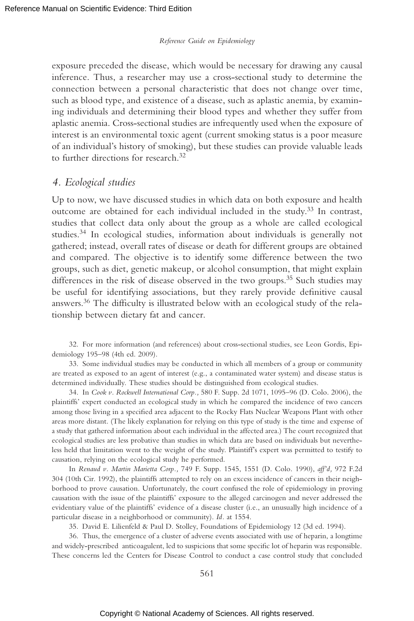exposure preceded the disease, which would be necessary for drawing any causal inference. Thus, a researcher may use a cross-sectional study to determine the connection between a personal characteristic that does not change over time, such as blood type, and existence of a disease, such as aplastic anemia, by examining individuals and determining their blood types and whether they suffer from aplastic anemia. Cross-sectional studies are infrequently used when the exposure of interest is an environmental toxic agent (current smoking status is a poor measure of an individual's history of smoking), but these studies can provide valuable leads to further directions for research.32

### *4. Ecological studies*

Up to now, we have discussed studies in which data on both exposure and health outcome are obtained for each individual included in the study.33 In contrast, studies that collect data only about the group as a whole are called ecological studies.34 In ecological studies, information about individuals is generally not gathered; instead, overall rates of disease or death for different groups are obtained and compared. The objective is to identify some difference between the two groups, such as diet, genetic makeup, or alcohol consumption, that might explain differences in the risk of disease observed in the two groups.<sup>35</sup> Such studies may be useful for identifying associations, but they rarely provide definitive causal answers.36 The difficulty is illustrated below with an ecological study of the relationship between dietary fat and cancer.

32. For more information (and references) about cross-sectional studies, see Leon Gordis, Epidemiology 195–98 (4th ed. 2009).

33. Some individual studies may be conducted in which all members of a group or community are treated as exposed to an agent of interest (e.g., a contaminated water system) and disease status is determined individually. These studies should be distinguished from ecological studies.

34. In *Cook v. Rockwell International Corp.,* 580 F. Supp. 2d 1071, 1095–96 (D. Colo. 2006), the plaintiffs' expert conducted an ecological study in which he compared the incidence of two cancers among those living in a specified area adjacent to the Rocky Flats Nuclear Weapons Plant with other areas more distant. (The likely explanation for relying on this type of study is the time and expense of a study that gathered information about each individual in the affected area.) The court recognized that ecological studies are less probative than studies in which data are based on individuals but nevertheless held that limitation went to the weight of the study. Plaintiff's expert was permitted to testify to causation, relying on the ecological study he performed.

In *Renaud v. Martin Marietta Corp.,* 749 F. Supp. 1545, 1551 (D. Colo. 1990), *aff'd,* 972 F.2d 304 (10th Cir. 1992), the plaintiffs attempted to rely on an excess incidence of cancers in their neighborhood to prove causation. Unfortunately, the court confused the role of epidemiology in proving causation with the issue of the plaintiffs' exposure to the alleged carcinogen and never addressed the evidentiary value of the plaintiffs' evidence of a disease cluster (i.e., an unusually high incidence of a particular disease in a neighborhood or community). *Id.* at 1554.

35. David E. Lilienfeld & Paul D. Stolley, Foundations of Epidemiology 12 (3d ed. 1994).

36. Thus, the emergence of a cluster of adverse events associated with use of heparin, a longtime and widely-prescribed anticoagulent, led to suspicions that some specific lot of heparin was responsible. These concerns led the Centers for Disease Control to conduct a case control study that concluded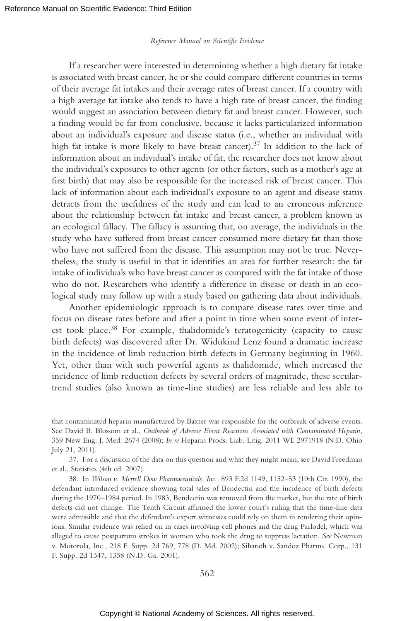If a researcher were interested in determining whether a high dietary fat intake is associated with breast cancer, he or she could compare different countries in terms of their average fat intakes and their average rates of breast cancer. If a country with a high average fat intake also tends to have a high rate of breast cancer, the finding would suggest an association between dietary fat and breast cancer. However, such a finding would be far from conclusive, because it lacks particularized information about an individual's exposure and disease status (i.e., whether an individual with high fat intake is more likely to have breast cancer).<sup>37</sup> In addition to the lack of information about an individual's intake of fat, the researcher does not know about the individual's exposures to other agents (or other factors, such as a mother's age at first birth) that may also be responsible for the increased risk of breast cancer. This lack of information about each individual's exposure to an agent and disease status detracts from the usefulness of the study and can lead to an erroneous inference about the relationship between fat intake and breast cancer, a problem known as an ecological fallacy. The fallacy is assuming that, on average, the individuals in the study who have suffered from breast cancer consumed more dietary fat than those who have not suffered from the disease. This assumption may not be true. Nevertheless, the study is useful in that it identifies an area for further research: the fat intake of individuals who have breast cancer as compared with the fat intake of those who do not. Researchers who identify a difference in disease or death in an ecological study may follow up with a study based on gathering data about individuals.

Another epidemiologic approach is to compare disease rates over time and focus on disease rates before and after a point in time when some event of interest took place.<sup>38</sup> For example, thalidomide's teratogenicity (capacity to cause birth defects) was discovered after Dr. Widukind Lenz found a dramatic increase in the incidence of limb reduction birth defects in Germany beginning in 1960. Yet, other than with such powerful agents as thalidomide, which increased the incidence of limb reduction defects by several orders of magnitude, these seculartrend studies (also known as time-line studies) are less reliable and less able to

that contaminated heparin manufactured by Baxter was responsible for the outbreak of adverse events. See David B. Blossom et al., *Outbreak of Adverse Event Reactions Associated with Contaminated Heparin,* 359 New Eng. J. Med. 2674 (2008); *In re* Heparin Prods. Liab. Litig. 2011 WL 2971918 (N.D. Ohio July 21, 2011).

37. For a discussion of the data on this question and what they might mean, see David Freedman et al., Statistics (4th ed. 2007).

38. In *Wilson v. Merrell Dow Pharmaceuticals, Inc.,* 893 F.2d 1149, 1152–53 (10th Cir. 1990), the defendant introduced evidence showing total sales of Bendectin and the incidence of birth defects during the 1970–1984 period. In 1983, Bendectin was removed from the market, but the rate of birth defects did not change. The Tenth Circuit affirmed the lower court's ruling that the time-line data were admissible and that the defendant's expert witnesses could rely on them in rendering their opinions. Similar evidence was relied on in cases involving cell phones and the drug Parlodel, which was alleged to cause postpartum strokes in women who took the drug to suppress lactation. *See* Newman v. Motorola, Inc., 218 F. Supp. 2d 769, 778 (D. Md. 2002); Siharath v. Sandoz Pharms. Corp., 131 F. Supp. 2d 1347, 1358 (N.D. Ga. 2001).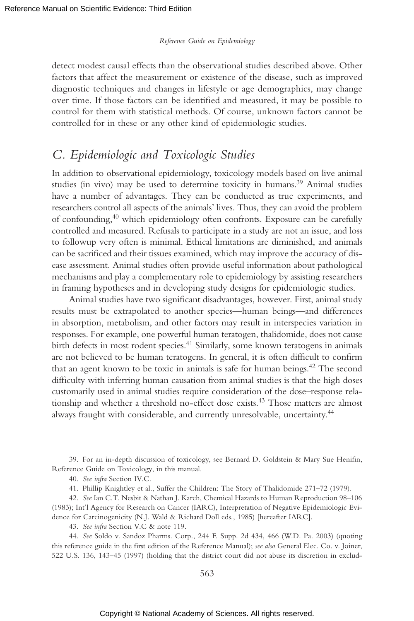detect modest causal effects than the observational studies described above. Other factors that affect the measurement or existence of the disease, such as improved diagnostic techniques and changes in lifestyle or age demographics, may change over time. If those factors can be identified and measured, it may be possible to control for them with statistical methods. Of course, unknown factors cannot be controlled for in these or any other kind of epidemiologic studies.

### *C. Epidemiologic and Toxicologic Studies*

In addition to observational epidemiology, toxicology models based on live animal studies (in vivo) may be used to determine toxicity in humans.<sup>39</sup> Animal studies have a number of advantages. They can be conducted as true experiments, and researchers control all aspects of the animals' lives. Thus, they can avoid the problem of confounding,40 which epidemiology often confronts. Exposure can be carefully controlled and measured. Refusals to participate in a study are not an issue, and loss to followup very often is minimal. Ethical limitations are diminished, and animals can be sacrificed and their tissues examined, which may improve the accuracy of disease assessment. Animal studies often provide useful information about pathological mechanisms and play a complementary role to epidemiology by assisting researchers in framing hypotheses and in developing study designs for epidemiologic studies.

Animal studies have two significant disadvantages, however. First, animal study results must be extrapolated to another species—human beings—and differences in absorption, metabolism, and other factors may result in interspecies variation in responses. For example, one powerful human teratogen, thalidomide, does not cause birth defects in most rodent species.<sup>41</sup> Similarly, some known teratogens in animals are not believed to be human teratogens. In general, it is often difficult to confirm that an agent known to be toxic in animals is safe for human beings.<sup>42</sup> The second difficulty with inferring human causation from animal studies is that the high doses customarily used in animal studies require consideration of the dose–response relationship and whether a threshold no-effect dose exists.<sup>43</sup> Those matters are almost always fraught with considerable, and currently unresolvable, uncertainty.<sup>44</sup>

39. For an in-depth discussion of toxicology, see Bernard D. Goldstein & Mary Sue Henifin, Reference Guide on Toxicology, in this manual.

40. *See infra* Section IV.C.

41. Phillip Knightley et al., Suffer the Children: The Story of Thalidomide 271–72 (1979).

42. *See* Ian C.T. Nesbit & Nathan J. Karch, Chemical Hazards to Human Reproduction 98–106 (1983); Int'l Agency for Research on Cancer (IARC), Interpretation of Negative Epidemiologic Evidence for Carcinogenicity (N.J. Wald & Richard Doll eds., 1985) [hereafter IARC].

43. *See infra* Section V.C & note 119.

44. *See* Soldo v. Sandoz Pharms. Corp., 244 F. Supp. 2d 434, 466 (W.D. Pa. 2003) (quoting this reference guide in the first edition of the Reference Manual); *see also* General Elec. Co. v. Joiner, 522 U.S. 136, 143–45 (1997) (holding that the district court did not abuse its discretion in exclud-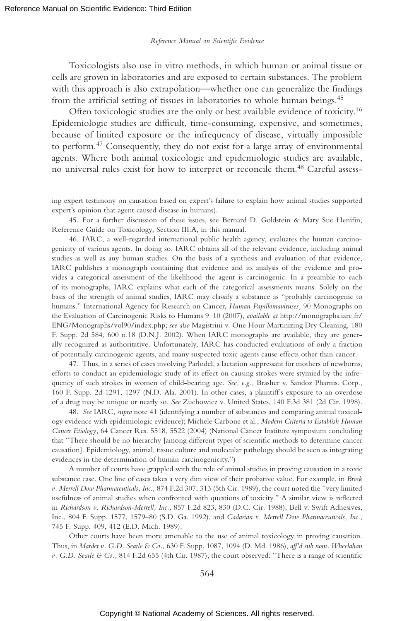Toxicologists also use in vitro methods, in which human or animal tissue or cells are grown in laboratories and are exposed to certain substances. The problem with this approach is also extrapolation—whether one can generalize the findings from the artificial setting of tissues in laboratories to whole human beings.<sup>45</sup>

Often toxicologic studies are the only or best available evidence of toxicity.46 Epidemiologic studies are difficult, time-consuming, expensive, and sometimes, because of limited exposure or the infrequency of disease, virtually impossible to perform.<sup>47</sup> Consequently, they do not exist for a large array of environmental agents. Where both animal toxicologic and epidemiologic studies are available, no universal rules exist for how to interpret or reconcile them.<sup>48</sup> Careful assess-

ing expert testimony on causation based on expert's failure to explain how animal studies supported expert's opinion that agent caused disease in humans).

45. For a further discussion of these issues, see Bernard D. Goldstein & Mary Sue Henifin, Reference Guide on Toxicology, Section III.A, in this manual.

46. IARC, a well-regarded international public health agency, evaluates the human carcinogenicity of various agents. In doing so, IARC obtains all of the relevant evidence, including animal studies as well as any human studies. On the basis of a synthesis and evaluation of that evidence, IARC publishes a monograph containing that evidence and its analysis of the evidence and provides a categorical assessment of the likelihood the agent is carcinogenic. In a preamble to each of its monographs, IARC explains what each of the categorical assessments means. Solely on the basis of the strength of animal studies, IARC may classify a substance as "probably carcinogenic to humans." International Agency for Research on Cancer, *Human Papillomaviruses,* 90 Monographs on the Evaluation of Carcinogenic Risks to Humans 9–10 (2007), *available at* http://monographs.iarc.fr/ ENG/Monographs/vol90/index.php; *see also* Magistrini v. One Hour Martinizing Dry Cleaning, 180 F. Supp. 2d 584, 600 n.18 (D.N.J. 2002). When IARC monographs are available, they are generally recognized as authoritative. Unfortunately, IARC has conducted evaluations of only a fraction of potentially carcinogenic agents, and many suspected toxic agents cause effects other than cancer.

47. Thus, in a series of cases involving Parlodel, a lactation suppressant for mothers of newborns, efforts to conduct an epidemiologic study of its effect on causing strokes were stymied by the infrequency of such strokes in women of child-bearing age. *See, e.g.,* Brasher v. Sandoz Pharms. Corp., 160 F. Supp. 2d 1291, 1297 (N.D. Ala. 2001). In other cases, a plaintiff's exposure to an overdose of a drug may be unique or nearly so. *See* Zuchowicz v. United States, 140 F.3d 381 (2d Cir. 1998).

48. *See* IARC, *supra* note 41 (identifying a number of substances and comparing animal toxicology evidence with epidemiologic evidence); Michele Carbone et al., *Modern Criteria to Establish Human Cancer Etiology,* 64 Cancer Res. 5518, 5522 (2004) (National Cancer Institute symposium concluding that "There should be no hierarchy [among different types of scientific methods to determine cancer causation]. Epidemiology, animal, tissue culture and molecular pathology should be seen as integrating evidences in the determination of human carcinogenicity.")

A number of courts have grappled with the role of animal studies in proving causation in a toxic substance case. One line of cases takes a very dim view of their probative value. For example, in *Brock v. Merrell Dow Pharmaceuticals, Inc.,* 874 F.2d 307, 313 (5th Cir. 1989), the court noted the "very limited usefulness of animal studies when confronted with questions of toxicity." A similar view is reflected in *Richardson v. Richardson-Merrell, Inc.,* 857 F.2d 823, 830 (D.C. Cir. 1988), Bell v. Swift Adhesives, Inc., 804 F. Supp. 1577, 1579–80 (S.D. Ga. 1992), and *Cadarian v. Merrell Dow Pharmaceuticals, Inc.,* 745 F. Supp. 409, 412 (E.D. Mich. 1989).

Other courts have been more amenable to the use of animal toxicology in proving causation. Thus, in *Marder v. G.D. Searle & Co.,* 630 F. Supp. 1087, 1094 (D. Md. 1986), *aff'd sub nom. Wheelahan v. G.D. Searle & Co.,* 814 F.2d 655 (4th Cir. 1987), the court observed: "There is a range of scientific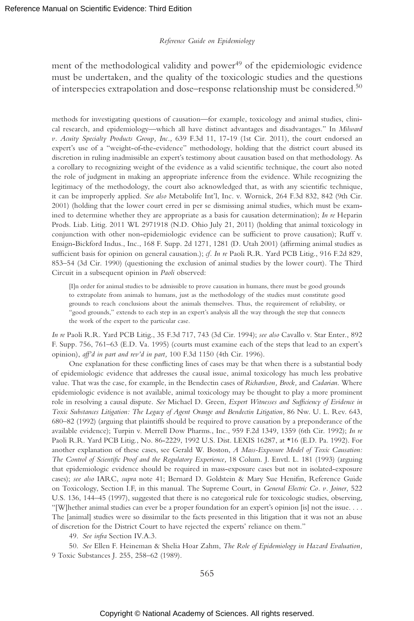ment of the methodological validity and power<sup>49</sup> of the epidemiologic evidence must be undertaken, and the quality of the toxicologic studies and the questions of interspecies extrapolation and dose–response relationship must be considered.50

methods for investigating questions of causation—for example, toxicology and animal studies, clinical research, and epidemiology—which all have distinct advantages and disadvantages." In *Milward v. Acuity Specialty Products Group, Inc.,* 639 F.3d 11, 17-19 (1st Cir. 2011), the court endorsed an expert's use of a "weight-of-the-evidence" methodology, holding that the district court abused its discretion in ruling inadmissible an expert's testimony about causation based on that methodology. As a corollary to recognizing weight of the evidence as a valid scientific technique, the court also noted the role of judgment in making an appropriate inference from the evidence. While recognizing the legitimacy of the methodology, the court also acknowledged that, as with any scientific technique, it can be improperly applied. *See also* Metabolife Int'l, Inc. v. Wornick, 264 F.3d 832, 842 (9th Cir. 2001) (holding that the lower court erred in per se dismissing animal studies, which must be examined to determine whether they are appropriate as a basis for causation determination); *In re* Heparin Prods. Liab. Litig. 2011 WL 2971918 (N.D. Ohio July 21, 2011) (holding that animal toxicology in conjunction with other non-epidemiologic evidence can be sufficient to prove causation); Ruff v. Ensign-Bickford Indus., Inc., 168 F. Supp. 2d 1271, 1281 (D. Utah 2001) (affirming animal studies as sufficient basis for opinion on general causation.); *cf. In re* Paoli R.R. Yard PCB Litig., 916 F.2d 829, 853–54 (3d Cir. 1990) (questioning the exclusion of animal studies by the lower court). The Third Circuit in a subsequent opinion in *Paoli* observed:

[I]n order for animal studies to be admissible to prove causation in humans, there must be good grounds to extrapolate from animals to humans, just as the methodology of the studies must constitute good grounds to reach conclusions about the animals themselves. Thus, the requirement of reliability, or "good grounds," extends to each step in an expert's analysis all the way through the step that connects the work of the expert to the particular case.

*In re* Paoli R.R. Yard PCB Litig., 35 F.3d 717, 743 (3d Cir. 1994); *see also* Cavallo v. Star Enter., 892 F. Supp. 756, 761–63 (E.D. Va. 1995) (courts must examine each of the steps that lead to an expert's opinion), *aff'd in part and rev'd in part,* 100 F.3d 1150 (4th Cir. 1996).

One explanation for these conflicting lines of cases may be that when there is a substantial body of epidemiologic evidence that addresses the causal issue, animal toxicology has much less probative value. That was the case, for example, in the Bendectin cases of *Richardson, Brock,* and *Cadarian*. Where epidemiologic evidence is not available, animal toxicology may be thought to play a more prominent role in resolving a causal dispute. *See* Michael D. Green, *Expert Witnesses and Sufficiency of Evidence in Toxic Substances Litigation: The Legacy of Agent Orange and Bendectin Litigation,* 86 Nw. U. L. Rev. 643, 680–82 (1992) (arguing that plaintiffs should be required to prove causation by a preponderance of the available evidence); Turpin v. Merrell Dow Pharms., Inc., 959 F.2d 1349, 1359 (6th Cir. 1992); *In re* Paoli R.R. Yard PCB Litig., No. 86-2229, 1992 U.S. Dist. LEXIS 16287, at \*16 (E.D. Pa. 1992). For another explanation of these cases, see Gerald W. Boston, *A Mass-Exposure Model of Toxic Causation: The Control of Scientific Proof and the Regulatory Experience,* 18 Colum. J. Envtl. L. 181 (1993) (arguing that epidemiologic evidence should be required in mass-exposure cases but not in isolated-exposure cases); *see also* IARC, *supra* note 41; Bernard D. Goldstein & Mary Sue Henifin, Reference Guide on Toxicology, Section I.F, in this manual. The Supreme Court, in *General Electric Co. v. Joiner,* 522 U.S. 136, 144–45 (1997), suggested that there is no categorical rule for toxicologic studies, observing, "[W]hether animal studies can ever be a proper foundation for an expert's opinion [is] not the issue. . . . The [animal] studies were so dissimilar to the facts presented in this litigation that it was not an abuse of discretion for the District Court to have rejected the experts' reliance on them."

49. *See infra* Section IV.A.3.

50. *See* Ellen F. Heineman & Shelia Hoar Zahm, *The Role of Epidemiology in Hazard Evaluation,* 9 Toxic Substances J. 255, 258–62 (1989).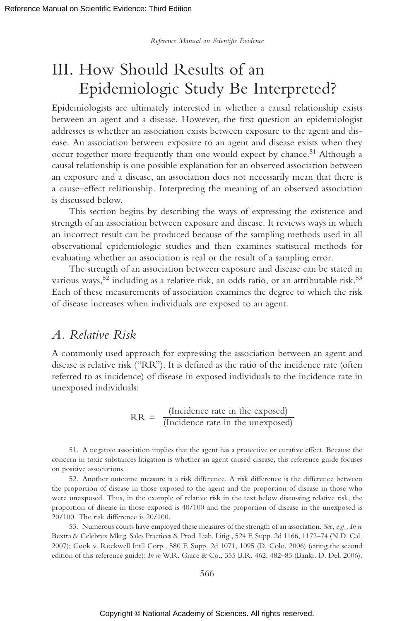## III. How Should Results of an Epidemiologic Study Be Interpreted?

Epidemiologists are ultimately interested in whether a causal relationship exists between an agent and a disease. However, the first question an epidemiologist addresses is whether an association exists between exposure to the agent and disease. An association between exposure to an agent and disease exists when they occur together more frequently than one would expect by chance.<sup>51</sup> Although a causal relationship is one possible explanation for an observed association between an exposure and a disease, an association does not necessarily mean that there is a cause–effect relationship. Interpreting the meaning of an observed association is discussed below.

This section begins by describing the ways of expressing the existence and strength of an association between exposure and disease. It reviews ways in which an incorrect result can be produced because of the sampling methods used in all observational epidemiologic studies and then examines statistical methods for evaluating whether an association is real or the result of a sampling error.

The strength of an association between exposure and disease can be stated in various ways,<sup>52</sup> including as a relative risk, an odds ratio, or an attributable risk.<sup>53</sup> Each of these measurements of association examines the degree to which the risk of disease increases when individuals are exposed to an agent.

### *A. Relative Risk*

A commonly used approach for expressing the association between an agent and disease is relative risk ("RR"). It is defined as the ratio of the incidence rate (often referred to as incidence) of disease in exposed individuals to the incidence rate in unexposed individuals:

$$
RR = \frac{(\text{Incidence rate in the exposed})}{(\text{Incidence rate in the unexposed})}
$$

51. A negative association implies that the agent has a protective or curative effect. Because the concern in toxic substances litigation is whether an agent caused disease, this reference guide focuses on positive associations.

52. Another outcome measure is a risk difference. A risk difference is the difference between the proportion of disease in those exposed to the agent and the proportion of disease in those who were unexposed. Thus, in the example of relative risk in the text below discussing relative risk, the proportion of disease in those exposed is 40/100 and the proportion of disease in the unexposed is 20/100. The risk difference is 20/100.

53. Numerous courts have employed these measures of the strength of an association. *See, e.g., In re* Bextra & Celebrex Mktg. Sales Practices & Prod. Liab. Litig., 524 F. Supp. 2d 1166, 1172–74 (N.D. Cal. 2007); Cook v. Rockwell Int'l Corp., 580 F. Supp. 2d 1071, 1095 (D. Colo. 2006) (citing the second edition of this reference guide); *In re* W.R. Grace & Co., 355 B.R. 462, 482–83 (Bankr. D. Del. 2006).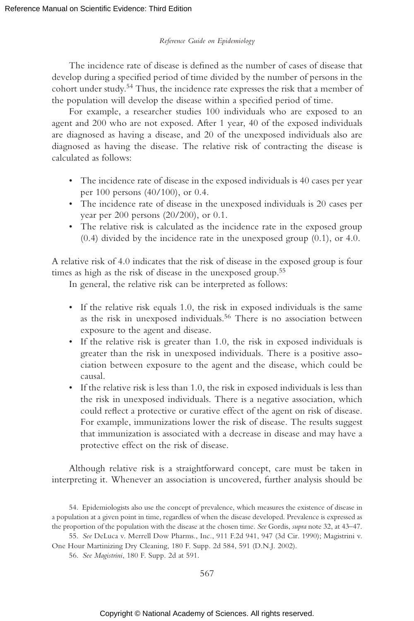The incidence rate of disease is defined as the number of cases of disease that develop during a specified period of time divided by the number of persons in the cohort under study.<sup>54</sup> Thus, the incidence rate expresses the risk that a member of the population will develop the disease within a specified period of time.

For example, a researcher studies 100 individuals who are exposed to an agent and 200 who are not exposed. After 1 year, 40 of the exposed individuals are diagnosed as having a disease, and 20 of the unexposed individuals also are diagnosed as having the disease. The relative risk of contracting the disease is calculated as follows:

- The incidence rate of disease in the exposed individuals is 40 cases per year per 100 persons (40/100), or 0.4.
- • The incidence rate of disease in the unexposed individuals is 20 cases per year per 200 persons (20/200), or 0.1.
- The relative risk is calculated as the incidence rate in the exposed group (0.4) divided by the incidence rate in the unexposed group (0.1), or 4.0.

A relative risk of 4.0 indicates that the risk of disease in the exposed group is four times as high as the risk of disease in the unexposed group.<sup>55</sup>

In general, the relative risk can be interpreted as follows:

- • If the relative risk equals 1.0, the risk in exposed individuals is the same as the risk in unexposed individuals.<sup>56</sup> There is no association between exposure to the agent and disease.
- • If the relative risk is greater than 1.0, the risk in exposed individuals is greater than the risk in unexposed individuals. There is a positive association between exposure to the agent and the disease, which could be causal.
- If the relative risk is less than 1.0, the risk in exposed individuals is less than the risk in unexposed individuals. There is a negative association, which could reflect a protective or curative effect of the agent on risk of disease. For example, immunizations lower the risk of disease. The results suggest that immunization is associated with a decrease in disease and may have a protective effect on the risk of disease.

Although relative risk is a straightforward concept, care must be taken in interpreting it. Whenever an association is uncovered, further analysis should be

<sup>54.</sup> Epidemiologists also use the concept of prevalence, which measures the existence of disease in a population at a given point in time, regardless of when the disease developed. Prevalence is expressed as the proportion of the population with the disease at the chosen time. *See* Gordis, *supra* note 32, at 43–47.

<sup>55.</sup> *See* DeLuca v. Merrell Dow Pharms., Inc., 911 F.2d 941, 947 (3d Cir. 1990); Magistrini v. One Hour Martinizing Dry Cleaning, 180 F. Supp. 2d 584, 591 (D.N.J. 2002).

<sup>56.</sup> *See Magistrini*, 180 F. Supp. 2d at 591.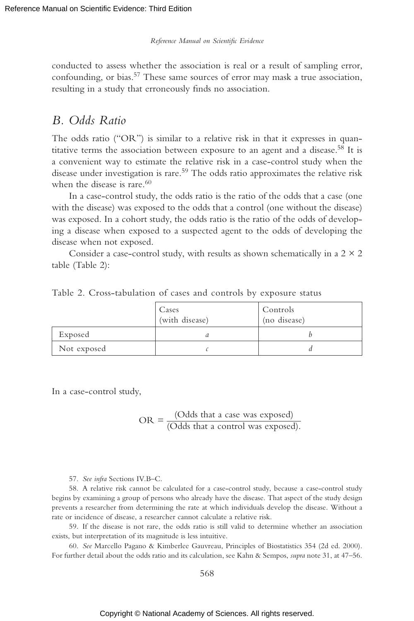conducted to assess whether the association is real or a result of sampling error, confounding, or bias.<sup>57</sup> These same sources of error may mask a true association, resulting in a study that erroneously finds no association.

### *B. Odds Ratio*

The odds ratio ("OR") is similar to a relative risk in that it expresses in quantitative terms the association between exposure to an agent and a disease.<sup>58</sup> It is a convenient way to estimate the relative risk in a case-control study when the disease under investigation is rare.<sup>59</sup> The odds ratio approximates the relative risk when the disease is rare.<sup>60</sup>

In a case-control study, the odds ratio is the ratio of the odds that a case (one with the disease) was exposed to the odds that a control (one without the disease) was exposed. In a cohort study, the odds ratio is the ratio of the odds of developing a disease when exposed to a suspected agent to the odds of developing the disease when not exposed.

Consider a case-control study, with results as shown schematically in a  $2 \times 2$ table (Table 2):

|             | Cases<br>(with disease) | Controls<br>(no disease) |
|-------------|-------------------------|--------------------------|
| Exposed     |                         |                          |
| Not exposed |                         |                          |

Table 2. Cross-tabulation of cases and controls by exposure status

In a case-control study,

$$
OR = \frac{(Odds that a case was exposed)}{(Odds that a control was exposed)}.
$$

57. *See infra* Sections IV.B–C.

58. A relative risk cannot be calculated for a case-control study, because a case-control study begins by examining a group of persons who already have the disease. That aspect of the study design prevents a researcher from determining the rate at which individuals develop the disease. Without a rate or incidence of disease, a researcher cannot calculate a relative risk.

59. If the disease is not rare, the odds ratio is still valid to determine whether an association exists, but interpretation of its magnitude is less intuitive.

60. *See* Marcello Pagano & Kimberlee Gauvreau, Principles of Biostatistics 354 (2d ed. 2000). For further detail about the odds ratio and its calculation, see Kahn & Sempos, *supra* note 31, at 47–56.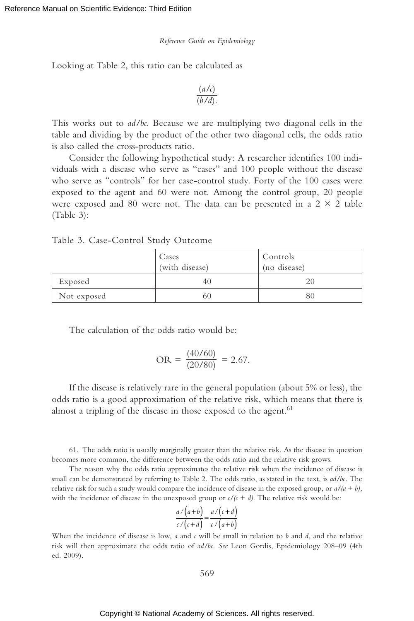Looking at Table 2, this ratio can be calculated as

$$
\frac{(a/c)}{(b/d)}
$$

This works out to *ad/bc*. Because we are multiplying two diagonal cells in the table and dividing by the product of the other two diagonal cells, the odds ratio is also called the cross-products ratio.

Consider the following hypothetical study: A researcher identifies 100 individuals with a disease who serve as "cases" and 100 people without the disease who serve as "controls" for her case-control study. Forty of the 100 cases were exposed to the agent and 60 were not. Among the control group, 20 people were exposed and 80 were not. The data can be presented in a  $2 \times 2$  table (Table 3):

|  | Table 3. Case-Control Study Outcome |  |  |
|--|-------------------------------------|--|--|
|--|-------------------------------------|--|--|

|             | Cases<br>(with disease) | Controls<br>(no disease) |
|-------------|-------------------------|--------------------------|
| Exposed     |                         | 20                       |
| Not exposed | ЭU                      | 80                       |

The calculation of the odds ratio would be:

$$
OR = \frac{(40/60)}{(20/80)} = 2.67.
$$

If the disease is relatively rare in the general population (about 5% or less), the odds ratio is a good approximation of the relative risk, which means that there is almost a tripling of the disease in those exposed to the agent. $61$ 

61. The odds ratio is usually marginally greater than the relative risk. As the disease in question becomes more common, the difference between the odds ratio and the relative risk grows.

The reason why the odds ratio approximates the relative risk when the incidence of disease is small can be demonstrated by referring to Table 2. The odds ratio, as stated in the text, is *ad/bc.* The relative risk for such a study would compare the incidence of disease in the exposed group, or *a/(a + b),* with the incidence of disease in the unexposed group or  $c/(c + d)$ . The relative risk would be:

$$
\frac{a/(a+b)}{c/(c+d)} = \frac{a/(c+d)}{c/(a+b)}
$$

When the incidence of disease is low, *a* and *c* will be small in relation to *b* and *d*, and the relative risk will then approximate the odds ratio of *ad/bc*. *See* Leon Gordis, Epidemiology 208–09 (4th ed. 2009).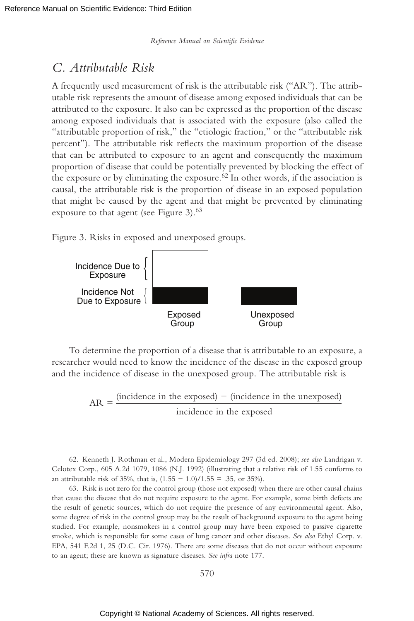### *C. Attributable Risk*

A frequently used measurement of risk is the attributable risk ("AR"). The attributable risk represents the amount of disease among exposed individuals that can be attributed to the exposure. It also can be expressed as the proportion of the disease among exposed individuals that is associated with the exposure (also called the "attributable proportion of risk," the "etiologic fraction," or the "attributable risk percent"). The attributable risk reflects the maximum proportion of the disease that can be attributed to exposure to an agent and consequently the maximum proportion of disease that could be potentially prevented by blocking the effect of the exposure or by eliminating the exposure. $62$  In other words, if the association is causal, the attributable risk is the proportion of disease in an exposed population that might be caused by the agent and that might be prevented by eliminating exposure to that agent (see Figure 3). $63$ 





To determine the proportion of a disease that is attributable to an exposure, a researcher would need to know the incidence of the disease in the exposed group and the incidence of disease in the unexposed group. The attributable risk is

$$
AR = \frac{\text{(incidence in the exposed)} - \text{(incidence in the unexposed)}}{\text{incidence in the exposed}}
$$

62. Kenneth J. Rothman et al., Modern Epidemiology 297 (3d ed. 2008); *see also* Landrigan v. Celotex Corp., 605 A.2d 1079, 1086 (N.J. 1992) (illustrating that a relative risk of 1.55 conforms to an attributable risk of 35%, that is,  $(1.55 - 1.0)/1.55 = .35$ , or 35%).

63. Risk is not zero for the control group (those not exposed) when there are other causal chains that cause the disease that do not require exposure to the agent. For example, some birth defects are the result of genetic sources, which do not require the presence of any environmental agent. Also, some degree of risk in the control group may be the result of background exposure to the agent being studied. For example, nonsmokers in a control group may have been exposed to passive cigarette smoke, which is responsible for some cases of lung cancer and other diseases. *See also* Ethyl Corp. v. EPA, 541 F.2d 1, 25 (D.C. Cir. 1976). There are some diseases that do not occur without exposure to an agent; these are known as signature diseases. *See infra* note 177.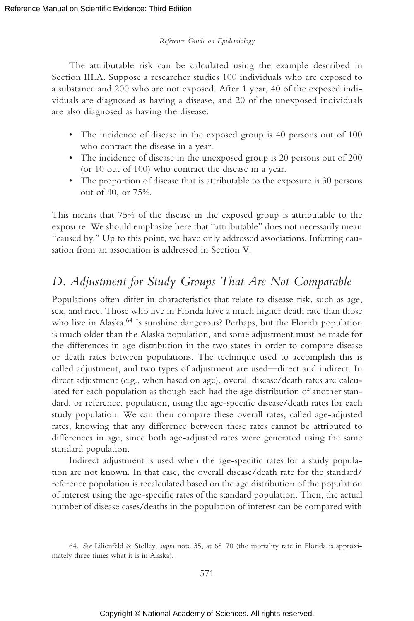The attributable risk can be calculated using the example described in Section III.A. Suppose a researcher studies 100 individuals who are exposed to a substance and 200 who are not exposed. After 1 year, 40 of the exposed individuals are diagnosed as having a disease, and 20 of the unexposed individuals are also diagnosed as having the disease.

- The incidence of disease in the exposed group is 40 persons out of 100 who contract the disease in a year.
- The incidence of disease in the unexposed group is 20 persons out of 200 (or 10 out of 100) who contract the disease in a year.
- The proportion of disease that is attributable to the exposure is 30 persons out of 40, or 75%.

This means that 75% of the disease in the exposed group is attributable to the exposure. We should emphasize here that "attributable" does not necessarily mean "caused by." Up to this point, we have only addressed associations. Inferring causation from an association is addressed in Section V.

### *D. Adjustment for Study Groups That Are Not Comparable*

Populations often differ in characteristics that relate to disease risk, such as age, sex, and race. Those who live in Florida have a much higher death rate than those who live in Alaska.<sup>64</sup> Is sunshine dangerous? Perhaps, but the Florida population is much older than the Alaska population, and some adjustment must be made for the differences in age distribution in the two states in order to compare disease or death rates between populations. The technique used to accomplish this is called adjustment, and two types of adjustment are used—direct and indirect. In direct adjustment (e.g., when based on age), overall disease/death rates are calculated for each population as though each had the age distribution of another standard, or reference, population, using the age-specific disease/death rates for each study population. We can then compare these overall rates, called age-adjusted rates, knowing that any difference between these rates cannot be attributed to differences in age, since both age-adjusted rates were generated using the same standard population.

Indirect adjustment is used when the age-specific rates for a study population are not known. In that case, the overall disease/death rate for the standard/ reference population is recalculated based on the age distribution of the population of interest using the age-specific rates of the standard population. Then, the actual number of disease cases/deaths in the population of interest can be compared with

<sup>64.</sup> *See* Lilienfeld & Stolley, *supra* note 35, at 68–70 (the mortality rate in Florida is approximately three times what it is in Alaska).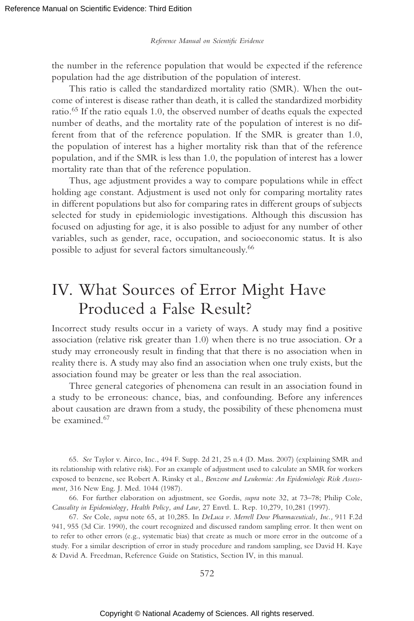the number in the reference population that would be expected if the reference population had the age distribution of the population of interest.

This ratio is called the standardized mortality ratio (SMR). When the outcome of interest is disease rather than death, it is called the standardized morbidity ratio.<sup>65</sup> If the ratio equals 1.0, the observed number of deaths equals the expected number of deaths, and the mortality rate of the population of interest is no different from that of the reference population. If the SMR is greater than 1.0, the population of interest has a higher mortality risk than that of the reference population, and if the SMR is less than 1.0, the population of interest has a lower mortality rate than that of the reference population.

Thus, age adjustment provides a way to compare populations while in effect holding age constant. Adjustment is used not only for comparing mortality rates in different populations but also for comparing rates in different groups of subjects selected for study in epidemiologic investigations. Although this discussion has focused on adjusting for age, it is also possible to adjust for any number of other variables, such as gender, race, occupation, and socioeconomic status. It is also possible to adjust for several factors simultaneously.<sup>66</sup>

## IV. What Sources of Error Might Have Produced a False Result?

Incorrect study results occur in a variety of ways. A study may find a positive association (relative risk greater than 1.0) when there is no true association. Or a study may erroneously result in finding that that there is no association when in reality there is. A study may also find an association when one truly exists, but the association found may be greater or less than the real association.

Three general categories of phenomena can result in an association found in a study to be erroneous: chance, bias, and confounding. Before any inferences about causation are drawn from a study, the possibility of these phenomena must be examined.67

65. *See* Taylor v. Airco, Inc., 494 F. Supp. 2d 21, 25 n.4 (D. Mass. 2007) (explaining SMR and its relationship with relative risk). For an example of adjustment used to calculate an SMR for workers exposed to benzene, see Robert A. Rinsky et al., *Benzene and Leukemia: An Epidemiologic Risk Assessment,* 316 New Eng. J. Med. 1044 (1987).

66. For further elaboration on adjustment, see Gordis, *supra* note 32, at 73–78; Philip Cole, *Causality in Epidemiology, Health Policy, and Law,* 27 Envtl. L. Rep. 10,279, 10,281 (1997).

67. *See* Cole, *supra* note 65, at 10,285. In *DeLuca v. Merrell Dow Pharmaceuticals, Inc.,* 911 F.2d 941, 955 (3d Cir. 1990), the court recognized and discussed random sampling error. It then went on to refer to other errors (e.g., systematic bias) that create as much or more error in the outcome of a study. For a similar description of error in study procedure and random sampling, see David H. Kaye & David A. Freedman, Reference Guide on Statistics, Section IV, in this manual.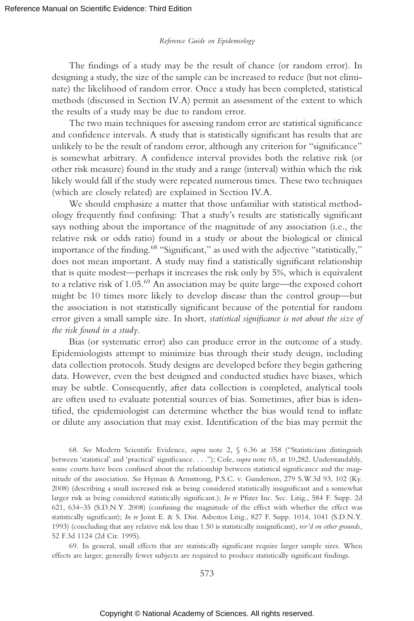The findings of a study may be the result of chance (or random error). In designing a study, the size of the sample can be increased to reduce (but not eliminate) the likelihood of random error. Once a study has been completed, statistical methods (discussed in Section IV.A) permit an assessment of the extent to which the results of a study may be due to random error.

The two main techniques for assessing random error are statistical significance and confidence intervals. A study that is statistically significant has results that are unlikely to be the result of random error, although any criterion for "significance" is somewhat arbitrary. A confidence interval provides both the relative risk (or other risk measure) found in the study and a range (interval) within which the risk likely would fall if the study were repeated numerous times. These two techniques (which are closely related) are explained in Section IV.A.

We should emphasize a matter that those unfamiliar with statistical methodology frequently find confusing: That a study's results are statistically significant says nothing about the importance of the magnitude of any association (i.e., the relative risk or odds ratio) found in a study or about the biological or clinical importance of the finding.<sup>68</sup> "Significant," as used with the adjective "statistically," does not mean important. A study may find a statistically significant relationship that is quite modest—perhaps it increases the risk only by 5%, which is equivalent to a relative risk of  $1.05^{69}$  An association may be quite large—the exposed cohort might be 10 times more likely to develop disease than the control group—but the association is not statistically significant because of the potential for random error given a small sample size. In short, *statistical significance is not about the size of the risk found in a study*.

Bias (or systematic error) also can produce error in the outcome of a study. Epidemiologists attempt to minimize bias through their study design, including data collection protocols. Study designs are developed before they begin gathering data. However, even the best designed and conducted studies have biases, which may be subtle. Consequently, after data collection is completed, analytical tools are often used to evaluate potential sources of bias. Sometimes, after bias is identified, the epidemiologist can determine whether the bias would tend to inflate or dilute any association that may exist. Identification of the bias may permit the

68. *See* Modern Scientific Evidence, *supra* note 2, § 6.36 at 358 ("Statisticians distinguish between 'statistical' and 'practical' significance. . . ."); Cole, *supra* note 65, at 10,282. Understandably, some courts have been confused about the relationship between statistical significance and the magnitude of the association. *See* Hyman & Armstrong, P.S.C. v. Gunderson, 279 S.W.3d 93, 102 (Ky. 2008) (describing a small increased risk as being considered statistically insignificant and a somewhat larger risk as being considered statistically significant.); *In re* Pfizer Inc. Sec. Litig., 584 F. Supp. 2d 621, 634–35 (S.D.N.Y. 2008) (confusing the magnitude of the effect with whether the effect was statistically significant); *In re* Joint E. & S. Dist. Asbestos Litig., 827 F. Supp. 1014, 1041 (S.D.N.Y. 1993) (concluding that any relative risk less than 1.50 is statistically insignificant), *rev'd on other grounds,* 52 F.3d 1124 (2d Cir. 1995).

69. In general, small effects that are statistically significant require larger sample sizes. When effects are larger, generally fewer subjects are required to produce statistically significant findings.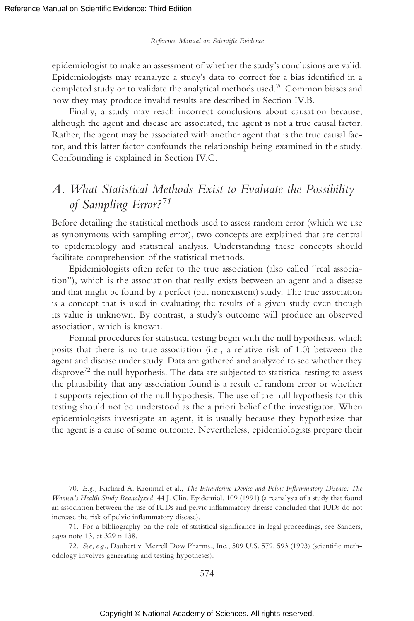epidemiologist to make an assessment of whether the study's conclusions are valid. Epidemiologists may reanalyze a study's data to correct for a bias identified in a completed study or to validate the analytical methods used.70 Common biases and how they may produce invalid results are described in Section IV.B.

Finally, a study may reach incorrect conclusions about causation because, although the agent and disease are associated, the agent is not a true causal factor. Rather, the agent may be associated with another agent that is the true causal factor, and this latter factor confounds the relationship being examined in the study. Confounding is explained in Section IV.C.

### *A. What Statistical Methods Exist to Evaluate the Possibility of Sampling Error?71*

Before detailing the statistical methods used to assess random error (which we use as synonymous with sampling error), two concepts are explained that are central to epidemiology and statistical analysis. Understanding these concepts should facilitate comprehension of the statistical methods.

Epidemiologists often refer to the true association (also called "real association"), which is the association that really exists between an agent and a disease and that might be found by a perfect (but nonexistent) study. The true association is a concept that is used in evaluating the results of a given study even though its value is unknown. By contrast, a study's outcome will produce an observed association, which is known.

Formal procedures for statistical testing begin with the null hypothesis, which posits that there is no true association (i.e., a relative risk of 1.0) between the agent and disease under study. Data are gathered and analyzed to see whether they disprove<sup>72</sup> the null hypothesis. The data are subjected to statistical testing to assess the plausibility that any association found is a result of random error or whether it supports rejection of the null hypothesis. The use of the null hypothesis for this testing should not be understood as the a priori belief of the investigator. When epidemiologists investigate an agent, it is usually because they hypothesize that the agent is a cause of some outcome. Nevertheless, epidemiologists prepare their

70. *E.g.,* Richard A. Kronmal et al., *The Intrauterine Device and Pelvic Inflammatory Disease: The Women's Health Study Reanalyzed,* 44 J. Clin. Epidemiol. 109 (1991) (a reanalysis of a study that found an association between the use of IUDs and pelvic inflammatory disease concluded that IUDs do not increase the risk of pelvic inflammatory disease).

71. For a bibliography on the role of statistical significance in legal proceedings, see Sanders, *supra* note 13, at 329 n.138.

72. *See, e.g.,* Daubert v. Merrell Dow Pharms., Inc., 509 U.S. 579, 593 (1993) (scientific methodology involves generating and testing hypotheses).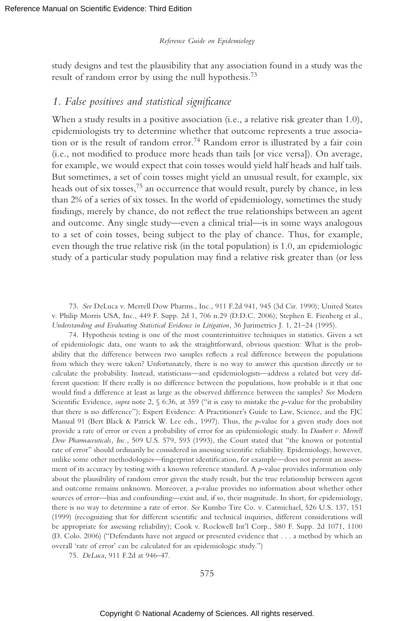study designs and test the plausibility that any association found in a study was the result of random error by using the null hypothesis.<sup>73</sup>

### *1. False positives and statistical significance*

When a study results in a positive association (i.e., a relative risk greater than 1.0), epidemiologists try to determine whether that outcome represents a true association or is the result of random error.<sup>74</sup> Random error is illustrated by a fair coin (i.e., not modified to produce more heads than tails [or vice versa]). On average, for example, we would expect that coin tosses would yield half heads and half tails. But sometimes, a set of coin tosses might yield an unusual result, for example, six heads out of six tosses,<sup>75</sup> an occurrence that would result, purely by chance, in less than 2% of a series of six tosses. In the world of epidemiology, sometimes the study findings, merely by chance, do not reflect the true relationships between an agent and outcome. Any single study—even a clinical trial—is in some ways analogous to a set of coin tosses, being subject to the play of chance. Thus, for example, even though the true relative risk (in the total population) is 1.0, an epidemiologic study of a particular study population may find a relative risk greater than (or less

73. *See* DeLuca v. Merrell Dow Pharms., Inc., 911 F.2d 941, 945 (3d Cir. 1990); United States v. Philip Morris USA, Inc., 449 F. Supp. 2d 1, 706 n.29 (D.D.C. 2006); Stephen E. Fienberg et al., *Understanding and Evaluating Statistical Evidence in Litigation,* 36 Jurimetrics J. 1, 21–24 (1995).

74. Hypothesis testing is one of the most counterintuitive techniques in statistics. Given a set of epidemiologic data, one wants to ask the straightforward, obvious question: What is the probability that the difference between two samples reflects a real difference between the populations from which they were taken? Unfortunately, there is no way to answer this question directly or to calculate the probability. Instead, statisticians—and epidemiologists—address a related but very different question: If there really is no difference between the populations, how probable is it that one would find a difference at least as large as the observed difference between the samples? *See* Modern Scientific Evidence, *supra* note 2, § 6:36, at 359 ("it is easy to mistake the *p*-value for the probability that there is no difference"); Expert Evidence: A Practitioner's Guide to Law, Science, and the FJC Manual 91 (Bert Black & Patrick W. Lee eds., 1997). Thus, the *p*-value for a given study does not provide a rate of error or even a probability of error for an epidemiologic study. In *Daubert v. Merrell Dow Pharmaceuticals, Inc.,* 509 U.S. 579, 593 (1993), the Court stated that "the known or potential rate of error" should ordinarily be considered in assessing scientific reliability. Epidemiology, however, unlike some other methodologies—fingerprint identification, for example—does not permit an assessment of its accuracy by testing with a known reference standard. A *p*-value provides information only about the plausibility of random error given the study result, but the true relationship between agent and outcome remains unknown. Moreover, a *p*-value provides no information about whether other sources of error—bias and confounding—exist and, if so, their magnitude. In short, for epidemiology, there is no way to determine a rate of error. *See* Kumho Tire Co. v. Carmichael, 526 U.S. 137, 151 (1999) (recognizing that for different scientific and technical inquiries, different considerations will be appropriate for assessing reliability); Cook v. Rockwell Int'l Corp., 580 F. Supp. 2d 1071, 1100 (D. Colo. 2006) ("Defendants have not argued or presented evidence that . . . a method by which an overall 'rate of error' can be calculated for an epidemiologic study.")

75. *DeLuca*, 911 F.2d at 946–47.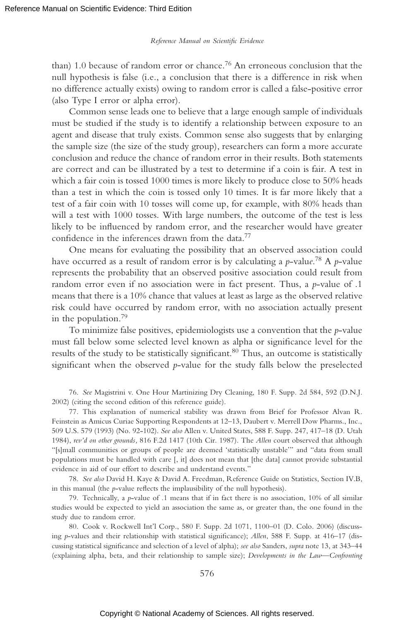than) 1.0 because of random error or chance.<sup>76</sup> An erroneous conclusion that the null hypothesis is false (i.e., a conclusion that there is a difference in risk when no difference actually exists) owing to random error is called a false-positive error (also Type I error or alpha error).

Common sense leads one to believe that a large enough sample of individuals must be studied if the study is to identify a relationship between exposure to an agent and disease that truly exists. Common sense also suggests that by enlarging the sample size (the size of the study group), researchers can form a more accurate conclusion and reduce the chance of random error in their results. Both statements are correct and can be illustrated by a test to determine if a coin is fair. A test in which a fair coin is tossed 1000 times is more likely to produce close to 50% heads than a test in which the coin is tossed only 10 times. It is far more likely that a test of a fair coin with 10 tosses will come up, for example, with 80% heads than will a test with 1000 tosses. With large numbers, the outcome of the test is less likely to be influenced by random error, and the researcher would have greater confidence in the inferences drawn from the data.<sup>77</sup>

One means for evaluating the possibility that an observed association could have occurred as a result of random error is by calculating a *p*-valu*e*. 78 A *p*-value represents the probability that an observed positive association could result from random error even if no association were in fact present. Thus, a *p*-value of .1 means that there is a 10% chance that values at least as large as the observed relative risk could have occurred by random error, with no association actually present in the population.<sup>79</sup>

To minimize false positives, epidemiologists use a convention that the *p*-value must fall below some selected level known as alpha or significance level for the results of the study to be statistically significant.<sup>80</sup> Thus, an outcome is statistically significant when the observed *p*-value for the study falls below the preselected

76. *See* Magistrini v. One Hour Martinizing Dry Cleaning, 180 F. Supp. 2d 584, 592 (D.N.J. 2002) (citing the second edition of this reference guide).

77. This explanation of numerical stability was drawn from Brief for Professor Alvan R. Feinstein as Amicus Curiae Supporting Respondents at 12–13, Daubert v. Merrell Dow Pharms., Inc., 509 U.S. 579 (1993) (No. 92-102). *See also* Allen v. United States, 588 F. Supp. 247, 417–18 (D. Utah 1984), *rev'd on other grounds,* 816 F.2d 1417 (10th Cir. 1987). The *Allen* court observed that although "[s]mall communities or groups of people are deemed 'statistically unstable'" and "data from small populations must be handled with care [, it] does not mean that [the data] cannot provide substantial evidence in aid of our effort to describe and understand events."

78. *See also* David H. Kaye & David A. Freedman, Reference Guide on Statistics, Section IV.B, in this manual (the *p*-value reflects the implausibility of the null hypothesis).

79. Technically, a *p*-value of .1 means that if in fact there is no association, 10% of all similar studies would be expected to yield an association the same as, or greater than, the one found in the study due to random error.

80. Cook v. Rockwell Int'l Corp., 580 F. Supp. 2d 1071, 1100–01 (D. Colo. 2006) (discussing *p*-values and their relationship with statistical significance); *Allen*, 588 F. Supp. at 416–17 (discussing statistical significance and selection of a level of alpha); *see also* Sanders, *supra* note 13, at 343–44 (explaining alpha, beta, and their relationship to sample size); *Developments in the Law—Confronting*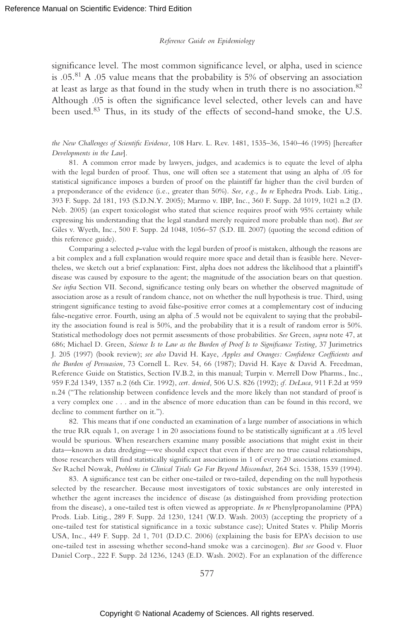significance level. The most common significance level, or alpha, used in science is  $0.05^{81}$  A  $0.05$  value means that the probability is 5% of observing an association at least as large as that found in the study when in truth there is no association.<sup>82</sup> Although .05 is often the significance level selected, other levels can and have been used.<sup>83</sup> Thus, in its study of the effects of second-hand smoke, the U.S.

### *the New Challenges of Scientific Evidence,* 108 Harv. L. Rev. 1481, 1535–36, 1540–46 (1995) [hereafter *Developments in the Law*].

81. A common error made by lawyers, judges, and academics is to equate the level of alpha with the legal burden of proof. Thus, one will often see a statement that using an alpha of .05 for statistical significance imposes a burden of proof on the plaintiff far higher than the civil burden of a preponderance of the evidence (i.e., greater than 50%). *See, e.g., In re* Ephedra Prods. Liab. Litig., 393 F. Supp. 2d 181, 193 (S.D.N.Y. 2005); Marmo v. IBP, Inc., 360 F. Supp. 2d 1019, 1021 n.2 (D. Neb. 2005) (an expert toxicologist who stated that science requires proof with 95% certainty while expressing his understanding that the legal standard merely required more probable than not). *But see*  Giles v. Wyeth, Inc., 500 F. Supp. 2d 1048, 1056–57 (S.D. Ill. 2007) (quoting the second edition of this reference guide).

Comparing a selected *p*-value with the legal burden of proof is mistaken, although the reasons are a bit complex and a full explanation would require more space and detail than is feasible here. Nevertheless, we sketch out a brief explanation: First, alpha does not address the likelihood that a plaintiff's disease was caused by exposure to the agent; the magnitude of the association bears on that question. *See infra* Section VII. Second, significance testing only bears on whether the observed magnitude of association arose as a result of random chance, not on whether the null hypothesis is true. Third, using stringent significance testing to avoid false-positive error comes at a complementary cost of inducing false-negative error. Fourth, using an alpha of .5 would not be equivalent to saying that the probability the association found is real is 50%, and the probability that it is a result of random error is 50%. Statistical methodology does not permit assessments of those probabilities. *See* Green, *supra* note 47, at 686; Michael D. Green, *Science Is to Law as the Burden of Proof Is to Significance Testing,* 37 Jurimetrics J. 205 (1997) (book review); *see also* David H. Kaye, *Apples and Oranges: Confidence Coefficients and the Burden of Persuasion,* 73 Cornell L. Rev. 54, 66 (1987); David H. Kaye & David A. Freedman, Reference Guide on Statistics, Section IV.B.2, in this manual; Turpin v. Merrell Dow Pharms., Inc., 959 F.2d 1349, 1357 n.2 (6th Cir. 1992), *cert. denied,* 506 U.S. 826 (1992); *cf. DeLuca,* 911 F.2d at 959 n.24 ("The relationship between confidence levels and the more likely than not standard of proof is a very complex one . . . and in the absence of more education than can be found in this record, we decline to comment further on it.").

82. This means that if one conducted an examination of a large number of associations in which the true RR equals 1, on average 1 in 20 associations found to be statistically significant at a .05 level would be spurious. When researchers examine many possible associations that might exist in their data—known as data dredging—we should expect that even if there are no true causal relationships, those researchers will find statistically significant associations in 1 of every 20 associations examined. *See* Rachel Nowak, *Problems in Clinical Trials Go Far Beyond Misconduct,* 264 Sci. 1538, 1539 (1994).

83. A significance test can be either one-tailed or two-tailed, depending on the null hypothesis selected by the researcher. Because most investigators of toxic substances are only interested in whether the agent increases the incidence of disease (as distinguished from providing protection from the disease), a one-tailed test is often viewed as appropriate. *In re* Phenylpropanolamine (PPA) Prods. Liab. Litig., 289 F. Supp. 2d 1230, 1241 (W.D. Wash. 2003) (accepting the propriety of a one-tailed test for statistical significance in a toxic substance case); United States v. Philip Morris USA, Inc., 449 F. Supp. 2d 1, 701 (D.D.C. 2006) (explaining the basis for EPA's decision to use one-tailed test in assessing whether second-hand smoke was a carcinogen). *But see* Good v. Fluor Daniel Corp., 222 F. Supp. 2d 1236, 1243 (E.D. Wash. 2002). For an explanation of the difference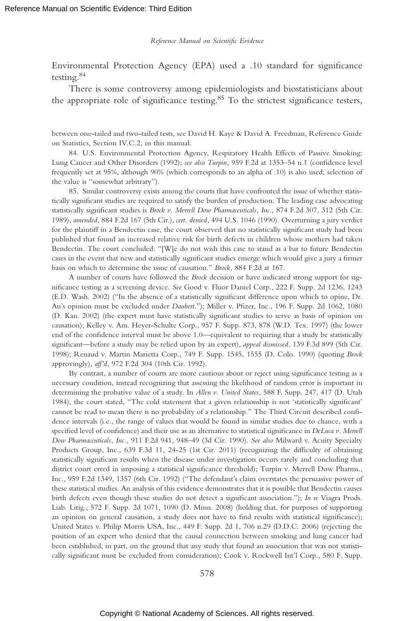Environmental Protection Agency (EPA) used a .10 standard for significance testing.84

There is some controversy among epidemiologists and biostatisticians about the appropriate role of significance testing.<sup>85</sup> To the strictest significance testers,

between one-tailed and two-tailed tests, see David H. Kaye & David A. Freedman, Reference Guide on Statistics, Section IV.C.2, in this manual.

84. U.S. Environmental Protection Agency, Respiratory Health Effects of Passive Smoking: Lung Cancer and Other Disorders (1992); *see also Turpin,* 959 F.2d at 1353–54 n.1 (confidence level frequently set at 95%, although 90% (which corresponds to an alpha of .10) is also used; selection of the value is "somewhat arbitrary").

85. Similar controversy exists among the courts that have confronted the issue of whether statistically significant studies are required to satisfy the burden of production. The leading case advocating statistically significant studies is *Brock v. Merrell Dow Pharmaceuticals, Inc.,* 874 F.2d 307, 312 (5th Cir. 1989), *amended,* 884 F.2d 167 (5th Cir.), *cert. denied,* 494 U.S. 1046 (1990). Overturning a jury verdict for the plaintiff in a Bendectin case, the court observed that no statistically significant study had been published that found an increased relative risk for birth defects in children whose mothers had taken Bendectin. The court concluded: "[W]e do not wish this case to stand as a bar to future Bendectin cases in the event that new and statistically significant studies emerge which would give a jury a firmer basis on which to determine the issue of causation." *Brock,* 884 F.2d at 167.

A number of courts have followed the *Brock* decision or have indicated strong support for significance testing as a screening device. *See* Good v. Fluor Daniel Corp., 222 F. Supp. 2d 1236, 1243 (E.D. Wash. 2002) ("In the absence of a statistically significant difference upon which to opine, Dr. Au's opinion must be excluded under *Daubert*."); Miller v. Pfizer, Inc., 196 F. Supp. 2d 1062, 1080 (D. Kan. 2002) (the expert must have statistically significant studies to serve as basis of opinion on causation); Kelley v. Am. Heyer-Schulte Corp., 957 F. Supp. 873, 878 (W.D. Tex. 1997) (the lower end of the confidence interval must be above 1.0—equivalent to requiring that a study be statistically significant—before a study may be relied upon by an expert), *appeal dismissed,* 139 F.3d 899 (5th Cir. 1998); Renaud v. Martin Marietta Corp., 749 F. Supp. 1545, 1555 (D. Colo. 1990) (quoting *Brock* approvingly), *aff'd,* 972 F.2d 304 (10th Cir. 1992).

By contrast, a number of courts are more cautious about or reject using significance testing as a necessary condition, instead recognizing that assessing the likelihood of random error is important in determining the probative value of a study. In *Allen v. United States,* 588 F. Supp. 247, 417 (D. Utah 1984), the court stated, "The cold statement that a given relationship is not 'statistically significant' cannot be read to mean there is no probability of a relationship." The Third Circuit described confidence intervals (i.e., the range of values that would be found in similar studies due to chance, with a specified level of confidence) and their use as an alternative to statistical significance in *DeLuca v. Merrell Dow Pharmaceuticals, Inc.,* 911 F.2d 941, 948–49 (3d Cir. 1990). *See also* Milward v. Acuity Specialty Products Group, Inc., 639 F.3d 11, 24-25 (1st Cir. 2011) (recognizing the difficulty of obtaining statistically significant results when the disease under investigation occurs rarely and concluding that district court erred in imposing a statistical significance threshold); Turpin v. Merrell Dow Pharms., Inc., 959 F.2d 1349, 1357 (6th Cir. 1992) ("The defendant's claim overstates the persuasive power of these statistical studies. An analysis of this evidence demonstrates that it is possible that Bendectin causes birth defects even though these studies do not detect a significant association."); *In re* Viagra Prods. Liab. Litig., 572 F. Supp. 2d 1071, 1090 (D. Minn. 2008) (holding that, for purposes of supporting an opinion on general causation, a study does not have to find results with statistical significance); United States v. Philip Morris USA, Inc., 449 F. Supp. 2d 1, 706 n.29 (D.D.C. 2006) (rejecting the position of an expert who denied that the causal connection between smoking and lung cancer had been established, in part, on the ground that any study that found an association that was not statistically significant must be excluded from consideration); Cook v. Rockwell Int'l Corp., 580 F. Supp.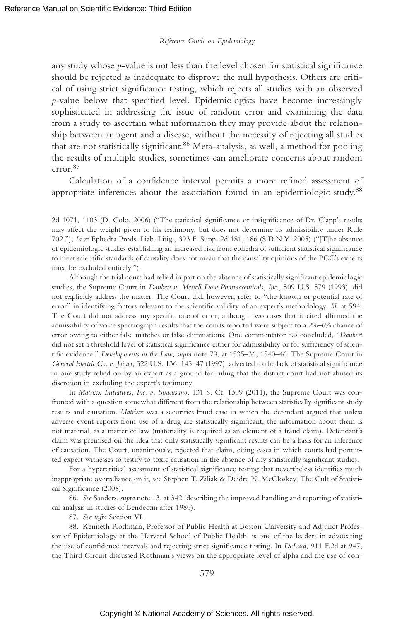any study whose *p*-value is not less than the level chosen for statistical significance should be rejected as inadequate to disprove the null hypothesis. Others are critical of using strict significance testing, which rejects all studies with an observed *p-*value below that specified level. Epidemiologists have become increasingly sophisticated in addressing the issue of random error and examining the data from a study to ascertain what information they may provide about the relationship between an agent and a disease, without the necessity of rejecting all studies that are not statistically significant.<sup>86</sup> Meta-analysis, as well, a method for pooling the results of multiple studies, sometimes can ameliorate concerns about random error.87

Calculation of a confidence interval permits a more refined assessment of appropriate inferences about the association found in an epidemiologic study.<sup>88</sup>

2d 1071, 1103 (D. Colo. 2006) ("The statistical significance or insignificance of Dr. Clapp's results may affect the weight given to his testimony, but does not determine its admissibility under Rule 702."); *In re* Ephedra Prods. Liab. Litig., 393 F. Supp. 2d 181, 186 (S.D.N.Y. 2005) ("[T]he absence of epidemiologic studies establishing an increased risk from ephedra of sufficient statistical significance to meet scientific standards of causality does not mean that the causality opinions of the PCC's experts must be excluded entirely.").

Although the trial court had relied in part on the absence of statistically significant epidemiologic studies, the Supreme Court in *Daubert v. Merrell Dow Pharmaceuticals, Inc.,* 509 U.S. 579 (1993), did not explicitly address the matter. The Court did, however, refer to "the known or potential rate of error" in identifying factors relevant to the scientific validity of an expert's methodology. *Id.* at 594. The Court did not address any specific rate of error, although two cases that it cited affirmed the admissibility of voice spectrograph results that the courts reported were subject to a 2%–6% chance of error owing to either false matches or false eliminations. One commentator has concluded, "*Daubert* did not set a threshold level of statistical significance either for admissibility or for sufficiency of scientific evidence." *Developments in the Law, supra* note 79, at 1535–36, 1540–46. The Supreme Court in *General Electric Co. v. Joiner,* 522 U.S. 136, 145–47 (1997), adverted to the lack of statistical significance in one study relied on by an expert as a ground for ruling that the district court had not abused its discretion in excluding the expert's testimony.

In *Matrixx Initiatives, Inc. v. Siracusano,* 131 S. Ct. 1309 (2011), the Supreme Court was confronted with a question somewhat different from the relationship between statistically significant study results and causation. *Matrixx* was a securities fraud case in which the defendant argued that unless adverse event reports from use of a drug are statistically significant, the information about them is not material, as a matter of law (materiality is required as an element of a fraud claim). Defendant's claim was premised on the idea that only statistically significant results can be a basis for an inference of causation. The Court, unanimously, rejected that claim, citing cases in which courts had permitted expert witnesses to testify to toxic causation in the absence of any statistically significant studies.

For a hypercritical assessment of statistical significance testing that nevertheless identifies much inappropriate overreliance on it, see Stephen T. Ziliak & Deidre N. McCloskey, The Cult of Statistical Significance (2008).

86. *See* Sanders, *supra* note 13, at 342 (describing the improved handling and reporting of statistical analysis in studies of Bendectin after 1980).

87. *See infra* Section VI.

88. Kenneth Rothman, Professor of Public Health at Boston University and Adjunct Professor of Epidemiology at the Harvard School of Public Health, is one of the leaders in advocating the use of confidence intervals and rejecting strict significance testing. In *DeLuca*, 911 F.2d at 947, the Third Circuit discussed Rothman's views on the appropriate level of alpha and the use of con-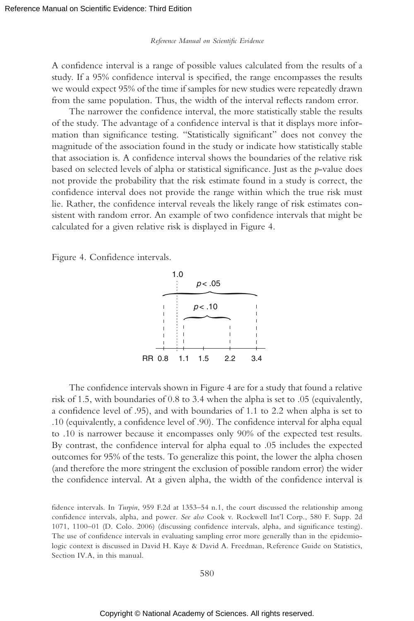A confidence interval is a range of possible values calculated from the results of a study. If a 95% confidence interval is specified, the range encompasses the results we would expect 95% of the time if samples for new studies were repeatedly drawn from the same population. Thus, the width of the interval reflects random error.

The narrower the confidence interval, the more statistically stable the results of the study. The advantage of a confidence interval is that it displays more information than significance testing. "Statistically significant" does not convey the magnitude of the association found in the study or indicate how statistically stable that association is. A confidence interval shows the boundaries of the relative risk based on selected levels of alpha or statistical significance. Just as the *p*-value does not provide the probability that the risk estimate found in a study is correct, the confidence interval does not provide the range within which the true risk must lie. Rather, the confidence interval reveals the likely range of risk estimates consistent with random error. An example of two confidence intervals that might be calculated for a given relative risk is displayed in Figure 4.

Figure 4. Confidence intervals.



The confidence intervals shown in Figure 4 are for a study that found a relative risk of 1.5, with boundaries of 0.8 to 3.4 when the alpha is set to .05 (equivalently, a confidence level of  $.95$ ), and with boundaries of 1.1 to 2.2 when alpha is set to  $.05$ .10 (equivalently, a confidence level of .90). The confidence interval for alpha equal to .10 is narrower because it encompasses only 90% of the expected test results. By contrast, the confidence interval for alpha equal to  $.05$  includes the expected  $\overline{a}$ . outcomes for 95% of the tests. To generalize this point, the lower the alpha chosen R01971 (and therefore the more stringent the exclusion of possible random error) the wider the confidence interval. At a given alpha, the width of the confidence interval is

fidence intervals. In *Turpin*, 959 F.2d at 1353–54 n.1, the court discussed the relationship among confidence intervals, alpha, and power. *See also* Cook v. Rockwell Int'l Corp., 580 F. Supp. 2d 1071, 1100–01 (D. Colo. 2006) (discussing confidence intervals, alpha, and significance testing). The use of confidence intervals in evaluating sampling error more generally than in the epidemiologic context is discussed in David H. Kaye & David A. Freedman, Reference Guide on Statistics, Section IV.A, in this manual.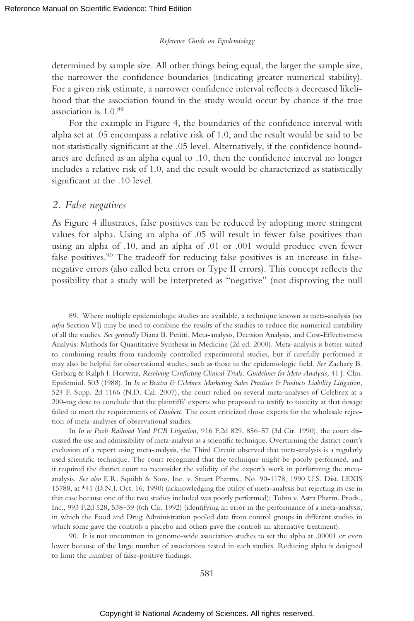determined by sample size. All other things being equal, the larger the sample size, the narrower the confidence boundaries (indicating greater numerical stability). For a given risk estimate, a narrower confidence interval reflects a decreased likelihood that the association found in the study would occur by chance if the true association is 1.0.89

For the example in Figure 4, the boundaries of the confidence interval with alpha set at .05 encompass a relative risk of 1.0, and the result would be said to be not statistically significant at the .05 level. Alternatively, if the confidence boundaries are defined as an alpha equal to .10, then the confidence interval no longer includes a relative risk of 1.0, and the result would be characterized as statistically significant at the .10 level.

### *2. False negatives*

As Figure 4 illustrates, false positives can be reduced by adopting more stringent values for alpha. Using an alpha of .05 will result in fewer false positives than using an alpha of .10, and an alpha of .01 or .001 would produce even fewer false positives.<sup>90</sup> The tradeoff for reducing false positives is an increase in falsenegative errors (also called beta errors or Type II errors). This concept reflects the possibility that a study will be interpreted as "negative" (not disproving the null

89. Where multiple epidemiologic studies are available, a technique known as meta-analysis (*see infra* Section VI) may be used to combine the results of the studies to reduce the numerical instability of all the studies. *See generally* Diana B. Petitti, Meta-analysis, Decision Analysis, and Cost-Effectiveness Analysis: Methods for Quantitative Synthesis in Medicine (2d ed. 2000). Meta-analysis is better suited to combining results from randomly controlled experimental studies, but if carefully performed it may also be helpful for observational studies, such as those in the epidemiologic field. *See* Zachary B. Gerbarg & Ralph I. Horwitz, *Resolving Conflicting Clinical Trials: Guidelines for Meta-Analysis,* 41 J. Clin. Epidemiol. 503 (1988). In *In re Bextra & Celebrex Marketing Sales Practices & Products Liability Litigation,* 524 F. Supp. 2d 1166 (N.D. Cal. 2007), the court relied on several meta-analyses of Celebrex at a 200-mg dose to conclude that the plaintiffs' experts who proposed to testify to toxicity at that dosage failed to meet the requirements of *Daubert*. The court criticized those experts for the wholesale rejection of meta-analyses of observational studies.

In *In re Paoli Railroad Yard PCB Litigation,* 916 F.2d 829, 856–57 (3d Cir. 1990), the court discussed the use and admissibility of meta-analysis as a scientific technique. Overturning the district court's exclusion of a report using meta-analysis, the Third Circuit observed that meta-analysis is a regularly used scientific technique. The court recognized that the technique might be poorly performed, and it required the district court to reconsider the validity of the expert's work in performing the metaanalysis. *See also* E.R. Squibb & Sons, Inc. v. Stuart Pharms., No. 90-1178, 1990 U.S. Dist. LEXIS 15788, at \*41 (D.N.J. Oct. 16, 1990) (acknowledging the utility of meta-analysis but rejecting its use in that case because one of the two studies included was poorly performed); Tobin v. Astra Pharm. Prods., Inc., 993 F.2d 528, 538–39 (6th Cir. 1992) (identifying an error in the performance of a meta-analysis, in which the Food and Drug Administration pooled data from control groups in different studies in which some gave the controls a placebo and others gave the controls an alternative treatment).

90. It is not uncommon in genome-wide association studies to set the alpha at .00001 or even lower because of the large number of associations tested in such studies. Reducing alpha is designed to limit the number of false-positive findings.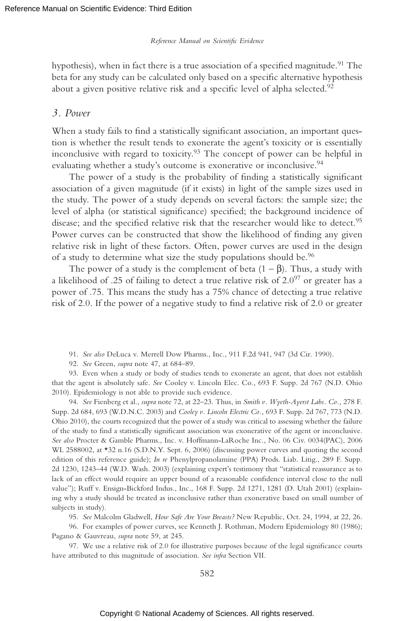hypothesis), when in fact there is a true association of a specified magnitude.<sup>91</sup> The beta for any study can be calculated only based on a specific alternative hypothesis about a given positive relative risk and a specific level of alpha selected.<sup>92</sup>

### *3. Power*

When a study fails to find a statistically significant association, an important question is whether the result tends to exonerate the agent's toxicity or is essentially inconclusive with regard to toxicity.<sup>93</sup> The concept of power can be helpful in evaluating whether a study's outcome is exonerative or inconclusive.<sup>94</sup>

The power of a study is the probability of finding a statistically significant association of a given magnitude (if it exists) in light of the sample sizes used in the study. The power of a study depends on several factors: the sample size; the level of alpha (or statistical significance) specified; the background incidence of disease; and the specified relative risk that the researcher would like to detect.<sup>95</sup> Power curves can be constructed that show the likelihood of finding any given relative risk in light of these factors. Often, power curves are used in the design of a study to determine what size the study populations should be.96

The power of a study is the complement of beta  $(1 - \beta)$ . Thus, a study with a likelihood of .25 of failing to detect a true relative risk of  $2.0^{97}$  or greater has a power of .75. This means the study has a 75% chance of detecting a true relative risk of 2.0. If the power of a negative study to find a relative risk of 2.0 or greater

- 91. *See also* DeLuca v. Merrell Dow Pharms., Inc., 911 F.2d 941, 947 (3d Cir. 1990).
- 92. *See* Green, *supra* note 47, at 684–89.

93. Even when a study or body of studies tends to exonerate an agent, that does not establish that the agent is absolutely safe. *See* Cooley v. Lincoln Elec. Co., 693 F. Supp. 2d 767 (N.D. Ohio 2010). Epidemiology is not able to provide such evidence.

94. *See* Fienberg et al., *supra* note 72, at 22–23. Thus, in *Smith v. Wyeth-Ayerst Labs. Co.,* 278 F. Supp. 2d 684, 693 (W.D.N.C. 2003) and *Cooley v. Lincoln Electric Co.,* 693 F. Supp. 2d 767, 773 (N.D. Ohio 2010), the courts recognized that the power of a study was critical to assessing whether the failure of the study to find a statistically significant association was exonerative of the agent or inconclusive. *See also* Procter & Gamble Pharms., Inc. v. Hoffmann-LaRoche Inc., No. 06 Civ. 0034(PAC), 2006 WL 2588002, at \*32 n.16 (S.D.N.Y. Sept. 6, 2006) (discussing power curves and quoting the second edition of this reference guide); *In re* Phenylpropanolamine (PPA) Prods. Liab. Litig., 289 F. Supp. 2d 1230, 1243–44 (W.D. Wash. 2003) (explaining expert's testimony that "statistical reassurance as to lack of an effect would require an upper bound of a reasonable confidence interval close to the null value"); Ruff v. Ensign-Bickford Indus., Inc., 168 F. Supp. 2d 1271, 1281 (D. Utah 2001) (explaining why a study should be treated as inconclusive rather than exonerative based on small number of subjects in study).

95. *See* Malcolm Gladwell, *How Safe Are Your Breasts?* New Republic, Oct. 24, 1994, at 22, 26.

96. For examples of power curves, see Kenneth J. Rothman, Modern Epidemiology 80 (1986); Pagano & Gauvreau, *supra* note 59, at 245.

97. We use a relative risk of 2.0 for illustrative purposes because of the legal significance courts have attributed to this magnitude of association. *See infra* Section VII.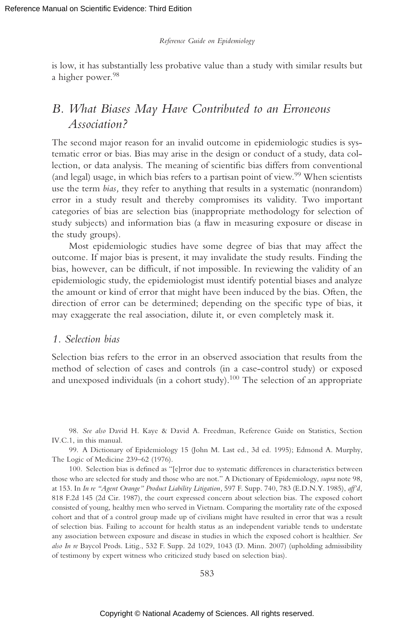is low, it has substantially less probative value than a study with similar results but a higher power.<sup>98</sup>

### *B. What Biases May Have Contributed to an Erroneous Association?*

The second major reason for an invalid outcome in epidemiologic studies is systematic error or bias. Bias may arise in the design or conduct of a study, data collection, or data analysis. The meaning of scientific bias differs from conventional (and legal) usage, in which bias refers to a partisan point of view.<sup>99</sup> When scientists use the term *bias,* they refer to anything that results in a systematic (nonrandom) error in a study result and thereby compromises its validity. Two important categories of bias are selection bias (inappropriate methodology for selection of study subjects) and information bias (a flaw in measuring exposure or disease in the study groups).

Most epidemiologic studies have some degree of bias that may affect the outcome. If major bias is present, it may invalidate the study results. Finding the bias, however, can be difficult, if not impossible. In reviewing the validity of an epidemiologic study, the epidemiologist must identify potential biases and analyze the amount or kind of error that might have been induced by the bias. Often, the direction of error can be determined; depending on the specific type of bias, it may exaggerate the real association, dilute it, or even completely mask it.

### *1. Selection bias*

Selection bias refers to the error in an observed association that results from the method of selection of cases and controls (in a case-control study) or exposed and unexposed individuals (in a cohort study).100 The selection of an appropriate

98. *See also* David H. Kaye & David A. Freedman, Reference Guide on Statistics, Section IV.C.1, in this manual.

99. A Dictionary of Epidemiology 15 (John M. Last ed., 3d ed. 1995); Edmond A. Murphy, The Logic of Medicine 239–62 (1976).

100. Selection bias is defined as "[e]rror due to systematic differences in characteristics between those who are selected for study and those who are not." A Dictionary of Epidemiology, *supra* note 98, at 153. In *In re "Agent Orange" Product Liability Litigation,* 597 F. Supp. 740, 783 (E.D.N.Y. 1985), *aff'd,*  818 F.2d 145 (2d Cir. 1987), the court expressed concern about selection bias. The exposed cohort consisted of young, healthy men who served in Vietnam. Comparing the mortality rate of the exposed cohort and that of a control group made up of civilians might have resulted in error that was a result of selection bias. Failing to account for health status as an independent variable tends to understate any association between exposure and disease in studies in which the exposed cohort is healthier. *See also In re* Baycol Prods. Litig., 532 F. Supp. 2d 1029, 1043 (D. Minn. 2007) (upholding admissibility of testimony by expert witness who criticized study based on selection bias).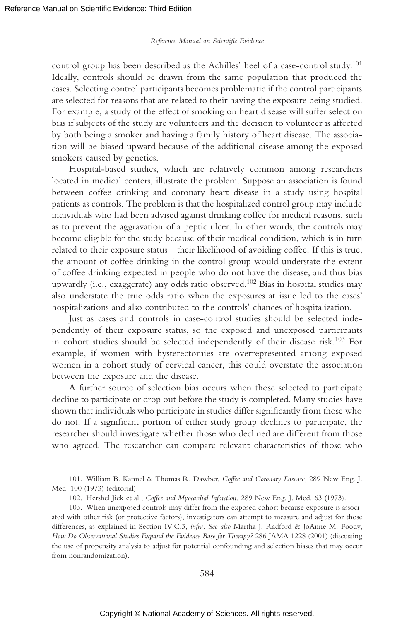control group has been described as the Achilles' heel of a case-control study.<sup>101</sup> Ideally, controls should be drawn from the same population that produced the cases. Selecting control participants becomes problematic if the control participants are selected for reasons that are related to their having the exposure being studied. For example, a study of the effect of smoking on heart disease will suffer selection bias if subjects of the study are volunteers and the decision to volunteer is affected by both being a smoker and having a family history of heart disease. The association will be biased upward because of the additional disease among the exposed smokers caused by genetics.

Hospital-based studies, which are relatively common among researchers located in medical centers, illustrate the problem. Suppose an association is found between coffee drinking and coronary heart disease in a study using hospital patients as controls. The problem is that the hospitalized control group may include individuals who had been advised against drinking coffee for medical reasons, such as to prevent the aggravation of a peptic ulcer. In other words, the controls may become eligible for the study because of their medical condition, which is in turn related to their exposure status—their likelihood of avoiding coffee. If this is true, the amount of coffee drinking in the control group would understate the extent of coffee drinking expected in people who do not have the disease, and thus bias upwardly (i.e., exaggerate) any odds ratio observed.<sup>102</sup> Bias in hospital studies may also understate the true odds ratio when the exposures at issue led to the cases' hospitalizations and also contributed to the controls' chances of hospitalization.

Just as cases and controls in case-control studies should be selected independently of their exposure status, so the exposed and unexposed participants in cohort studies should be selected independently of their disease risk.<sup>103</sup> For example, if women with hysterectomies are overrepresented among exposed women in a cohort study of cervical cancer, this could overstate the association between the exposure and the disease.

A further source of selection bias occurs when those selected to participate decline to participate or drop out before the study is completed. Many studies have shown that individuals who participate in studies differ significantly from those who do not. If a significant portion of either study group declines to participate, the researcher should investigate whether those who declined are different from those who agreed. The researcher can compare relevant characteristics of those who

101. William B. Kannel & Thomas R. Dawber, *Coffee and Coronary Disease,* 289 New Eng. J. Med. 100 (1973) (editorial).

102. Hershel Jick et al., *Coffee and Myocardial Infarction,* 289 New Eng. J. Med. 63 (1973).

103. When unexposed controls may differ from the exposed cohort because exposure is associated with other risk (or protective factors), investigators can attempt to measure and adjust for those differences, as explained in Section IV.C.3, *infra. See also* Martha J. Radford & JoAnne M. Foody, *How Do Observational Studies Expand the Evidence Base for Therapy?* 286 JAMA 1228 (2001) (discussing the use of propensity analysis to adjust for potential confounding and selection biases that may occur from nonrandomization).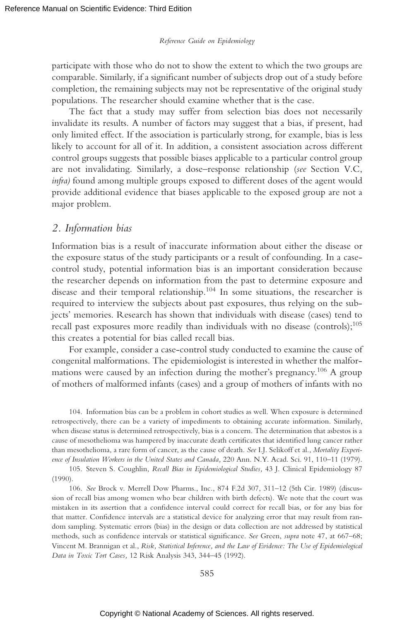participate with those who do not to show the extent to which the two groups are comparable. Similarly, if a significant number of subjects drop out of a study before completion, the remaining subjects may not be representative of the original study populations. The researcher should examine whether that is the case.

The fact that a study may suffer from selection bias does not necessarily invalidate its results. A number of factors may suggest that a bias, if present, had only limited effect. If the association is particularly strong, for example, bias is less likely to account for all of it. In addition, a consistent association across different control groups suggests that possible biases applicable to a particular control group are not invalidating. Similarly, a dose–response relationship (*see* Section V.C, *infra)* found among multiple groups exposed to different doses of the agent would provide additional evidence that biases applicable to the exposed group are not a major problem.

### *2. Information bias*

Information bias is a result of inaccurate information about either the disease or the exposure status of the study participants or a result of confounding. In a casecontrol study, potential information bias is an important consideration because the researcher depends on information from the past to determine exposure and disease and their temporal relationship.104 In some situations, the researcher is required to interview the subjects about past exposures, thus relying on the subjects' memories. Research has shown that individuals with disease (cases) tend to recall past exposures more readily than individuals with no disease (controls);<sup>105</sup> this creates a potential for bias called recall bias.

For example, consider a case-control study conducted to examine the cause of congenital malformations. The epidemiologist is interested in whether the malformations were caused by an infection during the mother's pregnancy.106 A group of mothers of malformed infants (cases) and a group of mothers of infants with no

104. Information bias can be a problem in cohort studies as well. When exposure is determined retrospectively, there can be a variety of impediments to obtaining accurate information. Similarly, when disease status is determined retrospectively, bias is a concern. The determination that asbestos is a cause of mesothelioma was hampered by inaccurate death certificates that identified lung cancer rather than mesothelioma, a rare form of cancer, as the cause of death. *See* I.J. Selikoff et al., *Mortality Experience of Insulation Workers in the United States and Canada,* 220 Ann. N.Y. Acad. Sci. 91, 110–11 (1979).

105. Steven S. Coughlin, *Recall Bias in Epidemiological Studies,* 43 J. Clinical Epidemiology 87 (1990).

106. *See* Brock v. Merrell Dow Pharms., Inc., 874 F.2d 307, 311–12 (5th Cir. 1989) (discussion of recall bias among women who bear children with birth defects). We note that the court was mistaken in its assertion that a confidence interval could correct for recall bias, or for any bias for that matter. Confidence intervals are a statistical device for analyzing error that may result from random sampling. Systematic errors (bias) in the design or data collection are not addressed by statistical methods, such as confidence intervals or statistical significance. *See* Green, *supra* note 47, at 667–68; Vincent M. Brannigan et al., *Risk, Statistical Inference, and the Law of Evidence: The Use of Epidemiological Data in Toxic Tort Cases,* 12 Risk Analysis 343, 344–45 (1992).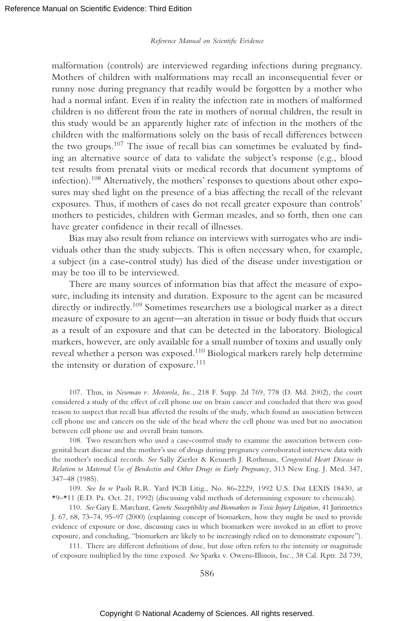malformation (controls) are interviewed regarding infections during pregnancy. Mothers of children with malformations may recall an inconsequential fever or runny nose during pregnancy that readily would be forgotten by a mother who had a normal infant. Even if in reality the infection rate in mothers of malformed children is no different from the rate in mothers of normal children, the result in this study would be an apparently higher rate of infection in the mothers of the children with the malformations solely on the basis of recall differences between the two groups.<sup>107</sup> The issue of recall bias can sometimes be evaluated by finding an alternative source of data to validate the subject's response (e.g., blood test results from prenatal visits or medical records that document symptoms of infection).108 Alternatively, the mothers' responses to questions about other exposures may shed light on the presence of a bias affecting the recall of the relevant exposures. Thus, if mothers of cases do not recall greater exposure than controls' mothers to pesticides, children with German measles, and so forth, then one can have greater confidence in their recall of illnesses.

Bias may also result from reliance on interviews with surrogates who are individuals other than the study subjects. This is often necessary when, for example, a subject (in a case-control study) has died of the disease under investigation or may be too ill to be interviewed.

There are many sources of information bias that affect the measure of exposure, including its intensity and duration. Exposure to the agent can be measured directly or indirectly.<sup>109</sup> Sometimes researchers use a biological marker as a direct measure of exposure to an agent—an alteration in tissue or body fluids that occurs as a result of an exposure and that can be detected in the laboratory. Biological markers, however, are only available for a small number of toxins and usually only reveal whether a person was exposed.<sup>110</sup> Biological markers rarely help determine the intensity or duration of exposure.<sup>111</sup>

107. Thus, in *Newman v. Motorola, Inc.,* 218 F. Supp. 2d 769, 778 (D. Md. 2002), the court considered a study of the effect of cell phone use on brain cancer and concluded that there was good reason to suspect that recall bias affected the results of the study, which found an association between cell phone use and cancers on the side of the head where the cell phone was used but no association between cell phone use and overall brain tumors.

108. Two researchers who used a case-control study to examine the association between congenital heart disease and the mother's use of drugs during pregnancy corroborated interview data with the mother's medical records. *See* Sally Zierler & Kenneth J. Rothman, *Congenital Heart Disease in Relation to Maternal Use of Bendectin and Other Drugs in Early Pregnancy,* 313 New Eng. J. Med. 347, 347–48 (1985).

109. *See In re* Paoli R.R. Yard PCB Litig., No. 86-2229, 1992 U.S. Dist LEXIS 18430, at \*9–\*11 (E.D. Pa. Oct. 21, 1992) (discussing valid methods of determining exposure to chemicals).

110. *See* Gary E. Marchant, *Genetic Susceptibility and Biomarkers in Toxic Injury Litigation,* 41 Jurimetrics J. 67, 68, 73–74, 95–97 (2000) (explaining concept of biomarkers, how they might be used to provide evidence of exposure or dose, discussing cases in which biomarkers were invoked in an effort to prove exposure, and concluding, "biomarkers are likely to be increasingly relied on to demonstrate exposure").

111. There are different definitions of dose, but dose often refers to the intensity or magnitude of exposure multiplied by the time exposed. *See* Sparks v. Owens-Illinois, Inc., 38 Cal. Rptr. 2d 739,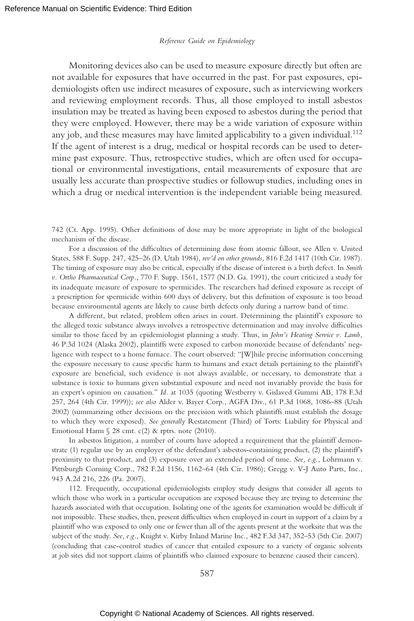Monitoring devices also can be used to measure exposure directly but often are not available for exposures that have occurred in the past. For past exposures, epidemiologists often use indirect measures of exposure, such as interviewing workers and reviewing employment records. Thus, all those employed to install asbestos insulation may be treated as having been exposed to asbestos during the period that they were employed. However, there may be a wide variation of exposure within any job, and these measures may have limited applicability to a given individual.<sup>112</sup> If the agent of interest is a drug, medical or hospital records can be used to determine past exposure. Thus, retrospective studies, which are often used for occupational or environmental investigations, entail measurements of exposure that are usually less accurate than prospective studies or followup studies, including ones in which a drug or medical intervention is the independent variable being measured.

742 (Ct. App. 1995). Other definitions of dose may be more appropriate in light of the biological mechanism of the disease.

For a discussion of the difficulties of determining dose from atomic fallout, see Allen v. United States, 588 F. Supp. 247, 425–26 (D. Utah 1984), *rev'd on other grounds,* 816 F.2d 1417 (10th Cir. 1987). The timing of exposure may also be critical, especially if the disease of interest is a birth defect. In *Smith v. Ortho Pharmaceutical Corp.,* 770 F. Supp. 1561, 1577 (N.D. Ga. 1991), the court criticized a study for its inadequate measure of exposure to spermicides. The researchers had defined exposure as receipt of a prescription for spermicide within 600 days of delivery, but this definition of exposure is too broad because environmental agents are likely to cause birth defects only during a narrow band of time.

A different, but related, problem often arises in court. Determining the plaintiff's exposure to the alleged toxic substance always involves a retrospective determination and may involve difficulties similar to those faced by an epidemiologist planning a study. Thus, in *John's Heating Service v. Lamb,*  46 P.3d 1024 (Alaska 2002), plaintiffs were exposed to carbon monoxide because of defendants' negligence with respect to a home furnace. The court observed: "[W]hile precise information concerning the exposure necessary to cause specific harm to humans and exact details pertaining to the plaintiff's exposure are beneficial, such evidence is not always available, or necessary, to demonstrate that a substance is toxic to humans given substantial exposure and need not invariably provide the basis for an expert's opinion on causation." *Id.* at 1035 (quoting Westberry v. Gislaved Gummi AB, 178 F.3d 257, 264 (4th Cir. 1999)); *see also* Alder v. Bayer Corp., AGFA Div., 61 P.3d 1068, 1086–88 (Utah 2002) (summarizing other decisions on the precision with which plaintiffs must establish the dosage to which they were exposed). *See generally* Restatement (Third) of Torts: Liability for Physical and Emotional Harm  $\S$  28 cmt. c(2) & rptrs. note (2010).

In asbestos litigation, a number of courts have adopted a requirement that the plaintiff demonstrate (1) regular use by an employer of the defendant's asbestos-containing product, (2) the plaintiff's proximity to that product, and (3) exposure over an extended period of time. *See, e.g.,* Lohrmann v. Pittsburgh Corning Corp., 782 F.2d 1156, 1162–64 (4th Cir. 1986); Gregg v. V-J Auto Parts, Inc., 943 A.2d 216, 226 (Pa. 2007).

112. Frequently, occupational epidemiologists employ study designs that consider all agents to which those who work in a particular occupation are exposed because they are trying to determine the hazards associated with that occupation. Isolating one of the agents for examination would be difficult if not impossible. These studies, then, present difficulties when employed in court in support of a claim by a plaintiff who was exposed to only one or fewer than all of the agents present at the worksite that was the subject of the study. *See, e.g.,* Knight v. Kirby Inland Marine Inc., 482 F.3d 347, 352–53 (5th Cir. 2007) (concluding that case-control studies of cancer that entailed exposure to a variety of organic solvents at job sites did not support claims of plaintiffs who claimed exposure to benzene caused their cancers).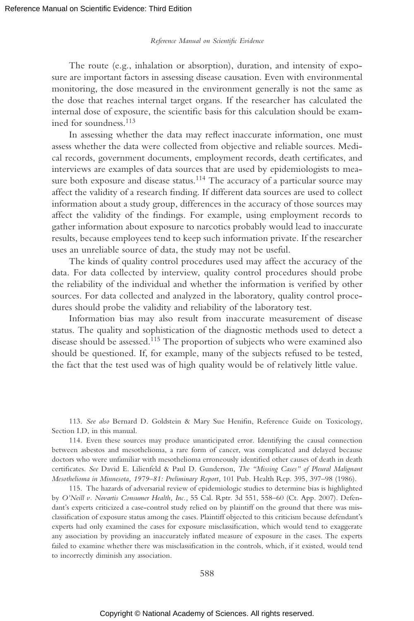The route (e.g., inhalation or absorption), duration, and intensity of exposure are important factors in assessing disease causation. Even with environmental monitoring, the dose measured in the environment generally is not the same as the dose that reaches internal target organs. If the researcher has calculated the internal dose of exposure, the scientific basis for this calculation should be examined for soundness.<sup>113</sup>

In assessing whether the data may reflect inaccurate information, one must assess whether the data were collected from objective and reliable sources. Medical records, government documents, employment records, death certificates, and interviews are examples of data sources that are used by epidemiologists to measure both exposure and disease status.<sup>114</sup> The accuracy of a particular source may affect the validity of a research finding. If different data sources are used to collect information about a study group, differences in the accuracy of those sources may affect the validity of the findings. For example, using employment records to gather information about exposure to narcotics probably would lead to inaccurate results, because employees tend to keep such information private. If the researcher uses an unreliable source of data, the study may not be useful.

The kinds of quality control procedures used may affect the accuracy of the data. For data collected by interview, quality control procedures should probe the reliability of the individual and whether the information is verified by other sources. For data collected and analyzed in the laboratory, quality control procedures should probe the validity and reliability of the laboratory test.

Information bias may also result from inaccurate measurement of disease status. The quality and sophistication of the diagnostic methods used to detect a disease should be assessed.<sup>115</sup> The proportion of subjects who were examined also should be questioned. If, for example, many of the subjects refused to be tested, the fact that the test used was of high quality would be of relatively little value.

113. *See also* Bernard D. Goldstein & Mary Sue Henifin, Reference Guide on Toxicology, Section I.D, in this manual.

114. Even these sources may produce unanticipated error. Identifying the causal connection between asbestos and mesothelioma, a rare form of cancer, was complicated and delayed because doctors who were unfamiliar with mesothelioma erroneously identified other causes of death in death certificates. *See* David E. Lilienfeld & Paul D. Gunderson, *The "Missing Cases" of Pleural Malignant Mesothelioma in Minnesota, 1979–81: Preliminary Report,* 101 Pub. Health Rep. 395, 397–98 (1986).

115. The hazards of adversarial review of epidemiologic studies to determine bias is highlighted by *O'Neill v. Novartis Consumer Health, Inc.,* 55 Cal. Rptr. 3d 551, 558–60 (Ct. App. 2007). Defendant's experts criticized a case-control study relied on by plaintiff on the ground that there was misclassification of exposure status among the cases. Plaintiff objected to this criticism because defendant's experts had only examined the cases for exposure misclassification, which would tend to exaggerate any association by providing an inaccurately inflated measure of exposure in the cases. The experts failed to examine whether there was misclassification in the controls, which, if it existed, would tend to incorrectly diminish any association.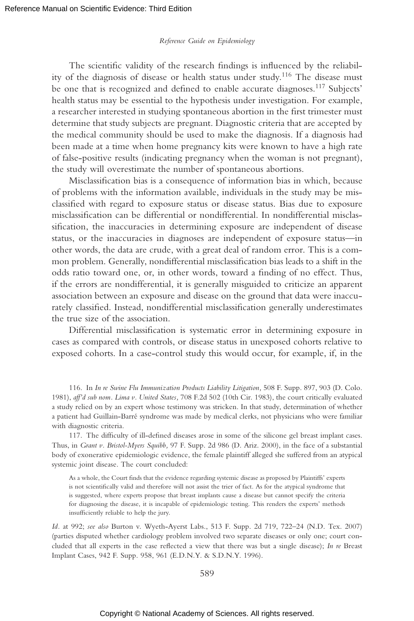The scientific validity of the research findings is influenced by the reliability of the diagnosis of disease or health status under study.116 The disease must be one that is recognized and defined to enable accurate diagnoses.<sup>117</sup> Subjects' health status may be essential to the hypothesis under investigation. For example, a researcher interested in studying spontaneous abortion in the first trimester must determine that study subjects are pregnant. Diagnostic criteria that are accepted by the medical community should be used to make the diagnosis. If a diagnosis had been made at a time when home pregnancy kits were known to have a high rate of false-positive results (indicating pregnancy when the woman is not pregnant), the study will overestimate the number of spontaneous abortions.

Misclassification bias is a consequence of information bias in which, because of problems with the information available, individuals in the study may be misclassified with regard to exposure status or disease status. Bias due to exposure misclassification can be differential or nondifferential. In nondifferential misclassification, the inaccuracies in determining exposure are independent of disease status, or the inaccuracies in diagnoses are independent of exposure status—in other words, the data are crude, with a great deal of random error. This is a common problem. Generally, nondifferential misclassification bias leads to a shift in the odds ratio toward one, or, in other words, toward a finding of no effect. Thus, if the errors are nondifferential, it is generally misguided to criticize an apparent association between an exposure and disease on the ground that data were inaccurately classified. Instead, nondifferential misclassification generally underestimates the true size of the association.

Differential misclassification is systematic error in determining exposure in cases as compared with controls, or disease status in unexposed cohorts relative to exposed cohorts. In a case-control study this would occur, for example, if, in the

116. In *In re Swine Flu Immunization Products Liability Litigation,* 508 F. Supp. 897, 903 (D. Colo. 1981), *aff'd sub nom. Lima v. United States,* 708 F.2d 502 (10th Cir. 1983), the court critically evaluated a study relied on by an expert whose testimony was stricken. In that study, determination of whether a patient had Guillain-Barré syndrome was made by medical clerks, not physicians who were familiar with diagnostic criteria.

117. The difficulty of ill-defined diseases arose in some of the silicone gel breast implant cases. Thus, in *Grant v. Bristol-Myers Squibb,* 97 F. Supp. 2d 986 (D. Ariz. 2000), in the face of a substantial body of exonerative epidemiologic evidence, the female plaintiff alleged she suffered from an atypical systemic joint disease. The court concluded:

As a whole, the Court finds that the evidence regarding systemic disease as proposed by Plaintiffs' experts is not scientifically valid and therefore will not assist the trier of fact. As for the atypical syndrome that is suggested, where experts propose that breast implants cause a disease but cannot specify the criteria for diagnosing the disease, it is incapable of epidemiologic testing. This renders the experts' methods insufficiently reliable to help the jury.

*Id.* at 992; *see also* Burton v. Wyeth-Ayerst Labs., 513 F. Supp. 2d 719, 722–24 (N.D. Tex. 2007) (parties disputed whether cardiology problem involved two separate diseases or only one; court concluded that all experts in the case reflected a view that there was but a single disease); *In re* Breast Implant Cases, 942 F. Supp. 958, 961 (E.D.N.Y. & S.D.N.Y. 1996).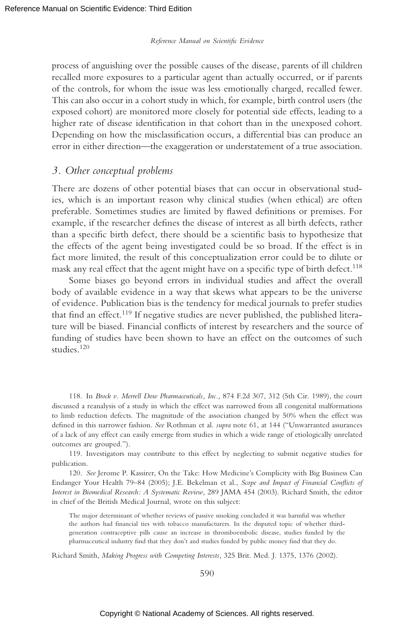process of anguishing over the possible causes of the disease, parents of ill children recalled more exposures to a particular agent than actually occurred, or if parents of the controls, for whom the issue was less emotionally charged, recalled fewer. This can also occur in a cohort study in which, for example, birth control users (the exposed cohort) are monitored more closely for potential side effects, leading to a higher rate of disease identification in that cohort than in the unexposed cohort. Depending on how the misclassification occurs, a differential bias can produce an error in either direction—the exaggeration or understatement of a true association.

### *3. Other conceptual problems*

There are dozens of other potential biases that can occur in observational studies, which is an important reason why clinical studies (when ethical) are often preferable. Sometimes studies are limited by flawed definitions or premises. For example, if the researcher defines the disease of interest as all birth defects, rather than a specific birth defect, there should be a scientific basis to hypothesize that the effects of the agent being investigated could be so broad. If the effect is in fact more limited, the result of this conceptualization error could be to dilute or mask any real effect that the agent might have on a specific type of birth defect.<sup>118</sup>

Some biases go beyond errors in individual studies and affect the overall body of available evidence in a way that skews what appears to be the universe of evidence. Publication bias is the tendency for medical journals to prefer studies that find an effect.<sup>119</sup> If negative studies are never published, the published literature will be biased. Financial conflicts of interest by researchers and the source of funding of studies have been shown to have an effect on the outcomes of such studies.120

118. In *Brock v. Merrell Dow Pharmaceuticals, Inc.,* 874 F.2d 307, 312 (5th Cir. 1989), the court discussed a reanalysis of a study in which the effect was narrowed from all congenital malformations to limb reduction defects. The magnitude of the association changed by 50% when the effect was defined in this narrower fashion. *See* Rothman et al. *supra* note 61, at 144 ("Unwarranted assurances of a lack of any effect can easily emerge from studies in which a wide range of etiologically unrelated outcomes are grouped.").

119. Investigators may contribute to this effect by neglecting to submit negative studies for publication.

120. *See* Jerome P. Kassirer, On the Take: How Medicine's Complicity with Big Business Can Endanger Your Health 79–84 (2005); J.E. Bekelman et al., *Scope and Impact of Financial Conflicts of Interest in Biomedical Research: A Systematic Review,* 289 JAMA 454 (2003). Richard Smith, the editor in chief of the British Medical Journal, wrote on this subject:

The major determinant of whether reviews of passive smoking concluded it was harmful was whether the authors had financial ties with tobacco manufacturers. In the disputed topic of whether thirdgeneration contraceptive pills cause an increase in thromboembolic disease, studies funded by the pharmaceutical industry find that they don't and studies funded by public money find that they do.

Richard Smith, *Making Progress with Competing Interests,* 325 Brit. Med. J. 1375, 1376 (2002).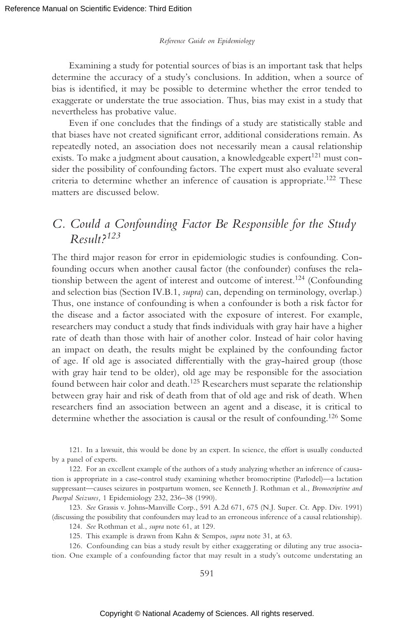Examining a study for potential sources of bias is an important task that helps determine the accuracy of a study's conclusions. In addition, when a source of bias is identified, it may be possible to determine whether the error tended to exaggerate or understate the true association. Thus, bias may exist in a study that nevertheless has probative value.

Even if one concludes that the findings of a study are statistically stable and that biases have not created significant error, additional considerations remain. As repeatedly noted, an association does not necessarily mean a causal relationship exists. To make a judgment about causation, a knowledgeable expert<sup>121</sup> must consider the possibility of confounding factors. The expert must also evaluate several criteria to determine whether an inference of causation is appropriate.<sup>122</sup> These matters are discussed below.

## *C. Could a Confounding Factor Be Responsible for the Study Result?123*

The third major reason for error in epidemiologic studies is confounding. Confounding occurs when another causal factor (the confounder) confuses the relationship between the agent of interest and outcome of interest.124 (Confounding and selection bias (Section IV.B.1, *supra*) can, depending on terminology, overlap.) Thus, one instance of confounding is when a confounder is both a risk factor for the disease and a factor associated with the exposure of interest. For example, researchers may conduct a study that finds individuals with gray hair have a higher rate of death than those with hair of another color. Instead of hair color having an impact on death, the results might be explained by the confounding factor of age. If old age is associated differentially with the gray-haired group (those with gray hair tend to be older), old age may be responsible for the association found between hair color and death.<sup>125</sup> Researchers must separate the relationship between gray hair and risk of death from that of old age and risk of death. When researchers find an association between an agent and a disease, it is critical to determine whether the association is causal or the result of confounding.<sup>126</sup> Some

121. In a lawsuit, this would be done by an expert. In science, the effort is usually conducted by a panel of experts.

122. For an excellent example of the authors of a study analyzing whether an inference of causation is appropriate in a case-control study examining whether bromocriptine (Parlodel)—a lactation suppressant—causes seizures in postpartum women, see Kenneth J. Rothman et al., *Bromocriptine and Puerpal Seizures,* 1 Epidemiology 232, 236–38 (1990).

123. *See* Grassis v. Johns-Manville Corp., 591 A.2d 671, 675 (N.J. Super. Ct. App. Div. 1991) (discussing the possibility that confounders may lead to an erroneous inference of a causal relationship).

124. *See* Rothman et al., *supra* note 61, at 129.

125. This example is drawn from Kahn & Sempos, *supra* note 31, at 63.

126. Confounding can bias a study result by either exaggerating or diluting any true association. One example of a confounding factor that may result in a study's outcome understating an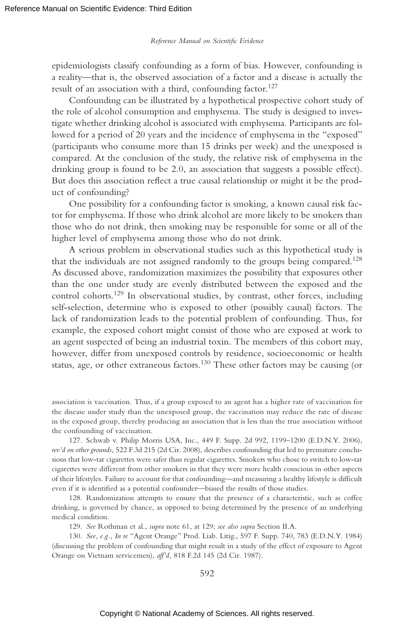epidemiologists classify confounding as a form of bias. However, confounding is a reality—that is, the observed association of a factor and a disease is actually the result of an association with a third, confounding factor.<sup>127</sup>

Confounding can be illustrated by a hypothetical prospective cohort study of the role of alcohol consumption and emphysema. The study is designed to investigate whether drinking alcohol is associated with emphysema. Participants are followed for a period of 20 years and the incidence of emphysema in the "exposed" (participants who consume more than 15 drinks per week) and the unexposed is compared. At the conclusion of the study, the relative risk of emphysema in the drinking group is found to be 2.0, an association that suggests a possible effect). But does this association reflect a true causal relationship or might it be the product of confounding?

One possibility for a confounding factor is smoking, a known causal risk factor for emphysema. If those who drink alcohol are more likely to be smokers than those who do not drink, then smoking may be responsible for some or all of the higher level of emphysema among those who do not drink.

A serious problem in observational studies such as this hypothetical study is that the individuals are not assigned randomly to the groups being compared.<sup>128</sup> As discussed above, randomization maximizes the possibility that exposures other than the one under study are evenly distributed between the exposed and the control cohorts.129 In observational studies, by contrast, other forces, including self-selection, determine who is exposed to other (possibly causal) factors. The lack of randomization leads to the potential problem of confounding. Thus, for example, the exposed cohort might consist of those who are exposed at work to an agent suspected of being an industrial toxin. The members of this cohort may, however, differ from unexposed controls by residence, socioeconomic or health status, age, or other extraneous factors.130 These other factors may be causing (or

association is vaccination. Thus, if a group exposed to an agent has a higher rate of vaccination for the disease under study than the unexposed group, the vaccination may reduce the rate of disease in the exposed group, thereby producing an association that is less than the true association without the confounding of vaccination.

127. Schwab v. Philip Morris USA, Inc., 449 F. Supp. 2d 992, 1199–1200 (E.D.N.Y. 2006), *rev'd on other grounds,* 522 F.3d 215 (2d Cir. 2008), describes confounding that led to premature conclusions that low-tar cigarettes were safer than regular cigarettes. Smokers who chose to switch to low-tar cigarettes were different from other smokers in that they were more health conscious in other aspects of their lifestyles. Failure to account for that confounding—and measuring a healthy lifestyle is difficult even if it is identified as a potential confounder—biased the results of those studies.

128. Randomization attempts to ensure that the presence of a characteristic, such as coffee drinking, is governed by chance, as opposed to being determined by the presence of an underlying medical condition.

129. *See* Rothman et al., *supra* note 61, at 129; *see also supra* Section II.A.

130. *See, e.g., In re* "Agent Orange" Prod. Liab. Litig., 597 F. Supp. 740, 783 (E.D.N.Y. 1984) (discussing the problem of confounding that might result in a study of the effect of exposure to Agent Orange on Vietnam servicemen), *aff'd,* 818 F.2d 145 (2d Cir. 1987).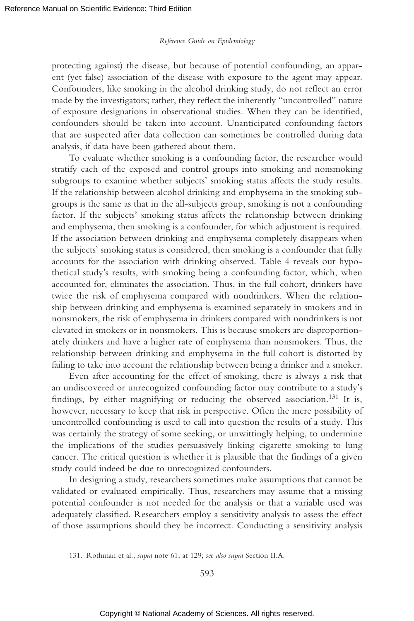protecting against) the disease, but because of potential confounding, an apparent (yet false) association of the disease with exposure to the agent may appear. Confounders, like smoking in the alcohol drinking study, do not reflect an error made by the investigators; rather, they reflect the inherently "uncontrolled" nature of exposure designations in observational studies. When they can be identified, confounders should be taken into account. Unanticipated confounding factors that are suspected after data collection can sometimes be controlled during data analysis, if data have been gathered about them.

To evaluate whether smoking is a confounding factor, the researcher would stratify each of the exposed and control groups into smoking and nonsmoking subgroups to examine whether subjects' smoking status affects the study results. If the relationship between alcohol drinking and emphysema in the smoking subgroups is the same as that in the all-subjects group, smoking is not a confounding factor. If the subjects' smoking status affects the relationship between drinking and emphysema, then smoking is a confounder, for which adjustment is required. If the association between drinking and emphysema completely disappears when the subjects' smoking status is considered, then smoking is a confounder that fully accounts for the association with drinking observed. Table 4 reveals our hypothetical study's results, with smoking being a confounding factor, which, when accounted for, eliminates the association. Thus, in the full cohort, drinkers have twice the risk of emphysema compared with nondrinkers. When the relationship between drinking and emphysema is examined separately in smokers and in nonsmokers, the risk of emphysema in drinkers compared with nondrinkers is not elevated in smokers or in nonsmokers. This is because smokers are disproportionately drinkers and have a higher rate of emphysema than nonsmokers. Thus, the relationship between drinking and emphysema in the full cohort is distorted by failing to take into account the relationship between being a drinker and a smoker.

Even after accounting for the effect of smoking, there is always a risk that an undiscovered or unrecognized confounding factor may contribute to a study's findings, by either magnifying or reducing the observed association.<sup>131</sup> It is, however, necessary to keep that risk in perspective. Often the mere possibility of uncontrolled confounding is used to call into question the results of a study. This was certainly the strategy of some seeking, or unwittingly helping, to undermine the implications of the studies persuasively linking cigarette smoking to lung cancer. The critical question is whether it is plausible that the findings of a given study could indeed be due to unrecognized confounders.

In designing a study, researchers sometimes make assumptions that cannot be validated or evaluated empirically. Thus, researchers may assume that a missing potential confounder is not needed for the analysis or that a variable used was adequately classified. Researchers employ a sensitivity analysis to assess the effect of those assumptions should they be incorrect. Conducting a sensitivity analysis

<sup>131.</sup> Rothman et al., *supra* note 61, at 129; *see also supra* Section II.A.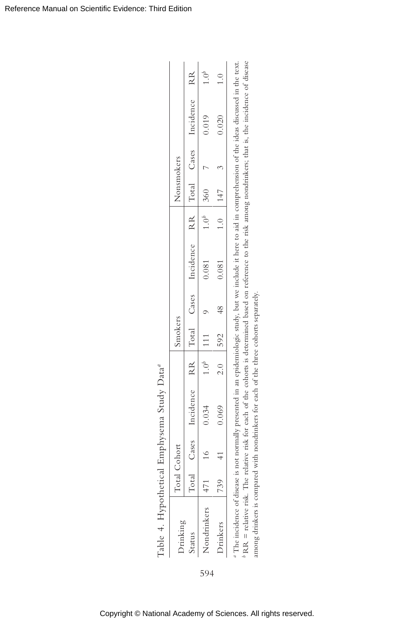| <b>Drinking</b>                                                                                                                                                  |        | Total Cohort |                                                                            | Smokers        |       | Nonsmokers      |       |  |
|------------------------------------------------------------------------------------------------------------------------------------------------------------------|--------|--------------|----------------------------------------------------------------------------|----------------|-------|-----------------|-------|--|
| status                                                                                                                                                           |        |              | Total Cases Incidence RR Total Cases Incidence RR Total Cases Incidence RR |                |       |                 |       |  |
| Nondrinkers                                                                                                                                                      |        | 471 16       | 0.034                                                                      | $1.0b$   111   | 0.081 | $1.0b$   360    | 0.019 |  |
| <b>Drinkers</b>                                                                                                                                                  | 739 41 |              | 0.069                                                                      | $2.0$   592 48 | 0.081 | $1.0$   $147$ 3 | 0.020 |  |
| The incidence of disease is not normally presented in an epidemiologic study, but we include it here to aid in comprehension of the ideas discussed in the text. |        |              |                                                                            |                |       |                 |       |  |

among drinkers is compared with nondrinkers for each of the three cohorts separately.

among drinkers is compared with nondrinkers for each of the three cohorts separately.

| l                                       |
|-----------------------------------------|
| vo osto v<br>ï<br>í<br>j<br>l<br>į<br>l |
| l<br>Ï                                  |
| ١                                       |
| l                                       |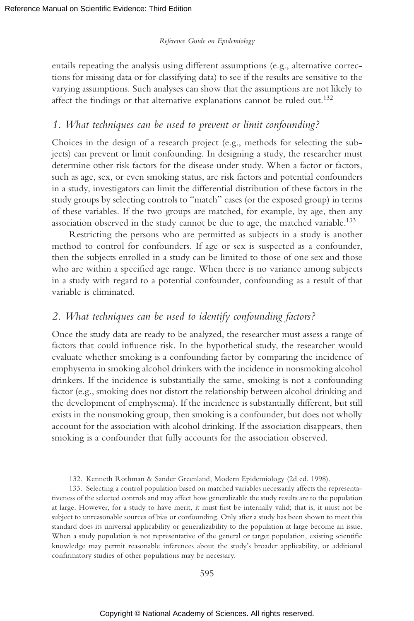entails repeating the analysis using different assumptions (e.g., alternative corrections for missing data or for classifying data) to see if the results are sensitive to the varying assumptions. Such analyses can show that the assumptions are not likely to affect the findings or that alternative explanations cannot be ruled out.<sup>132</sup>

### *1. What techniques can be used to prevent or limit confounding?*

Choices in the design of a research project (e.g., methods for selecting the subjects) can prevent or limit confounding. In designing a study, the researcher must determine other risk factors for the disease under study. When a factor or factors, such as age, sex, or even smoking status, are risk factors and potential confounders in a study, investigators can limit the differential distribution of these factors in the study groups by selecting controls to "match" cases (or the exposed group) in terms of these variables. If the two groups are matched, for example, by age, then any association observed in the study cannot be due to age, the matched variable.<sup>133</sup>

Restricting the persons who are permitted as subjects in a study is another method to control for confounders. If age or sex is suspected as a confounder, then the subjects enrolled in a study can be limited to those of one sex and those who are within a specified age range. When there is no variance among subjects in a study with regard to a potential confounder, confounding as a result of that variable is eliminated.

### *2. What techniques can be used to identify confounding factors?*

Once the study data are ready to be analyzed, the researcher must assess a range of factors that could influence risk. In the hypothetical study, the researcher would evaluate whether smoking is a confounding factor by comparing the incidence of emphysema in smoking alcohol drinkers with the incidence in nonsmoking alcohol drinkers. If the incidence is substantially the same, smoking is not a confounding factor (e.g., smoking does not distort the relationship between alcohol drinking and the development of emphysema). If the incidence is substantially different, but still exists in the nonsmoking group, then smoking is a confounder, but does not wholly account for the association with alcohol drinking. If the association disappears, then smoking is a confounder that fully accounts for the association observed.

132. Kenneth Rothman & Sander Greenland, Modern Epidemiology (2d ed. 1998).

133. Selecting a control population based on matched variables necessarily affects the representativeness of the selected controls and may affect how generalizable the study results are to the population at large. However, for a study to have merit, it must first be internally valid; that is, it must not be subject to unreasonable sources of bias or confounding. Only after a study has been shown to meet this standard does its universal applicability or generalizability to the population at large become an issue. When a study population is not representative of the general or target population, existing scientific knowledge may permit reasonable inferences about the study's broader applicability, or additional confirmatory studies of other populations may be necessary.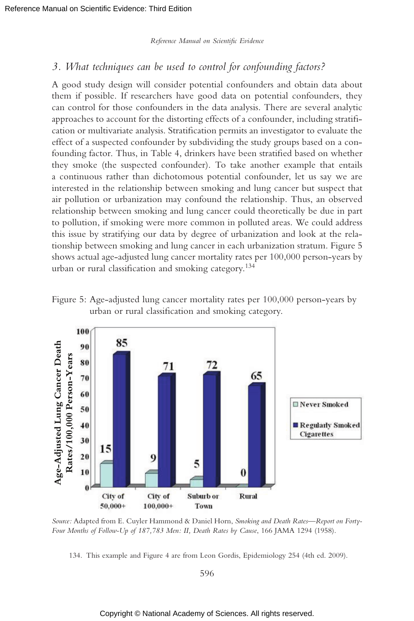### *3. What techniques can be used to control for confounding factors?*

A good study design will consider potential confounders and obtain data about them if possible. If researchers have good data on potential confounders, they can control for those confounders in the data analysis. There are several analytic approaches to account for the distorting effects of a confounder, including stratification or multivariate analysis. Stratification permits an investigator to evaluate the effect of a suspected confounder by subdividing the study groups based on a confounding factor. Thus, in Table 4, drinkers have been stratified based on whether they smoke (the suspected confounder). To take another example that entails a continuous rather than dichotomous potential confounder, let us say we are interested in the relationship between smoking and lung cancer but suspect that air pollution or urbanization may confound the relationship. Thus, an observed relationship between smoking and lung cancer could theoretically be due in part to pollution, if smoking were more common in polluted areas. We could address this issue by stratifying our data by degree of urbanization and look at the relationship between smoking and lung cancer in each urbanization stratum. Figure 5 shows actual age-adjusted lung cancer mortality rates per 100,000 person-years by urban or rural classification and smoking category.<sup>134</sup>





*Source:* Adapted from E. Cuyler Hammond & Daniel Horn, *Smoking and Death Rates—Report on Forty-Four Months of Follow-Up of 187,783 Men: II, Death Rates by Cause*, 166 JAMA 1294 (1958).

134. This example and Figure 4 are from Leon Gordis, Epidemiology 254 (4th ed. 2009).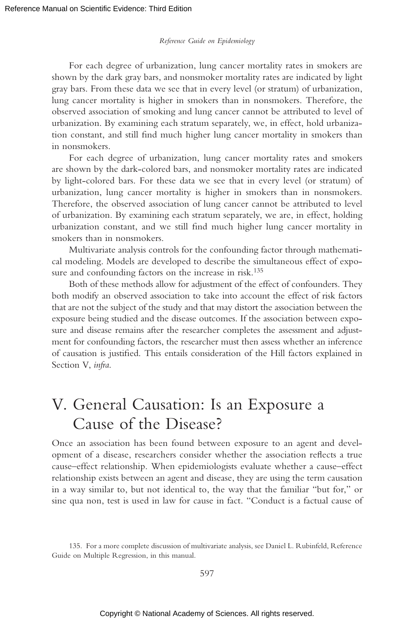For each degree of urbanization, lung cancer mortality rates in smokers are shown by the dark gray bars, and nonsmoker mortality rates are indicated by light gray bars. From these data we see that in every level (or stratum) of urbanization, lung cancer mortality is higher in smokers than in nonsmokers. Therefore, the observed association of smoking and lung cancer cannot be attributed to level of urbanization. By examining each stratum separately, we, in effect, hold urbanization constant, and still find much higher lung cancer mortality in smokers than in nonsmokers.

For each degree of urbanization, lung cancer mortality rates and smokers are shown by the dark-colored bars, and nonsmoker mortality rates are indicated by light-colored bars. For these data we see that in every level (or stratum) of urbanization, lung cancer mortality is higher in smokers than in nonsmokers. Therefore, the observed association of lung cancer cannot be attributed to level of urbanization. By examining each stratum separately, we are, in effect, holding urbanization constant, and we still find much higher lung cancer mortality in smokers than in nonsmokers.

Multivariate analysis controls for the confounding factor through mathematical modeling. Models are developed to describe the simultaneous effect of exposure and confounding factors on the increase in risk.<sup>135</sup>

Both of these methods allow for adjustment of the effect of confounders. They both modify an observed association to take into account the effect of risk factors that are not the subject of the study and that may distort the association between the exposure being studied and the disease outcomes. If the association between exposure and disease remains after the researcher completes the assessment and adjustment for confounding factors, the researcher must then assess whether an inference of causation is justified. This entails consideration of the Hill factors explained in Section V, *infra*.

# V. General Causation: Is an Exposure a Cause of the Disease?

Once an association has been found between exposure to an agent and development of a disease, researchers consider whether the association reflects a true cause–effect relationship. When epidemiologists evaluate whether a cause–effect relationship exists between an agent and disease, they are using the term causation in a way similar to, but not identical to, the way that the familiar "but for," or sine qua non, test is used in law for cause in fact. "Conduct is a factual cause of

<sup>135.</sup> For a more complete discussion of multivariate analysis, see Daniel L. Rubinfeld, Reference Guide on Multiple Regression, in this manual.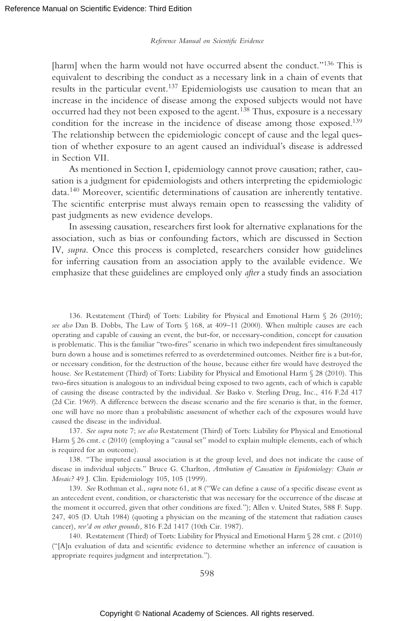[harm] when the harm would not have occurred absent the conduct."<sup>136</sup> This is equivalent to describing the conduct as a necessary link in a chain of events that results in the particular event.<sup>137</sup> Epidemiologists use causation to mean that an increase in the incidence of disease among the exposed subjects would not have occurred had they not been exposed to the agent.<sup>138</sup> Thus, exposure is a necessary condition for the increase in the incidence of disease among those exposed.139 The relationship between the epidemiologic concept of cause and the legal question of whether exposure to an agent caused an individual's disease is addressed in Section VII.

As mentioned in Section I, epidemiology cannot prove causation; rather, causation is a judgment for epidemiologists and others interpreting the epidemiologic data.140 Moreover, scientific determinations of causation are inherently tentative. The scientific enterprise must always remain open to reassessing the validity of past judgments as new evidence develops.

In assessing causation, researchers first look for alternative explanations for the association, such as bias or confounding factors, which are discussed in Section IV, *supra*. Once this process is completed, researchers consider how guidelines for inferring causation from an association apply to the available evidence. We emphasize that these guidelines are employed only *after* a study finds an association

136. Restatement (Third) of Torts: Liability for Physical and Emotional Harm § 26 (2010); *see also* Dan B. Dobbs, The Law of Torts § 168, at 409–11 (2000). When multiple causes are each operating and capable of causing an event, the but-for, or necessary-condition, concept for causation is problematic. This is the familiar "two-fires" scenario in which two independent fires simultaneously burn down a house and is sometimes referred to as overdetermined outcomes. Neither fire is a but-for, or necessary condition, for the destruction of the house, because either fire would have destroyed the house. *See* Restatement (Third) of Torts: Liability for Physical and Emotional Harm § 28 (2010). This two-fires situation is analogous to an individual being exposed to two agents, each of which is capable of causing the disease contracted by the individual. *See* Basko v. Sterling Drug, Inc., 416 F.2d 417 (2d Cir. 1969). A difference between the disease scenario and the fire scenario is that, in the former, one will have no more than a probabilistic assessment of whether each of the exposures would have caused the disease in the individual.

137. *See supra* note 7; *see also* Restatement (Third) of Torts: Liability for Physical and Emotional Harm § 26 cmt. c (2010) (employing a "causal set" model to explain multiple elements, each of which is required for an outcome).

138. "The imputed causal association is at the group level, and does not indicate the cause of disease in individual subjects." Bruce G. Charlton, *Attribution of Causation in Epidemiology: Chain or Mosaic?* 49 J. Clin. Epidemiology 105, 105 (1999).

139. *See* Rothman et al., *supra* note 61, at 8 ("We can define a cause of a specific disease event as an antecedent event, condition, or characteristic that was necessary for the occurrence of the disease at the moment it occurred, given that other conditions are fixed."); Allen v. United States, 588 F. Supp. 247, 405 (D. Utah 1984) (quoting a physician on the meaning of the statement that radiation causes cancer), *rev'd on other grounds,* 816 F.2d 1417 (10th Cir. 1987).

140. Restatement (Third) of Torts: Liability for Physical and Emotional Harm § 28 cmt. c (2010) ("[A]n evaluation of data and scientific evidence to determine whether an inference of causation is appropriate requires judgment and interpretation.").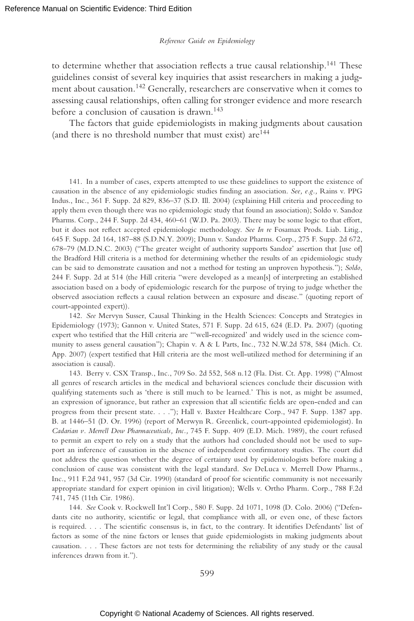to determine whether that association reflects a true causal relationship.<sup>141</sup> These guidelines consist of several key inquiries that assist researchers in making a judgment about causation.<sup>142</sup> Generally, researchers are conservative when it comes to assessing causal relationships, often calling for stronger evidence and more research before a conclusion of causation is drawn.<sup>143</sup>

The factors that guide epidemiologists in making judgments about causation (and there is no threshold number that must exist) are  $144$ 

141. In a number of cases, experts attempted to use these guidelines to support the existence of causation in the absence of any epidemiologic studies finding an association. *See, e.g.,* Rains v. PPG Indus., Inc., 361 F. Supp. 2d 829, 836–37 (S.D. Ill. 2004) (explaining Hill criteria and proceeding to apply them even though there was no epidemiologic study that found an association); Soldo v. Sandoz Pharms. Corp., 244 F. Supp. 2d 434, 460–61 (W.D. Pa. 2003). There may be some logic to that effort, but it does not reflect accepted epidemiologic methodology. *See In re* Fosamax Prods. Liab. Litig., 645 F. Supp. 2d 164, 187–88 (S.D.N.Y. 2009); Dunn v. Sandoz Pharms. Corp., 275 F. Supp. 2d 672, 678–79 (M.D.N.C. 2003) ("The greater weight of authority supports Sandoz' assertion that [use of] the Bradford Hill criteria is a method for determining whether the results of an epidemiologic study can be said to demonstrate causation and not a method for testing an unproven hypothesis."); *Soldo*, 244 F. Supp. 2d at 514 (the Hill criteria "were developed as a mean[s] of interpreting an established association based on a body of epidemiologic research for the purpose of trying to judge whether the observed association reflects a causal relation between an exposure and disease." (quoting report of court-appointed expert)).

142. *See* Mervyn Susser, Causal Thinking in the Health Sciences: Concepts and Strategies in Epidemiology (1973); Gannon v. United States, 571 F. Supp. 2d 615, 624 (E.D. Pa. 2007) (quoting expert who testified that the Hill criteria are "'well-recognized' and widely used in the science community to assess general causation"); Chapin v. A & L Parts, Inc., 732 N.W.2d 578, 584 (Mich. Ct. App. 2007) (expert testified that Hill criteria are the most well-utilized method for determining if an association is causal).

143. Berry v. CSX Transp., Inc., 709 So. 2d 552, 568 n.12 (Fla. Dist. Ct. App. 1998) ("Almost all genres of research articles in the medical and behavioral sciences conclude their discussion with qualifying statements such as 'there is still much to be learned.' This is not, as might be assumed, an expression of ignorance, but rather an expression that all scientific fields are open-ended and can progress from their present state. . . ."); Hall v. Baxter Healthcare Corp., 947 F. Supp. 1387 app. B. at 1446–51 (D. Or. 1996) (report of Merwyn R. Greenlick, court-appointed epidemiologist). In *Cadarian v. Merrell Dow Pharmaceuticals, Inc.,* 745 F. Supp. 409 (E.D. Mich. 1989), the court refused to permit an expert to rely on a study that the authors had concluded should not be used to support an inference of causation in the absence of independent confirmatory studies. The court did not address the question whether the degree of certainty used by epidemiologists before making a conclusion of cause was consistent with the legal standard. *See* DeLuca v. Merrell Dow Pharms., Inc., 911 F.2d 941, 957 (3d Cir. 1990) (standard of proof for scientific community is not necessarily appropriate standard for expert opinion in civil litigation); Wells v. Ortho Pharm. Corp., 788 F.2d 741, 745 (11th Cir. 1986).

144. *See* Cook v. Rockwell Int'l Corp., 580 F. Supp. 2d 1071, 1098 (D. Colo. 2006) ("Defendants cite no authority, scientific or legal, that compliance with all, or even one, of these factors is required. . . . The scientific consensus is, in fact, to the contrary. It identifies Defendants' list of factors as some of the nine factors or lenses that guide epidemiologists in making judgments about causation. . . . These factors are not tests for determining the reliability of any study or the causal inferences drawn from it.").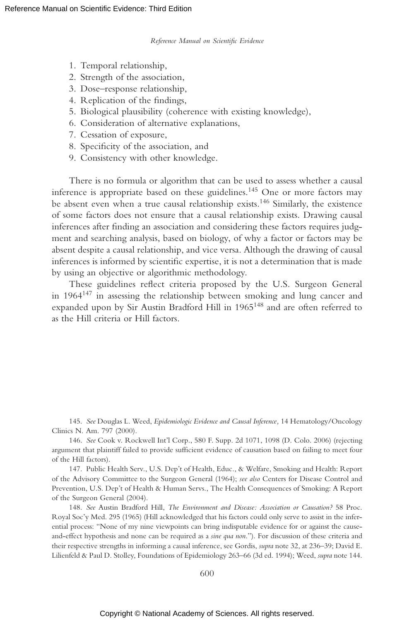- 1. Temporal relationship,
- 2. Strength of the association,
- 3. Dose–response relationship,
- 4. Replication of the findings,
- 5. Biological plausibility (coherence with existing knowledge),
- 6. Consideration of alternative explanations,
- 7. Cessation of exposure,
- 8. Specificity of the association, and
- 9. Consistency with other knowledge.

There is no formula or algorithm that can be used to assess whether a causal inference is appropriate based on these guidelines.<sup>145</sup> One or more factors may be absent even when a true causal relationship exists.<sup>146</sup> Similarly, the existence of some factors does not ensure that a causal relationship exists. Drawing causal inferences after finding an association and considering these factors requires judgment and searching analysis, based on biology, of why a factor or factors may be absent despite a causal relationship, and vice versa. Although the drawing of causal inferences is informed by scientific expertise, it is not a determination that is made by using an objective or algorithmic methodology.

These guidelines reflect criteria proposed by the U.S. Surgeon General in  $1964^{147}$  in assessing the relationship between smoking and lung cancer and expanded upon by Sir Austin Bradford Hill in 1965<sup>148</sup> and are often referred to as the Hill criteria or Hill factors.

145. *See* Douglas L. Weed, *Epidemiologic Evidence and Causal Inference,* 14 Hematology/Oncology Clinics N. Am. 797 (2000).

146. *See* Cook v. Rockwell Int'l Corp., 580 F. Supp. 2d 1071, 1098 (D. Colo. 2006) (rejecting argument that plaintiff failed to provide sufficient evidence of causation based on failing to meet four of the Hill factors).

147. Public Health Serv., U.S. Dep't of Health, Educ., & Welfare, Smoking and Health: Report of the Advisory Committee to the Surgeon General (1964); *see also* Centers for Disease Control and Prevention, U.S. Dep't of Health & Human Servs., The Health Consequences of Smoking: A Report of the Surgeon General (2004).

148. *See* Austin Bradford Hill, *The Environment and Disease: Association or Causation?* 58 Proc. Royal Soc'y Med. 295 (1965) (Hill acknowledged that his factors could only serve to assist in the inferential process: "None of my nine viewpoints can bring indisputable evidence for or against the causeand-effect hypothesis and none can be required as a *sine qua non*."). For discussion of these criteria and their respective strengths in informing a causal inference, see Gordis, *supra* note 32, at 236–39; David E. Lilienfeld & Paul D. Stolley, Foundations of Epidemiology 263–66 (3d ed. 1994); Weed, *supra* note 144.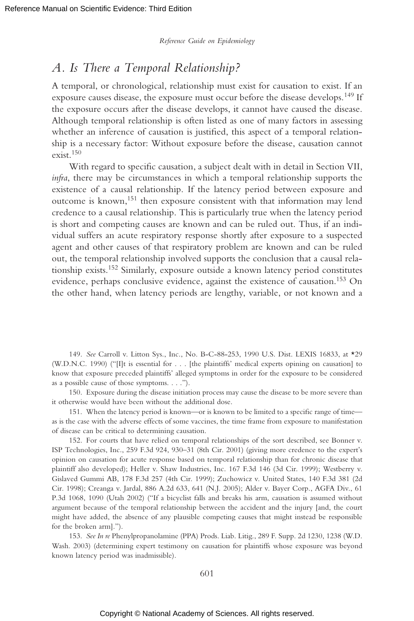## *A. Is There a Temporal Relationship?*

A temporal, or chronological, relationship must exist for causation to exist. If an exposure causes disease, the exposure must occur before the disease develops.<sup>149</sup> If the exposure occurs after the disease develops, it cannot have caused the disease. Although temporal relationship is often listed as one of many factors in assessing whether an inference of causation is justified, this aspect of a temporal relationship is a necessary factor: Without exposure before the disease, causation cannot exist.150

With regard to specific causation, a subject dealt with in detail in Section VII, *infra*, there may be circumstances in which a temporal relationship supports the existence of a causal relationship. If the latency period between exposure and outcome is known,<sup>151</sup> then exposure consistent with that information may lend credence to a causal relationship. This is particularly true when the latency period is short and competing causes are known and can be ruled out. Thus, if an individual suffers an acute respiratory response shortly after exposure to a suspected agent and other causes of that respiratory problem are known and can be ruled out, the temporal relationship involved supports the conclusion that a causal relationship exists.152 Similarly, exposure outside a known latency period constitutes evidence, perhaps conclusive evidence, against the existence of causation.<sup>153</sup> On the other hand, when latency periods are lengthy, variable, or not known and a

149. *See* Carroll v. Litton Sys., Inc., No. B-C-88-253, 1990 U.S. Dist. LEXIS 16833, at \*29 (W.D.N.C. 1990) ("[I]t is essential for . . . [the plaintiffs' medical experts opining on causation] to know that exposure preceded plaintiffs' alleged symptoms in order for the exposure to be considered as a possible cause of those symptoms. . . .").

150. Exposure during the disease initiation process may cause the disease to be more severe than it otherwise would have been without the additional dose.

151. When the latency period is known—or is known to be limited to a specific range of time as is the case with the adverse effects of some vaccines, the time frame from exposure to manifestation of disease can be critical to determining causation.

152. For courts that have relied on temporal relationships of the sort described, see Bonner v. ISP Technologies, Inc., 259 F.3d 924, 930–31 (8th Cir. 2001) (giving more credence to the expert's opinion on causation for acute response based on temporal relationship than for chronic disease that plaintiff also developed); Heller v. Shaw Industries, Inc. 167 F.3d 146 (3d Cir. 1999); Westberry v. Gislaved Gummi AB, 178 F.3d 257 (4th Cir. 1999); Zuchowicz v. United States, 140 F.3d 381 (2d Cir. 1998); Creanga v. Jardal, 886 A.2d 633, 641 (N.J. 2005); Alder v. Bayer Corp., AGFA Div., 61 P.3d 1068, 1090 (Utah 2002) ("If a bicyclist falls and breaks his arm, causation is assumed without argument because of the temporal relationship between the accident and the injury [and, the court might have added, the absence of any plausible competing causes that might instead be responsible for the broken arm].").

153. *See In re* Phenylpropanolamine (PPA) Prods. Liab. Litig., 289 F. Supp. 2d 1230, 1238 (W.D. Wash. 2003) (determining expert testimony on causation for plaintiffs whose exposure was beyond known latency period was inadmissible).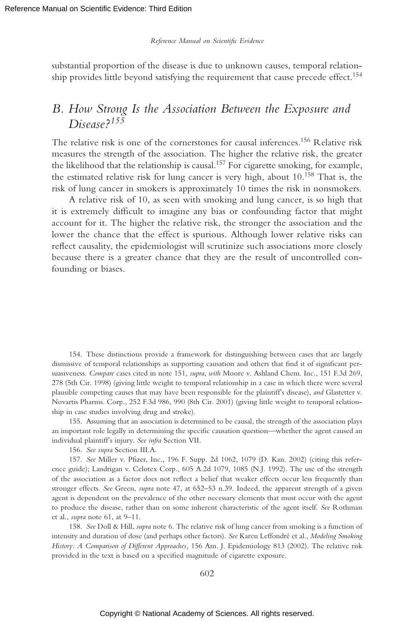substantial proportion of the disease is due to unknown causes, temporal relationship provides little beyond satisfying the requirement that cause precede effect.<sup>154</sup>

## *B. How Strong Is the Association Between the Exposure and Disease?155*

The relative risk is one of the cornerstones for causal inferences.156 Relative risk measures the strength of the association. The higher the relative risk, the greater the likelihood that the relationship is causal.157 For cigarette smoking, for example, the estimated relative risk for lung cancer is very high, about 10.158 That is, the risk of lung cancer in smokers is approximately 10 times the risk in nonsmokers.

A relative risk of 10, as seen with smoking and lung cancer, is so high that it is extremely difficult to imagine any bias or confounding factor that might account for it. The higher the relative risk, the stronger the association and the lower the chance that the effect is spurious. Although lower relative risks can reflect causality, the epidemiologist will scrutinize such associations more closely because there is a greater chance that they are the result of uncontrolled confounding or biases.

154. These distinctions provide a framework for distinguishing between cases that are largely dismissive of temporal relationships as supporting causation and others that find it of significant persuasiveness. *Compare* cases cited in note 151, *supra*, *with* Moore v. Ashland Chem. Inc., 151 F.3d 269, 278 (5th Cir. 1998) (giving little weight to temporal relationship in a case in which there were several plausible competing causes that may have been responsible for the plaintiff's disease), *and* Glastetter v. Novartis Pharms. Corp., 252 F.3d 986, 990 (8th Cir. 2001) (giving little weight to temporal relationship in case studies involving drug and stroke).

155. Assuming that an association is determined to be causal, the strength of the association plays an important role legally in determining the specific causation question—whether the agent caused an individual plaintiff's injury. *See infra* Section VII.

156. *See supra* Section III.A.

157. *See* Miller v. Pfizer, Inc., 196 F. Supp. 2d 1062, 1079 (D. Kan. 2002) (citing this reference guide); Landrigan v. Celotex Corp., 605 A.2d 1079, 1085 (N.J. 1992). The use of the strength of the association as a factor does not reflect a belief that weaker effects occur less frequently than stronger effects. *See* Green, *supra* note 47, at 652–53 n.39. Indeed, the apparent strength of a given agent is dependent on the prevalence of the other necessary elements that must occur with the agent to produce the disease, rather than on some inherent characteristic of the agent itself. *See* Rothman et al., *supra* note 61, at 9–11.

158. *See* Doll & Hill, *supra* note 6. The relative risk of lung cancer from smoking is a function of intensity and duration of dose (and perhaps other factors). *See* Karen Leffondré et al., *Modeling Smoking History: A Comparison of Different Approaches,* 156 Am. J. Epidemiology 813 (2002). The relative risk provided in the text is based on a specified magnitude of cigarette exposure.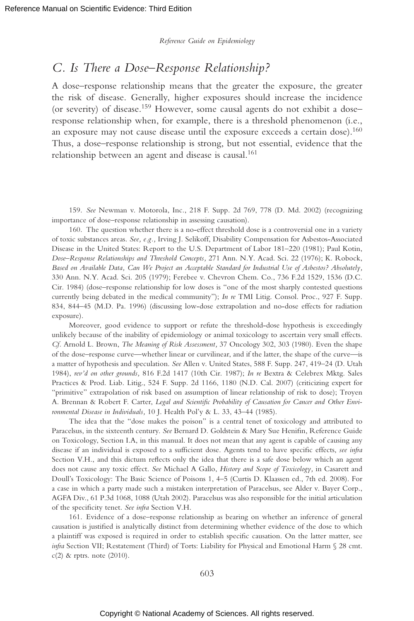## *C. Is There a Dose–Response Relationship?*

A dose–response relationship means that the greater the exposure, the greater the risk of disease. Generally, higher exposures should increase the incidence (or severity) of disease.159 However, some causal agents do not exhibit a dose– response relationship when, for example, there is a threshold phenomenon (i.e., an exposure may not cause disease until the exposure exceeds a certain dose).<sup>160</sup> Thus, a dose–response relationship is strong, but not essential, evidence that the relationship between an agent and disease is causal.<sup>161</sup>

159. *See* Newman v. Motorola, Inc., 218 F. Supp. 2d 769, 778 (D. Md. 2002) (recognizing importance of dose–response relationship in assessing causation).

160. The question whether there is a no-effect threshold dose is a controversial one in a variety of toxic substances areas. *See, e.g.,* Irving J. Selikoff, Disability Compensation for Asbestos-Associated Disease in the United States: Report to the U.S. Department of Labor 181–220 (1981); Paul Kotin, *Dose–Response Relationships and Threshold Concepts,* 271 Ann. N.Y. Acad. Sci. 22 (1976); K. Robock, *Based on Available Data, Can We Project an Acceptable Standard for Industrial Use of Asbestos? Absolutely,* 330 Ann. N.Y. Acad. Sci. 205 (1979); Ferebee v. Chevron Chem. Co., 736 F.2d 1529, 1536 (D.C. Cir. 1984) (dose–response relationship for low doses is "one of the most sharply contested questions currently being debated in the medical community"); *In re* TMI Litig. Consol. Proc., 927 F. Supp. 834, 844–45 (M.D. Pa. 1996) (discussing low-dose extrapolation and no-dose effects for radiation exposure).

Moreover, good evidence to support or refute the threshold-dose hypothesis is exceedingly unlikely because of the inability of epidemiology or animal toxicology to ascertain very small effects. *Cf.* Arnold L. Brown, *The Meaning of Risk Assessment,* 37 Oncology 302, 303 (1980). Even the shape of the dose–response curve—whether linear or curvilinear, and if the latter, the shape of the curve—is a matter of hypothesis and speculation. *See* Allen v. United States, 588 F. Supp. 247, 419–24 (D. Utah 1984), *rev'd on other grounds,* 816 F.2d 1417 (10th Cir. 1987); *In re* Bextra & Celebrex Mktg. Sales Practices & Prod. Liab. Litig., 524 F. Supp. 2d 1166, 1180 (N.D. Cal. 2007) (criticizing expert for "primitive" extrapolation of risk based on assumption of linear relationship of risk to dose); Troyen A. Brennan & Robert F. Carter, *Legal and Scientific Probability of Causation for Cancer and Other Environmental Disease in Individuals,* 10 J. Health Pol'y & L. 33, 43–44 (1985).

The idea that the "dose makes the poison" is a central tenet of toxicology and attributed to Paracelsus, in the sixteenth century. *See* Bernard D. Goldstein & Mary Sue Henifin, Reference Guide on Toxicology, Section I.A, in this manual. It does not mean that any agent is capable of causing any disease if an individual is exposed to a sufficient dose. Agents tend to have specific effects, *see infra*  Section V.H., and this dictum reflects only the idea that there is a safe dose below which an agent does not cause any toxic effect. *See* Michael A Gallo, *History and Scope of Toxicology,* in Casarett and Doull's Toxicology: The Basic Science of Poisons 1, 4–5 (Curtis D. Klaassen ed., 7th ed. 2008). For a case in which a party made such a mistaken interpretation of Paracelsus, see Alder v. Bayer Corp., AGFA Div., 61 P.3d 1068, 1088 (Utah 2002). Paracelsus was also responsible for the initial articulation of the specificity tenet. *See infra* Section V.H.

161. Evidence of a dose–response relationship as bearing on whether an inference of general causation is justified is analytically distinct from determining whether evidence of the dose to which a plaintiff was exposed is required in order to establish specific causation. On the latter matter, see *infra* Section VII; Restatement (Third) of Torts: Liability for Physical and Emotional Harm § 28 cmt.  $c(2)$  & rptrs. note  $(2010)$ .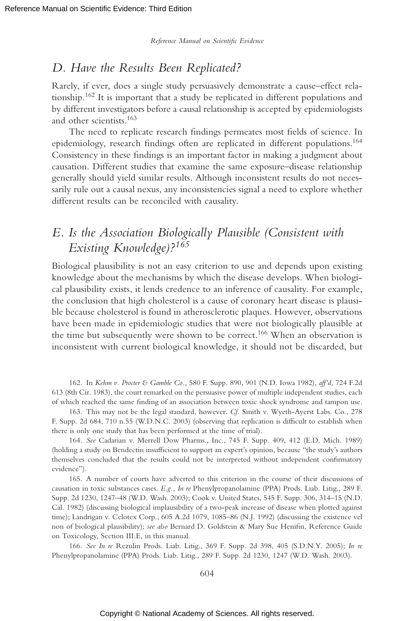## *D. Have the Results Been Replicated?*

Rarely, if ever, does a single study persuasively demonstrate a cause–effect relationship.162 It is important that a study be replicated in different populations and by different investigators before a causal relationship is accepted by epidemiologists and other scientists.163

The need to replicate research findings permeates most fields of science. In epidemiology, research findings often are replicated in different populations.<sup>164</sup> Consistency in these findings is an important factor in making a judgment about causation. Different studies that examine the same exposure–disease relationship generally should yield similar results. Although inconsistent results do not necessarily rule out a causal nexus, any inconsistencies signal a need to explore whether different results can be reconciled with causality.

## *E. Is the Association Biologically Plausible (Consistent with Existing Knowledge)?165*

Biological plausibility is not an easy criterion to use and depends upon existing knowledge about the mechanisms by which the disease develops. When biological plausibility exists, it lends credence to an inference of causality. For example, the conclusion that high cholesterol is a cause of coronary heart disease is plausible because cholesterol is found in atherosclerotic plaques. However, observations have been made in epidemiologic studies that were not biologically plausible at the time but subsequently were shown to be correct.<sup>166</sup> When an observation is inconsistent with current biological knowledge, it should not be discarded, but

162. In *Kehm v. Procter & Gamble Co.,* 580 F. Supp. 890, 901 (N.D. Iowa 1982), *aff'd,* 724 F.2d 613 (8th Cir. 1983), the court remarked on the persuasive power of multiple independent studies, each of which reached the same finding of an association between toxic shock syndrome and tampon use.

163. This may not be the legal standard, however. *Cf.* Smith v. Wyeth-Ayerst Labs. Co., 278 F. Supp. 2d 684, 710 n.55 (W.D.N.C. 2003) (observing that replication is difficult to establish when there is only one study that has been performed at the time of trial).

164. *See* Cadarian v. Merrell Dow Pharms., Inc., 745 F. Supp. 409, 412 (E.D. Mich. 1989) (holding a study on Bendectin insufficient to support an expert's opinion, because "the study's authors themselves concluded that the results could not be interpreted without independent confirmatory evidence").

165. A number of courts have adverted to this criterion in the course of their discussions of causation in toxic substances cases. *E.g., In re* Phenylpropanolamine (PPA) Prods. Liab. Litig., 289 F. Supp. 2d 1230, 1247–48 (W.D. Wash. 2003); Cook v. United States, 545 F. Supp. 306, 314–15 (N.D. Cal. 1982) (discussing biological implausibility of a two-peak increase of disease when plotted against time); Landrigan v. Celotex Corp., 605 A.2d 1079, 1085–86 (N.J. 1992) (discussing the existence vel non of biological plausibility); *see also* Bernard D. Goldstein & Mary Sue Henifin, Reference Guide on Toxicology, Section III.E, in this manual.

166. *See In re* Rezulin Prods. Liab. Litig., 369 F. Supp. 2d 398, 405 (S.D.N.Y. 2005); *In re*  Phenylpropanolamine (PPA) Prods. Liab. Litig., 289 F. Supp. 2d 1230, 1247 (W.D. Wash. 2003).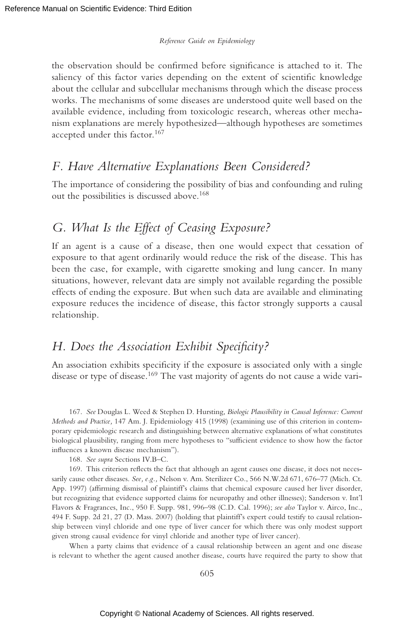the observation should be confirmed before significance is attached to it. The saliency of this factor varies depending on the extent of scientific knowledge about the cellular and subcellular mechanisms through which the disease process works. The mechanisms of some diseases are understood quite well based on the available evidence, including from toxicologic research, whereas other mechanism explanations are merely hypothesized—although hypotheses are sometimes accepted under this factor.<sup>167</sup>

### *F. Have Alternative Explanations Been Considered?*

The importance of considering the possibility of bias and confounding and ruling out the possibilities is discussed above.168

# *G. What Is the Effect of Ceasing Exposure?*

If an agent is a cause of a disease, then one would expect that cessation of exposure to that agent ordinarily would reduce the risk of the disease. This has been the case, for example, with cigarette smoking and lung cancer. In many situations, however, relevant data are simply not available regarding the possible effects of ending the exposure. But when such data are available and eliminating exposure reduces the incidence of disease, this factor strongly supports a causal relationship.

## *H. Does the Association Exhibit Specificity?*

An association exhibits specificity if the exposure is associated only with a single disease or type of disease.<sup>169</sup> The vast majority of agents do not cause a wide vari-

167. *See* Douglas L. Weed & Stephen D. Hursting, *Biologic Plausibility in Causal Inference: Current Methods and Practice,* 147 Am. J. Epidemiology 415 (1998) (examining use of this criterion in contemporary epidemiologic research and distinguishing between alternative explanations of what constitutes biological plausibility, ranging from mere hypotheses to "sufficient evidence to show how the factor influences a known disease mechanism").

168. *See supra* Sections IV.B–C.

169. This criterion reflects the fact that although an agent causes one disease, it does not necessarily cause other diseases. *See, e.g.,* Nelson v. Am. Sterilizer Co., 566 N.W.2d 671, 676–77 (Mich. Ct. App. 1997) (affirming dismissal of plaintiff's claims that chemical exposure caused her liver disorder, but recognizing that evidence supported claims for neuropathy and other illnesses); Sanderson v. Int'l Flavors & Fragrances, Inc., 950 F. Supp. 981, 996–98 (C.D. Cal. 1996); *see also* Taylor v. Airco, Inc., 494 F. Supp. 2d 21, 27 (D. Mass. 2007) (holding that plaintiff's expert could testify to causal relationship between vinyl chloride and one type of liver cancer for which there was only modest support given strong causal evidence for vinyl chloride and another type of liver cancer).

When a party claims that evidence of a causal relationship between an agent and one disease is relevant to whether the agent caused another disease, courts have required the party to show that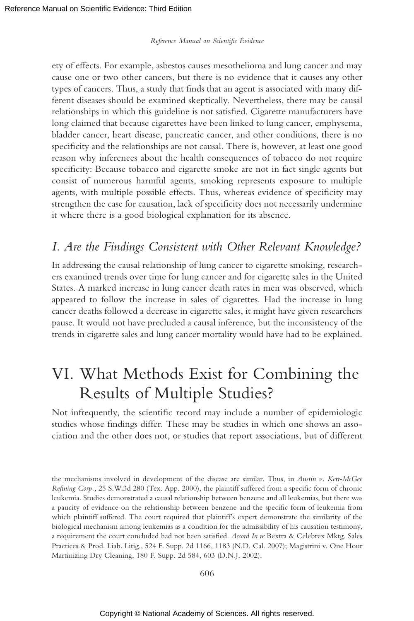ety of effects. For example, asbestos causes mesothelioma and lung cancer and may cause one or two other cancers, but there is no evidence that it causes any other types of cancers. Thus, a study that finds that an agent is associated with many different diseases should be examined skeptically. Nevertheless, there may be causal relationships in which this guideline is not satisfied. Cigarette manufacturers have long claimed that because cigarettes have been linked to lung cancer, emphysema, bladder cancer, heart disease, pancreatic cancer, and other conditions, there is no specificity and the relationships are not causal. There is, however, at least one good reason why inferences about the health consequences of tobacco do not require specificity: Because tobacco and cigarette smoke are not in fact single agents but consist of numerous harmful agents, smoking represents exposure to multiple agents, with multiple possible effects. Thus, whereas evidence of specificity may strengthen the case for causation, lack of specificity does not necessarily undermine it where there is a good biological explanation for its absence.

### *I. Are the Findings Consistent with Other Relevant Knowledge?*

In addressing the causal relationship of lung cancer to cigarette smoking, researchers examined trends over time for lung cancer and for cigarette sales in the United States. A marked increase in lung cancer death rates in men was observed, which appeared to follow the increase in sales of cigarettes. Had the increase in lung cancer deaths followed a decrease in cigarette sales, it might have given researchers pause. It would not have precluded a causal inference, but the inconsistency of the trends in cigarette sales and lung cancer mortality would have had to be explained.

# VI. What Methods Exist for Combining the Results of Multiple Studies?

Not infrequently, the scientific record may include a number of epidemiologic studies whose findings differ. These may be studies in which one shows an association and the other does not, or studies that report associations, but of different

the mechanisms involved in development of the disease are similar. Thus, in *Austin v. Kerr-McGee Refining Corp.,* 25 S.W.3d 280 (Tex. App. 2000), the plaintiff suffered from a specific form of chronic leukemia. Studies demonstrated a causal relationship between benzene and all leukemias, but there was a paucity of evidence on the relationship between benzene and the specific form of leukemia from which plaintiff suffered. The court required that plaintiff's expert demonstrate the similarity of the biological mechanism among leukemias as a condition for the admissibility of his causation testimony, a requirement the court concluded had not been satisfied. *Accord In re* Bextra & Celebrex Mktg. Sales Practices & Prod. Liab. Litig., 524 F. Supp. 2d 1166, 1183 (N.D. Cal. 2007); Magistrini v. One Hour Martinizing Dry Cleaning, 180 F. Supp. 2d 584, 603 (D.N.J. 2002).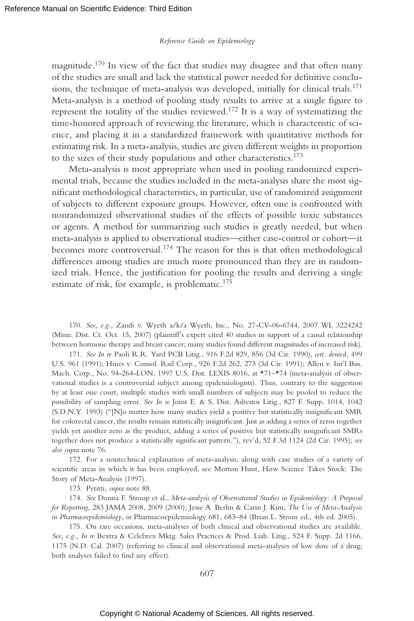magnitude.<sup>170</sup> In view of the fact that studies may disagree and that often many of the studies are small and lack the statistical power needed for definitive conclusions, the technique of meta-analysis was developed, initially for clinical trials.<sup>171</sup> Meta-analysis is a method of pooling study results to arrive at a single figure to represent the totality of the studies reviewed.172 It is a way of systematizing the time-honored approach of reviewing the literature, which is characteristic of science, and placing it in a standardized framework with quantitative methods for estimating risk. In a meta-analysis, studies are given different weights in proportion to the sizes of their study populations and other characteristics.<sup>173</sup>

Meta-analysis is most appropriate when used in pooling randomized experimental trials, because the studies included in the meta-analysis share the most significant methodological characteristics, in particular, use of randomized assignment of subjects to different exposure groups. However, often one is confronted with nonrandomized observational studies of the effects of possible toxic substances or agents. A method for summarizing such studies is greatly needed, but when meta-analysis is applied to observational studies—either case-control or cohort—it becomes more controversial.174 The reason for this is that often methodological differences among studies are much more pronounced than they are in randomized trials. Hence, the justification for pooling the results and deriving a single estimate of risk, for example, is problematic.<sup>175</sup>

170. *See, e.g.,* Zandi v. Wyeth a/k/a Wyeth, Inc., No. 27-CV-06-6744, 2007 WL 3224242 (Minn. Dist. Ct. Oct. 15, 2007) (plaintiff's expert cited 40 studies in support of a causal relationship between hormone therapy and breast cancer; many studies found different magnitudes of increased risk).

171. *See In re* Paoli R.R. Yard PCB Litig., 916 F.2d 829, 856 (3d Cir. 1990), *cert. denied,* 499 U.S. 961 (1991); Hines v. Consol. Rail Corp., 926 F.2d 262, 273 (3d Cir. 1991); Allen v. Int'l Bus. Mach. Corp., No. 94-264-LON, 1997 U.S. Dist. LEXIS 8016, at  $\star$ 71- $\star$ 74 (meta-analysis of observational studies is a controversial subject among epidemiologists). Thus, contrary to the suggestion by at least one court, multiple studies with small numbers of subjects may be pooled to reduce the possibility of sampling error. *See In re* Joint E. & S. Dist. Asbestos Litig., 827 F. Supp. 1014, 1042 (S.D.N.Y. 1993) ("[N]o matter how many studies yield a positive but statistically insignificant SMR for colorectal cancer, the results remain statistically insignificant. Just as adding a series of zeros together yields yet another zero as the product, adding a series of positive but statistically insignificant SMRs together does not produce a statistically significant pattern."), rev'd, 52 F.3d 1124 (2d Cir. 1995); *see also supra* note 76.

172. For a nontechnical explanation of meta-analysis, along with case studies of a variety of scientific areas in which it has been employed, see Morton Hunt, How Science Takes Stock: The Story of Meta-Analysis (1997).

173. Petitti, *supra* note 88.

174. *See* Donna F. Stroup et al., *Meta-analysis of Observational Studies in Epidemiology: A Proposal for Reporting,* 283 JAMA 2008, 2009 (2000); Jesse A. Berlin & Carin J. Kim, *The Use of Meta-Analysis in Pharmacoepidemiology, in* Pharmacoepidemiology 681, 683–84 (Brian L. Strom ed., 4th ed. 2005).

175. On rare occasions, meta-analyses of both clinical and observational studies are available. *See, e.g., In re* Bextra & Celebrex Mktg. Sales Practices & Prod. Liab. Litig., 524 F. Supp. 2d 1166, 1175 (N.D. Cal. 2007) (referring to clinical and observational meta-analyses of low dose of a drug; both analyses failed to find any effect).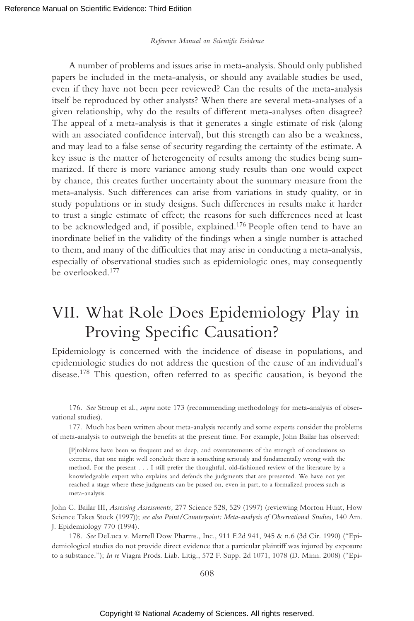A number of problems and issues arise in meta-analysis. Should only published papers be included in the meta-analysis, or should any available studies be used, even if they have not been peer reviewed? Can the results of the meta-analysis itself be reproduced by other analysts? When there are several meta-analyses of a given relationship, why do the results of different meta-analyses often disagree? The appeal of a meta-analysis is that it generates a single estimate of risk (along with an associated confidence interval), but this strength can also be a weakness, and may lead to a false sense of security regarding the certainty of the estimate. A key issue is the matter of heterogeneity of results among the studies being summarized. If there is more variance among study results than one would expect by chance, this creates further uncertainty about the summary measure from the meta-analysis. Such differences can arise from variations in study quality, or in study populations or in study designs. Such differences in results make it harder to trust a single estimate of effect; the reasons for such differences need at least to be acknowledged and, if possible, explained.176 People often tend to have an inordinate belief in the validity of the findings when a single number is attached to them, and many of the difficulties that may arise in conducting a meta-analysis, especially of observational studies such as epidemiologic ones, may consequently be overlooked.177

# VII. What Role Does Epidemiology Play in Proving Specific Causation?

Epidemiology is concerned with the incidence of disease in populations, and epidemiologic studies do not address the question of the cause of an individual's disease.178 This question, often referred to as specific causation, is beyond the

176. *See* Stroup et al., *supra* note 173 (recommending methodology for meta-analysis of observational studies).

177. Much has been written about meta-analysis recently and some experts consider the problems of meta-analysis to outweigh the benefits at the present time. For example, John Bailar has observed:

[P]roblems have been so frequent and so deep, and overstatements of the strength of conclusions so extreme, that one might well conclude there is something seriously and fundamentally wrong with the method. For the present . . . I still prefer the thoughtful, old-fashioned review of the literature by a knowledgeable expert who explains and defends the judgments that are presented. We have not yet reached a stage where these judgments can be passed on, even in part, to a formalized process such as meta-analysis.

John C. Bailar III, *Assessing Assessments,* 277 Science 528, 529 (1997) (reviewing Morton Hunt, How Science Takes Stock (1997)); *see also Point/Counterpoint: Meta-analysis of Observational Studies,* 140 Am. J. Epidemiology 770 (1994).

178. *See* DeLuca v. Merrell Dow Pharms., Inc., 911 F.2d 941, 945 & n.6 (3d Cir. 1990) ("Epidemiological studies do not provide direct evidence that a particular plaintiff was injured by exposure to a substance."); *In re* Viagra Prods. Liab. Litig., 572 F. Supp. 2d 1071, 1078 (D. Minn. 2008) ("Epi-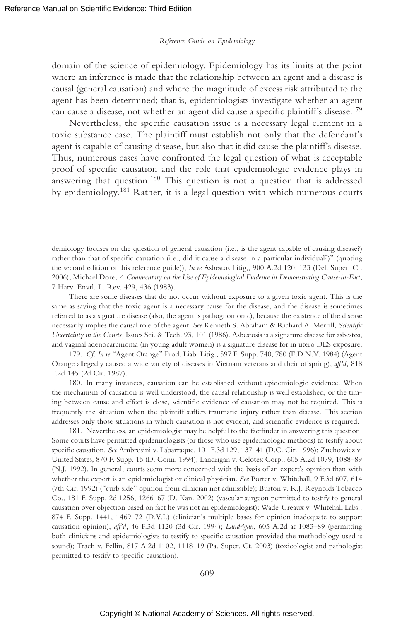domain of the science of epidemiology. Epidemiology has its limits at the point where an inference is made that the relationship between an agent and a disease is causal (general causation) and where the magnitude of excess risk attributed to the agent has been determined; that is, epidemiologists investigate whether an agent can cause a disease, not whether an agent did cause a specific plaintiff's disease.<sup>179</sup>

Nevertheless, the specific causation issue is a necessary legal element in a toxic substance case. The plaintiff must establish not only that the defendant's agent is capable of causing disease, but also that it did cause the plaintiff's disease. Thus, numerous cases have confronted the legal question of what is acceptable proof of specific causation and the role that epidemiologic evidence plays in answering that question.180 This question is not a question that is addressed by epidemiology.181 Rather, it is a legal question with which numerous courts

demiology focuses on the question of general causation (i.e., is the agent capable of causing disease?) rather than that of specific causation (i.e., did it cause a disease in a particular individual?)" (quoting the second edition of this reference guide)); *In re* Asbestos Litig,, 900 A.2d 120, 133 (Del. Super. Ct. 2006); Michael Dore, *A Commentary on the Use of Epidemiological Evidence in Demonstrating Cause-in-Fact,* 7 Harv. Envtl. L. Rev. 429, 436 (1983).

There are some diseases that do not occur without exposure to a given toxic agent. This is the same as saying that the toxic agent is a necessary cause for the disease, and the disease is sometimes referred to as a signature disease (also, the agent is pathognomonic), because the existence of the disease necessarily implies the causal role of the agent. *See* Kenneth S. Abraham & Richard A. Merrill, *Scientific Uncertainty in the Courts,* Issues Sci. & Tech. 93, 101 (1986). Asbestosis is a signature disease for asbestos, and vaginal adenocarcinoma (in young adult women) is a signature disease for in utero DES exposure.

179. *Cf. In re* "Agent Orange" Prod. Liab. Litig., 597 F. Supp. 740, 780 (E.D.N.Y. 1984) (Agent Orange allegedly caused a wide variety of diseases in Vietnam veterans and their offspring), *aff'd,* 818 F.2d 145 (2d Cir. 1987).

180. In many instances, causation can be established without epidemiologic evidence. When the mechanism of causation is well understood, the causal relationship is well established, or the timing between cause and effect is close, scientific evidence of causation may not be required. This is frequently the situation when the plaintiff suffers traumatic injury rather than disease. This section addresses only those situations in which causation is not evident, and scientific evidence is required.

181. Nevertheless, an epidemiologist may be helpful to the factfinder in answering this question. Some courts have permitted epidemiologists (or those who use epidemiologic methods) to testify about specific causation. *See* Ambrosini v. Labarraque, 101 F.3d 129, 137–41 (D.C. Cir. 1996); Zuchowicz v. United States, 870 F. Supp. 15 (D. Conn. 1994); Landrigan v. Celotex Corp., 605 A.2d 1079, 1088–89 (N.J. 1992). In general, courts seem more concerned with the basis of an expert's opinion than with whether the expert is an epidemiologist or clinical physician. *See* Porter v. Whitehall, 9 F.3d 607, 614 (7th Cir. 1992) ("curb side" opinion from clinician not admissible); Burton v. R.J. Reynolds Tobacco Co., 181 F. Supp. 2d 1256, 1266–67 (D. Kan. 2002) (vascular surgeon permitted to testify to general causation over objection based on fact he was not an epidemiologist); Wade-Greaux v. Whitehall Labs., 874 F. Supp. 1441, 1469–72 (D.V.I.) (clinician's multiple bases for opinion inadequate to support causation opinion), *aff'd,* 46 F.3d 1120 (3d Cir. 1994); *Landrigan*, 605 A.2d at 1083–89 (permitting both clinicians and epidemiologists to testify to specific causation provided the methodology used is sound); Trach v. Fellin, 817 A.2d 1102, 1118–19 (Pa. Super. Ct. 2003) (toxicologist and pathologist permitted to testify to specific causation).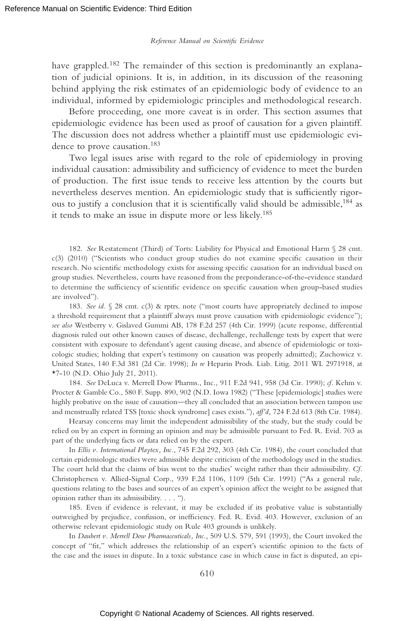have grappled.<sup>182</sup> The remainder of this section is predominantly an explanation of judicial opinions. It is, in addition, in its discussion of the reasoning behind applying the risk estimates of an epidemiologic body of evidence to an individual, informed by epidemiologic principles and methodological research.

Before proceeding, one more caveat is in order. This section assumes that epidemiologic evidence has been used as proof of causation for a given plaintiff. The discussion does not address whether a plaintiff must use epidemiologic evidence to prove causation.<sup>183</sup>

Two legal issues arise with regard to the role of epidemiology in proving individual causation: admissibility and sufficiency of evidence to meet the burden of production. The first issue tends to receive less attention by the courts but nevertheless deserves mention. An epidemiologic study that is sufficiently rigorous to justify a conclusion that it is scientifically valid should be admissible,<sup>184</sup> as it tends to make an issue in dispute more or less likely.<sup>185</sup>

182. *See* Restatement (Third) of Torts: Liability for Physical and Emotional Harm § 28 cmt. c(3) (2010) ("Scientists who conduct group studies do not examine specific causation in their research. No scientific methodology exists for assessing specific causation for an individual based on group studies. Nevertheless, courts have reasoned from the preponderance-of-the-evidence standard to determine the sufficiency of scientific evidence on specific causation when group-based studies are involved").

183. *See id.*  $\sqrt{28}$  cmt. c(3) & rptrs. note ("most courts have appropriately declined to impose a threshold requirement that a plaintiff always must prove causation with epidemiologic evidence"); *see also* Westberry v. Gislaved Gummi AB, 178 F.2d 257 (4th Cir. 1999) (acute response, differential diagnosis ruled out other known causes of disease, dechallenge, rechallenge tests by expert that were consistent with exposure to defendant's agent causing disease, and absence of epidemiologic or toxicologic studies; holding that expert's testimony on causation was properly admitted); Zuchowicz v. United States, 140 F.3d 381 (2d Cir. 1998); *In re* Heparin Prods. Liab. Litig. 2011 WL 2971918, at \*7-10 (N.D. Ohio July 21, 2011).

184. *See* DeLuca v. Merrell Dow Pharms., Inc., 911 F.2d 941, 958 (3d Cir. 1990); *cf.* Kehm v. Procter & Gamble Co., 580 F. Supp. 890, 902 (N.D. Iowa 1982) ("These [epidemiologic] studies were highly probative on the issue of causation—they all concluded that an association between tampon use and menstrually related TSS [toxic shock syndrome] cases exists."), *aff'd,* 724 F.2d 613 (8th Cir. 1984).

Hearsay concerns may limit the independent admissibility of the study, but the study could be relied on by an expert in forming an opinion and may be admissible pursuant to Fed. R. Evid. 703 as part of the underlying facts or data relied on by the expert.

In *Ellis v. International Playtex, Inc.,* 745 F.2d 292, 303 (4th Cir. 1984), the court concluded that certain epidemiologic studies were admissible despite criticism of the methodology used in the studies. The court held that the claims of bias went to the studies' weight rather than their admissibility. *Cf.* Christophersen v. Allied-Signal Corp., 939 F.2d 1106, 1109 (5th Cir. 1991) ("As a general rule, questions relating to the bases and sources of an expert's opinion affect the weight to be assigned that opinion rather than its admissibility. . . . ").

185. Even if evidence is relevant, it may be excluded if its probative value is substantially outweighed by prejudice, confusion, or inefficiency. Fed. R. Evid. 403. However, exclusion of an otherwise relevant epidemiologic study on Rule 403 grounds is unlikely.

In *Daubert v. Merrell Dow Pharmaceuticals, Inc.,* 509 U.S. 579, 591 (1993), the Court invoked the concept of "fit," which addresses the relationship of an expert's scientific opinion to the facts of the case and the issues in dispute. In a toxic substance case in which cause in fact is disputed, an epi-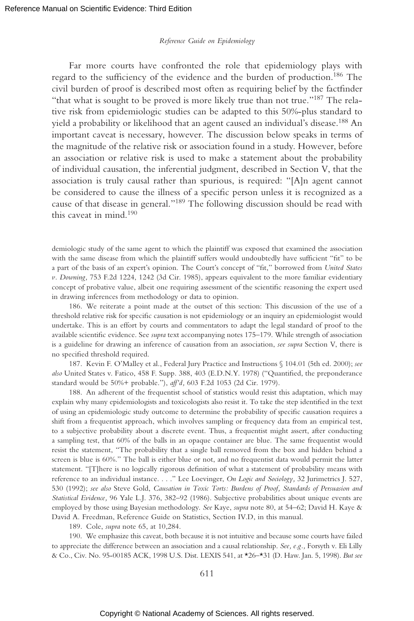Far more courts have confronted the role that epidemiology plays with regard to the sufficiency of the evidence and the burden of production.<sup>186</sup> The civil burden of proof is described most often as requiring belief by the factfinder "that what is sought to be proved is more likely true than not true."<sup>187</sup> The relative risk from epidemiologic studies can be adapted to this 50%-plus standard to yield a probability or likelihood that an agent caused an individual's disease.188 An important caveat is necessary, however. The discussion below speaks in terms of the magnitude of the relative risk or association found in a study. However, before an association or relative risk is used to make a statement about the probability of individual causation, the inferential judgment, described in Section V, that the association is truly causal rather than spurious, is required: "[A]n agent cannot be considered to cause the illness of a specific person unless it is recognized as a cause of that disease in general."189 The following discussion should be read with this caveat in mind.190

demiologic study of the same agent to which the plaintiff was exposed that examined the association with the same disease from which the plaintiff suffers would undoubtedly have sufficient "fit" to be a part of the basis of an expert's opinion. The Court's concept of "fit," borrowed from *United States v. Downing,* 753 F.2d 1224, 1242 (3d Cir. 1985), appears equivalent to the more familiar evidentiary concept of probative value, albeit one requiring assessment of the scientific reasoning the expert used in drawing inferences from methodology or data to opinion.

186. We reiterate a point made at the outset of this section: This discussion of the use of a threshold relative risk for specific causation is not epidemiology or an inquiry an epidemiologist would undertake. This is an effort by courts and commentators to adapt the legal standard of proof to the available scientific evidence. See *supra* text accompanying notes 175–179. While strength of association is a guideline for drawing an inference of causation from an association, *see supra* Section V, there is no specified threshold required.

187. Kevin F. O'Malley et al., Federal Jury Practice and Instructions § 104.01 (5th ed. 2000); *see also* United States v. Fatico, 458 F. Supp. 388, 403 (E.D.N.Y. 1978) ("Quantified, the preponderance standard would be 50%+ probable."), *aff'd,* 603 F.2d 1053 (2d Cir. 1979).

188. An adherent of the frequentist school of statistics would resist this adaptation, which may explain why many epidemiologists and toxicologists also resist it. To take the step identified in the text of using an epidemiologic study outcome to determine the probability of specific causation requires a shift from a frequentist approach, which involves sampling or frequency data from an empirical test, to a subjective probability about a discrete event. Thus, a frequentist might assert, after conducting a sampling test, that 60% of the balls in an opaque container are blue. The same frequentist would resist the statement, "The probability that a single ball removed from the box and hidden behind a screen is blue is 60%." The ball is either blue or not, and no frequentist data would permit the latter statement. "[T]here is no logically rigorous definition of what a statement of probability means with reference to an individual instance. . . ." Lee Loevinger, *On Logic and Sociology,* 32 Jurimetrics J. 527, 530 (1992); *see also* Steve Gold, *Causation in Toxic Torts: Burdens of Proof, Standards of Persuasion and Statistical Evidence,* 96 Yale L.J. 376, 382–92 (1986). Subjective probabilities about unique events are employed by those using Bayesian methodology. *See* Kaye, *supra* note 80, at 54–62; David H. Kaye & David A. Freedman, Reference Guide on Statistics, Section IV.D, in this manual.

189. Cole, *supra* note 65, at 10,284.

190. We emphasize this caveat, both because it is not intuitive and because some courts have failed to appreciate the difference between an association and a causal relationship. *See, e.g.,* Forsyth v. Eli Lilly & Co., Civ. No. 95-00185 ACK, 1998 U.S. Dist. LEXIS 541, at \*26–\*31 (D. Haw. Jan. 5, 1998). *But see*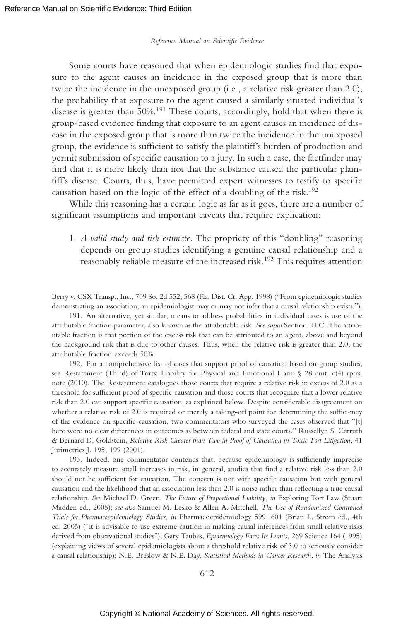Some courts have reasoned that when epidemiologic studies find that exposure to the agent causes an incidence in the exposed group that is more than twice the incidence in the unexposed group (i.e., a relative risk greater than 2.0), the probability that exposure to the agent caused a similarly situated individual's disease is greater than 50%.<sup>191</sup> These courts, accordingly, hold that when there is group-based evidence finding that exposure to an agent causes an incidence of disease in the exposed group that is more than twice the incidence in the unexposed group, the evidence is sufficient to satisfy the plaintiff's burden of production and permit submission of specific causation to a jury. In such a case, the factfinder may find that it is more likely than not that the substance caused the particular plaintiff's disease. Courts, thus, have permitted expert witnesses to testify to specific causation based on the logic of the effect of a doubling of the risk.<sup>192</sup>

While this reasoning has a certain logic as far as it goes, there are a number of significant assumptions and important caveats that require explication:

1. *A valid study and risk estimate.* The propriety of this "doubling" reasoning depends on group studies identifying a genuine causal relationship and a reasonably reliable measure of the increased risk.<sup>193</sup> This requires attention

Berry v. CSX Transp., Inc., 709 So. 2d 552, 568 (Fla. Dist. Ct. App. 1998) ("From epidemiologic studies demonstrating an association, an epidemiologist may or may not infer that a causal relationship exists.").

191. An alternative, yet similar, means to address probabilities in individual cases is use of the attributable fraction parameter, also known as the attributable risk. *See supra* Section III.C. The attributable fraction is that portion of the excess risk that can be attributed to an agent, above and beyond the background risk that is due to other causes. Thus, when the relative risk is greater than 2.0, the attributable fraction exceeds 50%.

192. For a comprehensive list of cases that support proof of causation based on group studies, see Restatement (Third) of Torts: Liability for Physical and Emotional Harm § 28 cmt. c(4) rptrs. note (2010). The Restatement catalogues those courts that require a relative risk in excess of 2.0 as a threshold for sufficient proof of specific causation and those courts that recognize that a lower relative risk than 2.0 can support specific causation, as explained below. Despite considerable disagreement on whether a relative risk of 2.0 is required or merely a taking-off point for determining the sufficiency of the evidence on specific causation, two commentators who surveyed the cases observed that "[t] here were no clear differences in outcomes as between federal and state courts." Russellyn S. Carruth & Bernard D. Goldstein, *Relative Risk Greater than Two in Proof of Causation in Toxic Tort Litigation,* 41 Jurimetrics J. 195, 199 (2001).

193. Indeed, one commentator contends that, because epidemiology is sufficiently imprecise to accurately measure small increases in risk, in general, studies that find a relative risk less than 2.0 should not be sufficient for causation. The concern is not with specific causation but with general causation and the likelihood that an association less than 2.0 is noise rather than reflecting a true causal relationship. *See* Michael D. Green, *The Future of Proportional Liability, in* Exploring Tort Law (Stuart Madden ed., 2005); *see also* Samuel M. Lesko & Allen A. Mitchell, *The Use of Randomized Controlled Trials for Pharmacoepidemiology Studies, in* Pharmacoepidemiology 599, 601 (Brian L. Strom ed., 4th ed. 2005) ("it is advisable to use extreme caution in making causal inferences from small relative risks derived from observational studies"); Gary Taubes, *Epidemiology Faces Its Limits,* 269 Science 164 (1995) (explaining views of several epidemiologists about a threshold relative risk of 3.0 to seriously consider a causal relationship); N.E. Breslow & N.E. Day, *Statistical Methods in Cancer Research, in* The Analysis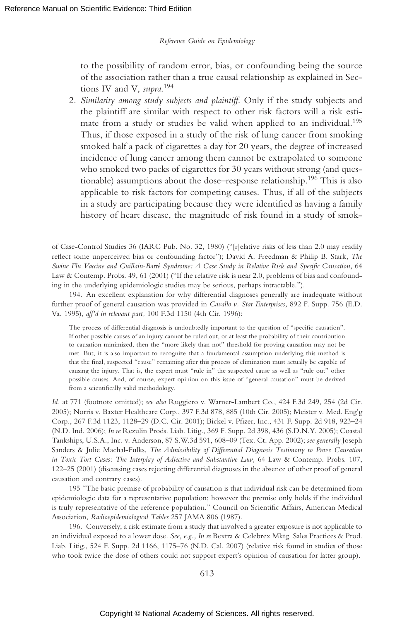to the possibility of random error, bias, or confounding being the source of the association rather than a true causal relationship as explained in Sections IV and V, *supra*. 194

2. *Similarity among study subjects and plaintiff*. Only if the study subjects and the plaintiff are similar with respect to other risk factors will a risk estimate from a study or studies be valid when applied to an individual.<sup>195</sup> Thus, if those exposed in a study of the risk of lung cancer from smoking smoked half a pack of cigarettes a day for 20 years, the degree of increased incidence of lung cancer among them cannot be extrapolated to someone who smoked two packs of cigarettes for 30 years without strong (and questionable) assumptions about the dose–response relationship.<sup>196</sup> This is also applicable to risk factors for competing causes. Thus, if all of the subjects in a study are participating because they were identified as having a family history of heart disease, the magnitude of risk found in a study of smok-

of Case-Control Studies 36 (IARC Pub. No. 32, 1980) ("[r]elative risks of less than 2.0 may readily reflect some unperceived bias or confounding factor"); David A. Freedman & Philip B. Stark, *The Swine Flu Vaccine and Guillain-Barré Syndrome: A Case Study in Relative Risk and Specific Causation,* 64 Law & Contemp. Probs. 49, 61 (2001) ("If the relative risk is near 2.0, problems of bias and confounding in the underlying epidemiologic studies may be serious, perhaps intractable.").

194. An excellent explanation for why differential diagnoses generally are inadequate without further proof of general causation was provided in *Cavallo v. Star Enterprises,* 892 F. Supp. 756 (E.D. Va. 1995), *aff'd in relevant part,* 100 F.3d 1150 (4th Cir. 1996):

The process of differential diagnosis is undoubtedly important to the question of "specific causation". If other possible causes of an injury cannot be ruled out, or at least the probability of their contribution to causation minimized, then the "more likely than not" threshold for proving causation may not be met. But, it is also important to recognize that a fundamental assumption underlying this method is that the final, suspected "cause" remaining after this process of elimination must actually be capable of causing the injury. That is, the expert must "rule in" the suspected cause as well as "rule out" other possible causes. And, of course, expert opinion on this issue of "general causation" must be derived from a scientifically valid methodology.

*Id.* at 771 (footnote omitted); *see also* Ruggiero v. Warner-Lambert Co., 424 F.3d 249, 254 (2d Cir. 2005); Norris v. Baxter Healthcare Corp., 397 F.3d 878, 885 (10th Cir. 2005); Meister v. Med. Eng'g Corp., 267 F.3d 1123, 1128–29 (D.C. Cir. 2001); Bickel v. Pfizer, Inc., 431 F. Supp. 2d 918, 923–24 (N.D. Ind. 2006); *In re* Rezulin Prods. Liab. Litig., 369 F. Supp. 2d 398, 436 (S.D.N.Y. 2005); Coastal Tankships, U.S.A., Inc. v. Anderson, 87 S.W.3d 591, 608–09 (Tex. Ct. App. 2002); *see generally* Joseph Sanders & Julie Machal-Fulks, *The Admissibility of Differential Diagnosis Testimony to Prove Causation in Toxic Tort Cases: The Interplay of Adjective and Substantive Law,* 64 Law & Contemp. Probs. 107, 122–25 (2001) (discussing cases rejecting differential diagnoses in the absence of other proof of general causation and contrary cases).

195 "The basic premise of probability of causation is that individual risk can be determined from epidemiologic data for a representative population; however the premise only holds if the individual is truly representative of the reference population." Council on Scientific Affairs, American Medical Association, *Radioepidemiological Tables* 257 JAMA 806 (1987).

196. Conversely, a risk estimate from a study that involved a greater exposure is not applicable to an individual exposed to a lower dose. *See, e.g., In re* Bextra & Celebrex Mktg. Sales Practices & Prod. Liab. Litig., 524 F. Supp. 2d 1166, 1175–76 (N.D. Cal. 2007) (relative risk found in studies of those who took twice the dose of others could not support expert's opinion of causation for latter group).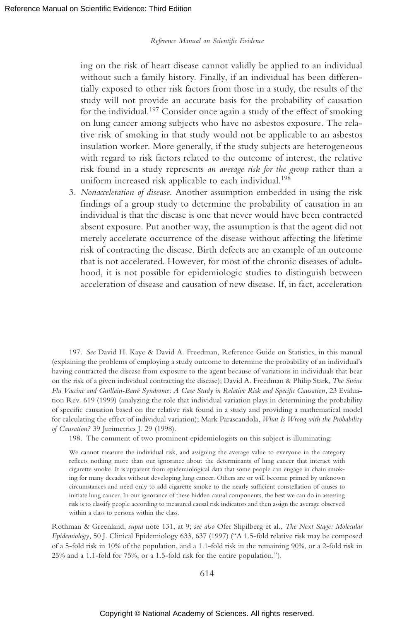ing on the risk of heart disease cannot validly be applied to an individual without such a family history. Finally, if an individual has been differentially exposed to other risk factors from those in a study, the results of the study will not provide an accurate basis for the probability of causation for the individual.197 Consider once again a study of the effect of smoking on lung cancer among subjects who have no asbestos exposure. The relative risk of smoking in that study would not be applicable to an asbestos insulation worker. More generally, if the study subjects are heterogeneous with regard to risk factors related to the outcome of interest, the relative risk found in a study represents *an average risk for the group* rather than a uniform increased risk applicable to each individual.<sup>198</sup>

3. *Nonacceleration of disease*. Another assumption embedded in using the risk findings of a group study to determine the probability of causation in an individual is that the disease is one that never would have been contracted absent exposure. Put another way, the assumption is that the agent did not merely accelerate occurrence of the disease without affecting the lifetime risk of contracting the disease. Birth defects are an example of an outcome that is not accelerated. However, for most of the chronic diseases of adulthood, it is not possible for epidemiologic studies to distinguish between acceleration of disease and causation of new disease. If, in fact, acceleration

197. *See* David H. Kaye & David A. Freedman, Reference Guide on Statistics, in this manual (explaining the problems of employing a study outcome to determine the probability of an individual's having contracted the disease from exposure to the agent because of variations in individuals that bear on the risk of a given individual contracting the disease); David A. Freedman & Philip Stark, *The Swine Flu Vaccine and Guillain-Barré Syndrome: A Case Study in Relative Risk and Specific Causation,* 23 Evaluation Rev. 619 (1999) (analyzing the role that individual variation plays in determining the probability of specific causation based on the relative risk found in a study and providing a mathematical model for calculating the effect of individual variation); Mark Parascandola, *What Is Wrong with the Probability of Causation?* 39 Jurimetrics J. 29 (1998).

198. The comment of two prominent epidemiologists on this subject is illuminating:

We cannot measure the individual risk, and assigning the average value to everyone in the category reflects nothing more than our ignorance about the determinants of lung cancer that interact with cigarette smoke. It is apparent from epidemiological data that some people can engage in chain smoking for many decades without developing lung cancer. Others are or will become primed by unknown circumstances and need only to add cigarette smoke to the nearly sufficient constellation of causes to initiate lung cancer. In our ignorance of these hidden causal components, the best we can do in assessing risk is to classify people according to measured causal risk indicators and then assign the average observed within a class to persons within the class.

Rothman & Greenland, *supra* note 131, at 9; *see also* Ofer Shpilberg et al., *The Next Stage: Molecular Epidemiology,* 50 J. Clinical Epidemiology 633, 637 (1997) ("A 1.5-fold relative risk may be composed of a 5-fold risk in 10% of the population, and a 1.1-fold risk in the remaining 90%, or a 2-fold risk in 25% and a 1.1-fold for 75%, or a 1.5-fold risk for the entire population.").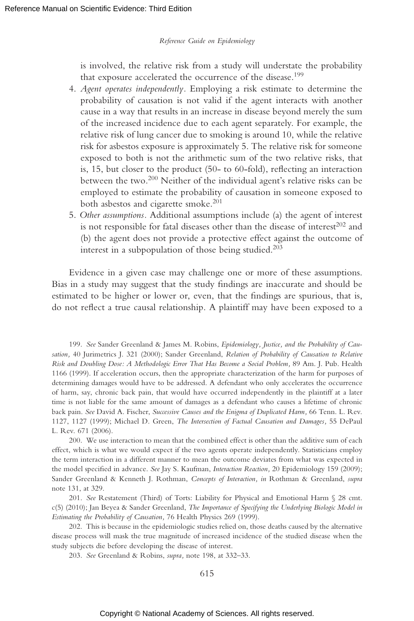is involved, the relative risk from a study will understate the probability that exposure accelerated the occurrence of the disease.<sup>199</sup>

- 4. *Agent operates independently.* Employing a risk estimate to determine the probability of causation is not valid if the agent interacts with another cause in a way that results in an increase in disease beyond merely the sum of the increased incidence due to each agent separately. For example, the relative risk of lung cancer due to smoking is around 10, while the relative risk for asbestos exposure is approximately 5. The relative risk for someone exposed to both is not the arithmetic sum of the two relative risks, that is, 15, but closer to the product (50- to 60-fold), reflecting an interaction between the two.200 Neither of the individual agent's relative risks can be employed to estimate the probability of causation in someone exposed to both asbestos and cigarette smoke.<sup>201</sup>
- 5. *Other assumptions.* Additional assumptions include (a) the agent of interest is not responsible for fatal diseases other than the disease of interest<sup>202</sup> and (b) the agent does not provide a protective effect against the outcome of interest in a subpopulation of those being studied.<sup>203</sup>

Evidence in a given case may challenge one or more of these assumptions. Bias in a study may suggest that the study findings are inaccurate and should be estimated to be higher or lower or, even, that the findings are spurious, that is, do not reflect a true causal relationship. A plaintiff may have been exposed to a

199. *See* Sander Greenland & James M. Robins, *Epidemiology, Justice, and the Probability of Causation,* 40 Jurimetrics J. 321 (2000); Sander Greenland, *Relation of Probability of Causation to Relative Risk and Doubling Dose: A Methodologic Error That Has Become a Social Problem,* 89 Am. J. Pub. Health 1166 (1999). If acceleration occurs, then the appropriate characterization of the harm for purposes of determining damages would have to be addressed. A defendant who only accelerates the occurrence of harm, say, chronic back pain, that would have occurred independently in the plaintiff at a later time is not liable for the same amount of damages as a defendant who causes a lifetime of chronic back pain. *See* David A. Fischer, *Successive Causes and the Enigma of Duplicated Harm,* 66 Tenn. L. Rev. 1127, 1127 (1999); Michael D. Green, *The Intersection of Factual Causation and Damages,* 55 DePaul L. Rev. 671 (2006).

200. We use interaction to mean that the combined effect is other than the additive sum of each effect, which is what we would expect if the two agents operate independently. Statisticians employ the term interaction in a different manner to mean the outcome deviates from what was expected in the model specified in advance. *See* Jay S. Kaufman, *Interaction Reaction,* 20 Epidemiology 159 (2009); Sander Greenland & Kenneth J. Rothman, *Concepts of Interaction, in* Rothman & Greenland, *supra* note 131, at 329.

201. *See* Restatement (Third) of Torts: Liability for Physical and Emotional Harm § 28 cmt. c(5) (2010); Jan Beyea & Sander Greenland, *The Importance of Specifying the Underlying Biologic Model in Estimating the Probability of Causation,* 76 Health Physics 269 (1999).

202. This is because in the epidemiologic studies relied on, those deaths caused by the alternative disease process will mask the true magnitude of increased incidence of the studied disease when the study subjects die before developing the disease of interest.

203. *See* Greenland & Robins, *supra,* note 198, at 332–33.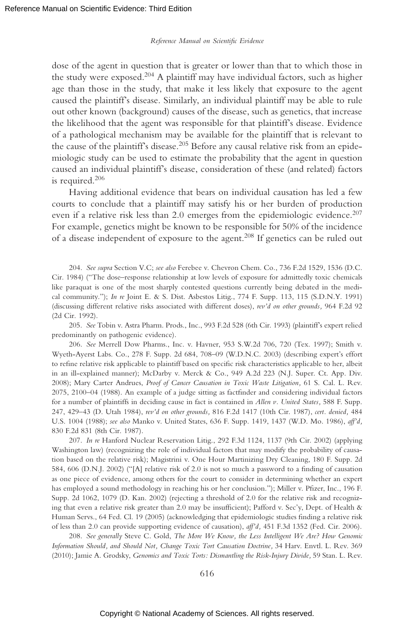dose of the agent in question that is greater or lower than that to which those in the study were exposed.<sup>204</sup> A plaintiff may have individual factors, such as higher age than those in the study, that make it less likely that exposure to the agent caused the plaintiff's disease. Similarly, an individual plaintiff may be able to rule out other known (background) causes of the disease, such as genetics, that increase the likelihood that the agent was responsible for that plaintiff's disease. Evidence of a pathological mechanism may be available for the plaintiff that is relevant to the cause of the plaintiff's disease.<sup>205</sup> Before any causal relative risk from an epidemiologic study can be used to estimate the probability that the agent in question caused an individual plaintiff's disease, consideration of these (and related) factors is required.206

Having additional evidence that bears on individual causation has led a few courts to conclude that a plaintiff may satisfy his or her burden of production even if a relative risk less than 2.0 emerges from the epidemiologic evidence.<sup>207</sup> For example, genetics might be known to be responsible for 50% of the incidence of a disease independent of exposure to the agent.208 If genetics can be ruled out

204. *See supra* Section V.C; *see also* Ferebee v. Chevron Chem. Co., 736 F.2d 1529, 1536 (D.C. Cir. 1984) ("The dose–response relationship at low levels of exposure for admittedly toxic chemicals like paraquat is one of the most sharply contested questions currently being debated in the medical community."); *In re* Joint E. & S. Dist. Asbestos Litig., 774 F. Supp. 113, 115 (S.D.N.Y. 1991) (discussing different relative risks associated with different doses), *rev'd on other grounds,* 964 F.2d 92 (2d Cir. 1992).

205. *See* Tobin v. Astra Pharm. Prods., Inc., 993 F.2d 528 (6th Cir. 1993) (plaintiff's expert relied predominantly on pathogenic evidence).

206. *See* Merrell Dow Pharms., Inc. v. Havner, 953 S.W.2d 706, 720 (Tex. 1997); Smith v. Wyeth-Ayerst Labs. Co., 278 F. Supp. 2d 684, 708–09 (W.D.N.C. 2003) (describing expert's effort to refine relative risk applicable to plaintiff based on specific risk characteristics applicable to her, albeit in an ill-explained manner); McDarby v. Merck & Co., 949 A.2d 223 (N.J. Super. Ct. App. Div. 2008); Mary Carter Andrues, *Proof of Cancer Causation in Toxic Waste Litigation,* 61 S. Cal. L. Rev. 2075, 2100–04 (1988). An example of a judge sitting as factfinder and considering individual factors for a number of plaintiffs in deciding cause in fact is contained in *Allen v. United States,* 588 F. Supp. 247, 429–43 (D. Utah 1984), *rev'd on other grounds,* 816 F.2d 1417 (10th Cir. 1987), *cert. denied,* 484 U.S. 1004 (1988); *see also* Manko v. United States, 636 F. Supp. 1419, 1437 (W.D. Mo. 1986), *aff'd,*  830 F.2d 831 (8th Cir. 1987).

207. *In re* Hanford Nuclear Reservation Litig., 292 F.3d 1124, 1137 (9th Cir. 2002) (applying Washington law) (recognizing the role of individual factors that may modify the probability of causation based on the relative risk); Magistrini v. One Hour Martinizing Dry Cleaning, 180 F. Supp. 2d 584, 606 (D.N.J. 2002) ("[A] relative risk of 2.0 is not so much a password to a finding of causation as one piece of evidence, among others for the court to consider in determining whether an expert has employed a sound methodology in reaching his or her conclusion."); Miller v. Pfizer, Inc., 196 F. Supp. 2d 1062, 1079 (D. Kan. 2002) (rejecting a threshold of 2.0 for the relative risk and recognizing that even a relative risk greater than 2.0 may be insufficient); Pafford v. Sec'y, Dept. of Health & Human Servs., 64 Fed. Cl. 19 (2005) (acknowledging that epidemiologic studies finding a relative risk of less than 2.0 can provide supporting evidence of causation), *aff'd,* 451 F.3d 1352 (Fed. Cir. 2006).

208. *See generally* Steve C. Gold, *The More We Know, the Less Intelligent We Are? How Genomic Information Should, and Should Not, Change Toxic Tort Causation Doctrine,* 34 Harv. Envtl. L. Rev. 369 (2010); Jamie A. Grodsky, *Genomics and Toxic Torts: Dismantling the Risk-Injury Divide,* 59 Stan. L. Rev.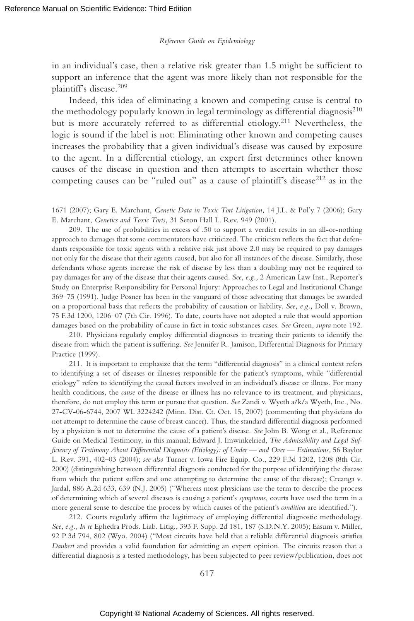in an individual's case, then a relative risk greater than 1.5 might be sufficient to support an inference that the agent was more likely than not responsible for the plaintiff's disease.209

Indeed, this idea of eliminating a known and competing cause is central to the methodology popularly known in legal terminology as differential diagnosis $^{210}$ but is more accurately referred to as differential etiology.<sup>211</sup> Nevertheless, the logic is sound if the label is not: Eliminating other known and competing causes increases the probability that a given individual's disease was caused by exposure to the agent. In a differential etiology, an expert first determines other known causes of the disease in question and then attempts to ascertain whether those competing causes can be "ruled out" as a cause of plaintiff's disease<sup>212</sup> as in the

1671 (2007); Gary E. Marchant, *Genetic Data in Toxic Tort Litigation,* 14 J.L. & Pol'y 7 (2006); Gary E. Marchant, *Genetics and Toxic Torts,* 31 Seton Hall L. Rev. 949 (2001).

209. The use of probabilities in excess of .50 to support a verdict results in an all-or-nothing approach to damages that some commentators have criticized. The criticism reflects the fact that defendants responsible for toxic agents with a relative risk just above 2.0 may be required to pay damages not only for the disease that their agents caused, but also for all instances of the disease. Similarly, those defendants whose agents increase the risk of disease by less than a doubling may not be required to pay damages for any of the disease that their agents caused. *See, e.g.,* 2 American Law Inst., Reporter's Study on Enterprise Responsibility for Personal Injury: Approaches to Legal and Institutional Change 369–75 (1991). Judge Posner has been in the vanguard of those advocating that damages be awarded on a proportional basis that reflects the probability of causation or liability. *See, e.g.,* Doll v. Brown, 75 F.3d 1200, 1206–07 (7th Cir. 1996). To date, courts have not adopted a rule that would apportion damages based on the probability of cause in fact in toxic substances cases. *See* Green, *supra* note 192.

210. Physicians regularly employ differential diagnoses in treating their patients to identify the disease from which the patient is suffering. *See* Jennifer R. Jamison, Differential Diagnosis for Primary Practice (1999).

211. It is important to emphasize that the term "differential diagnosis" in a clinical context refers to identifying a set of diseases or illnesses responsible for the patient's symptoms, while "differential etiology" refers to identifying the causal factors involved in an individual's disease or illness. For many health conditions, the *cause* of the disease or illness has no relevance to its treatment, and physicians, therefore, do not employ this term or pursue that question. *See* Zandi v. Wyeth a/k/a Wyeth, Inc., No. 27-CV-06-6744, 2007 WL 3224242 (Minn. Dist. Ct. Oct. 15, 2007) (commenting that physicians do not attempt to determine the cause of breast cancer). Thus, the standard differential diagnosis performed by a physician is not to determine the cause of a patient's disease. *See* John B. Wong et al., Reference Guide on Medical Testimony, in this manual; Edward J. Imwinkelried, *The Admissibility and Legal Sufficiency of Testimony About Differential Diagnosis (Etiology): of Under — and Over — Estimations,* 56 Baylor L. Rev. 391, 402–03 (2004); *see also* Turner v. Iowa Fire Equip. Co., 229 F.3d 1202, 1208 (8th Cir. 2000) (distinguishing between differential diagnosis conducted for the purpose of identifying the disease from which the patient suffers and one attempting to determine the cause of the disease); Creanga v. Jardal, 886 A.2d 633, 639 (N.J. 2005) ("Whereas most physicians use the term to describe the process of determining which of several diseases is causing a patient's *symptoms*, courts have used the term in a more general sense to describe the process by which causes of the patient's *condition* are identified.").

212. Courts regularly affirm the legitimacy of employing differential diagnostic methodology. *See, e.g., In re* Ephedra Prods. Liab. Litig., 393 F. Supp. 2d 181, 187 (S.D.N.Y. 2005); Easum v. Miller, 92 P.3d 794, 802 (Wyo. 2004) ("Most circuits have held that a reliable differential diagnosis satisfies *Daubert* and provides a valid foundation for admitting an expert opinion. The circuits reason that a differential diagnosis is a tested methodology, has been subjected to peer review/publication, does not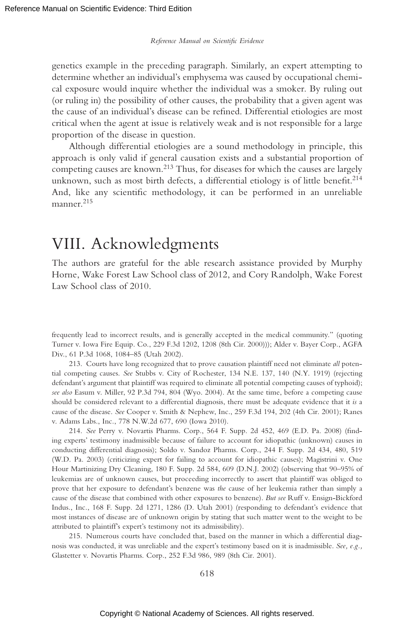genetics example in the preceding paragraph. Similarly, an expert attempting to determine whether an individual's emphysema was caused by occupational chemical exposure would inquire whether the individual was a smoker. By ruling out (or ruling in) the possibility of other causes, the probability that a given agent was the cause of an individual's disease can be refined. Differential etiologies are most critical when the agent at issue is relatively weak and is not responsible for a large proportion of the disease in question.

Although differential etiologies are a sound methodology in principle, this approach is only valid if general causation exists and a substantial proportion of competing causes are known.213 Thus, for diseases for which the causes are largely unknown, such as most birth defects, a differential etiology is of little benefit.<sup>214</sup> And, like any scientific methodology, it can be performed in an unreliable manner.<sup>215</sup>

# VIII. Acknowledgments

The authors are grateful for the able research assistance provided by Murphy Horne, Wake Forest Law School class of 2012, and Cory Randolph, Wake Forest Law School class of 2010.

frequently lead to incorrect results, and is generally accepted in the medical community." (quoting Turner v. Iowa Fire Equip. Co., 229 F.3d 1202, 1208 (8th Cir. 2000))); Alder v. Bayer Corp., AGFA Div., 61 P.3d 1068, 1084–85 (Utah 2002).

213. Courts have long recognized that to prove causation plaintiff need not eliminate *all* potential competing causes. *See* Stubbs v. City of Rochester, 134 N.E. 137, 140 (N.Y. 1919) (rejecting defendant's argument that plaintiff was required to eliminate all potential competing causes of typhoid); *see also* Easum v. Miller, 92 P.3d 794, 804 (Wyo. 2004). At the same time, before a competing cause should be considered relevant to a differential diagnosis, there must be adequate evidence that it *is* a cause of the disease. *See* Cooper v. Smith & Nephew, Inc., 259 F.3d 194, 202 (4th Cir. 2001); Ranes v. Adams Labs., Inc., 778 N.W.2d 677, 690 (Iowa 2010).

214. *See* Perry v. Novartis Pharms. Corp., 564 F. Supp. 2d 452, 469 (E.D. Pa. 2008) (finding experts' testimony inadmissible because of failure to account for idiopathic (unknown) causes in conducting differential diagnosis); Soldo v. Sandoz Pharms. Corp., 244 F. Supp. 2d 434, 480, 519 (W.D. Pa. 2003) (criticizing expert for failing to account for idiopathic causes); Magistrini v. One Hour Martinizing Dry Cleaning, 180 F. Supp. 2d 584, 609 (D.N.J. 2002) (observing that 90–95% of leukemias are of unknown causes, but proceeding incorrectly to assert that plaintiff was obliged to prove that her exposure to defendant's benzene was *the* cause of her leukemia rather than simply a cause of the disease that combined with other exposures to benzene). *But see* Ruff v. Ensign-Bickford Indus., Inc., 168 F. Supp. 2d 1271, 1286 (D. Utah 2001) (responding to defendant's evidence that most instances of disease are of unknown origin by stating that such matter went to the weight to be attributed to plaintiff's expert's testimony not its admissibility).

215. Numerous courts have concluded that, based on the manner in which a differential diagnosis was conducted, it was unreliable and the expert's testimony based on it is inadmissible. *See, e.g.,*  Glastetter v. Novartis Pharms. Corp., 252 F.3d 986, 989 (8th Cir. 2001).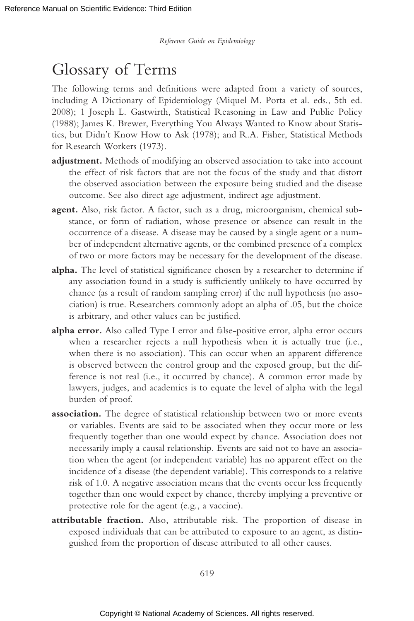# Glossary of Terms

The following terms and definitions were adapted from a variety of sources, including A Dictionary of Epidemiology (Miquel M. Porta et al. eds., 5th ed. 2008); 1 Joseph L. Gastwirth, Statistical Reasoning in Law and Public Policy (1988); James K. Brewer, Everything You Always Wanted to Know about Statistics, but Didn't Know How to Ask (1978); and R.A. Fisher, Statistical Methods for Research Workers (1973).

- **adjustment.** Methods of modifying an observed association to take into account the effect of risk factors that are not the focus of the study and that distort the observed association between the exposure being studied and the disease outcome. See also direct age adjustment, indirect age adjustment.
- **agent.** Also, risk factor. A factor, such as a drug, microorganism, chemical substance, or form of radiation, whose presence or absence can result in the occurrence of a disease. A disease may be caused by a single agent or a number of independent alternative agents, or the combined presence of a complex of two or more factors may be necessary for the development of the disease.
- **alpha.** The level of statistical significance chosen by a researcher to determine if any association found in a study is sufficiently unlikely to have occurred by chance (as a result of random sampling error) if the null hypothesis (no association) is true. Researchers commonly adopt an alpha of .05, but the choice is arbitrary, and other values can be justified.
- **alpha error.** Also called Type I error and false-positive error, alpha error occurs when a researcher rejects a null hypothesis when it is actually true (i.e., when there is no association). This can occur when an apparent difference is observed between the control group and the exposed group, but the difference is not real (i.e., it occurred by chance). A common error made by lawyers, judges, and academics is to equate the level of alpha with the legal burden of proof.
- **association.** The degree of statistical relationship between two or more events or variables. Events are said to be associated when they occur more or less frequently together than one would expect by chance. Association does not necessarily imply a causal relationship. Events are said not to have an association when the agent (or independent variable) has no apparent effect on the incidence of a disease (the dependent variable). This corresponds to a relative risk of 1.0. A negative association means that the events occur less frequently together than one would expect by chance, thereby implying a preventive or protective role for the agent (e.g., a vaccine).
- **attributable fraction.** Also, attributable risk. The proportion of disease in exposed individuals that can be attributed to exposure to an agent, as distinguished from the proportion of disease attributed to all other causes.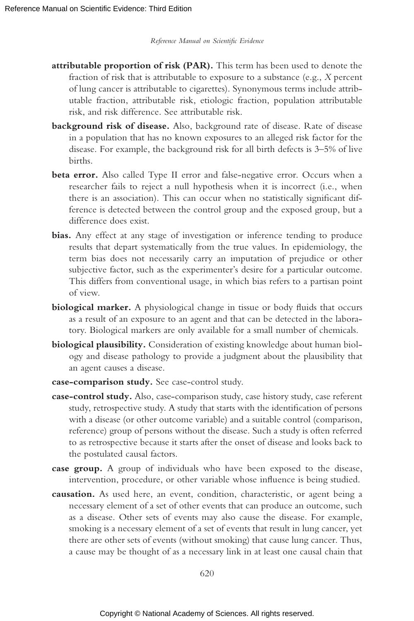- **attributable proportion of risk (PAR).** This term has been used to denote the fraction of risk that is attributable to exposure to a substance (e.g., *X* percent of lung cancer is attributable to cigarettes). Synonymous terms include attributable fraction, attributable risk, etiologic fraction, population attributable risk, and risk difference. See attributable risk.
- **background risk of disease.** Also, background rate of disease. Rate of disease in a population that has no known exposures to an alleged risk factor for the disease. For example, the background risk for all birth defects is 3–5% of live births.
- **beta error.** Also called Type II error and false-negative error. Occurs when a researcher fails to reject a null hypothesis when it is incorrect (i.e., when there is an association). This can occur when no statistically significant difference is detected between the control group and the exposed group, but a difference does exist.
- **bias.** Any effect at any stage of investigation or inference tending to produce results that depart systematically from the true values. In epidemiology, the term bias does not necessarily carry an imputation of prejudice or other subjective factor, such as the experimenter's desire for a particular outcome. This differs from conventional usage, in which bias refers to a partisan point of view.
- **biological marker.** A physiological change in tissue or body fluids that occurs as a result of an exposure to an agent and that can be detected in the laboratory. Biological markers are only available for a small number of chemicals.
- **biological plausibility.** Consideration of existing knowledge about human biology and disease pathology to provide a judgment about the plausibility that an agent causes a disease.
- **case-comparison study.** See case-control study.
- **case-control study.** Also, case-comparison study, case history study, case referent study, retrospective study. A study that starts with the identification of persons with a disease (or other outcome variable) and a suitable control (comparison, reference) group of persons without the disease. Such a study is often referred to as retrospective because it starts after the onset of disease and looks back to the postulated causal factors.
- **case group.** A group of individuals who have been exposed to the disease, intervention, procedure, or other variable whose influence is being studied.
- **causation.** As used here, an event, condition, characteristic, or agent being a necessary element of a set of other events that can produce an outcome, such as a disease. Other sets of events may also cause the disease. For example, smoking is a necessary element of a set of events that result in lung cancer, yet there are other sets of events (without smoking) that cause lung cancer. Thus, a cause may be thought of as a necessary link in at least one causal chain that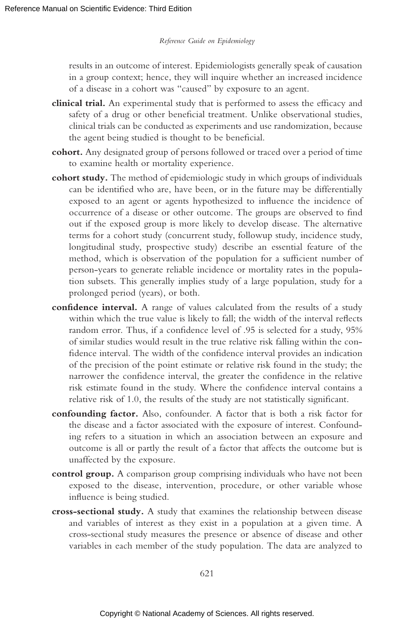results in an outcome of interest. Epidemiologists generally speak of causation in a group context; hence, they will inquire whether an increased incidence of a disease in a cohort was "caused" by exposure to an agent.

- **clinical trial.** An experimental study that is performed to assess the efficacy and safety of a drug or other beneficial treatment. Unlike observational studies, clinical trials can be conducted as experiments and use randomization, because the agent being studied is thought to be beneficial.
- **cohort.** Any designated group of persons followed or traced over a period of time to examine health or mortality experience.
- **cohort study.** The method of epidemiologic study in which groups of individuals can be identified who are, have been, or in the future may be differentially exposed to an agent or agents hypothesized to influence the incidence of occurrence of a disease or other outcome. The groups are observed to find out if the exposed group is more likely to develop disease. The alternative terms for a cohort study (concurrent study, followup study, incidence study, longitudinal study, prospective study) describe an essential feature of the method, which is observation of the population for a sufficient number of person-years to generate reliable incidence or mortality rates in the population subsets. This generally implies study of a large population, study for a prolonged period (years), or both.
- **confidence interval.** A range of values calculated from the results of a study within which the true value is likely to fall; the width of the interval reflects random error. Thus, if a confidence level of .95 is selected for a study, 95% of similar studies would result in the true relative risk falling within the confidence interval. The width of the confidence interval provides an indication of the precision of the point estimate or relative risk found in the study; the narrower the confidence interval, the greater the confidence in the relative risk estimate found in the study. Where the confidence interval contains a relative risk of 1.0, the results of the study are not statistically significant.
- **confounding factor.** Also, confounder. A factor that is both a risk factor for the disease and a factor associated with the exposure of interest. Confounding refers to a situation in which an association between an exposure and outcome is all or partly the result of a factor that affects the outcome but is unaffected by the exposure.
- **control group.** A comparison group comprising individuals who have not been exposed to the disease, intervention, procedure, or other variable whose influence is being studied.
- **cross-sectional study.** A study that examines the relationship between disease and variables of interest as they exist in a population at a given time. A cross-sectional study measures the presence or absence of disease and other variables in each member of the study population. The data are analyzed to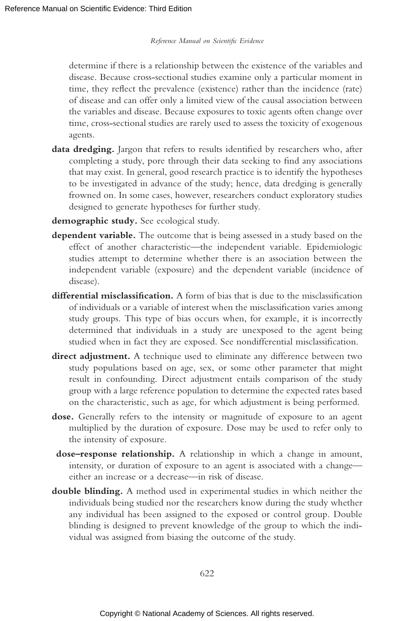#### *Reference Manual on Scientific Evidence*

determine if there is a relationship between the existence of the variables and disease. Because cross-sectional studies examine only a particular moment in time, they reflect the prevalence (existence) rather than the incidence (rate) of disease and can offer only a limited view of the causal association between the variables and disease. Because exposures to toxic agents often change over time, cross-sectional studies are rarely used to assess the toxicity of exogenous agents.

**data dredging.** Jargon that refers to results identified by researchers who, after completing a study, pore through their data seeking to find any associations that may exist. In general, good research practice is to identify the hypotheses to be investigated in advance of the study; hence, data dredging is generally frowned on. In some cases, however, researchers conduct exploratory studies designed to generate hypotheses for further study.

**demographic study.** See ecological study.

- **dependent variable.** The outcome that is being assessed in a study based on the effect of another characteristic—the independent variable. Epidemiologic studies attempt to determine whether there is an association between the independent variable (exposure) and the dependent variable (incidence of disease).
- **differential misclassification.** A form of bias that is due to the misclassification of individuals or a variable of interest when the misclassification varies among study groups. This type of bias occurs when, for example, it is incorrectly determined that individuals in a study are unexposed to the agent being studied when in fact they are exposed. See nondifferential misclassification.
- **direct adjustment.** A technique used to eliminate any difference between two study populations based on age, sex, or some other parameter that might result in confounding. Direct adjustment entails comparison of the study group with a large reference population to determine the expected rates based on the characteristic, such as age, for which adjustment is being performed.
- **dose.** Generally refers to the intensity or magnitude of exposure to an agent multiplied by the duration of exposure. Dose may be used to refer only to the intensity of exposure.
- **dose–response relationship.** A relationship in which a change in amount, intensity, or duration of exposure to an agent is associated with a change either an increase or a decrease—in risk of disease.
- **double blinding.** A method used in experimental studies in which neither the individuals being studied nor the researchers know during the study whether any individual has been assigned to the exposed or control group. Double blinding is designed to prevent knowledge of the group to which the individual was assigned from biasing the outcome of the study.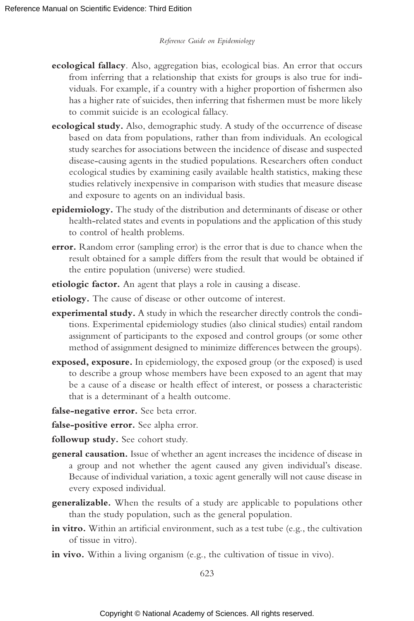- **ecological fallacy**. Also, aggregation bias, ecological bias. An error that occurs from inferring that a relationship that exists for groups is also true for individuals. For example, if a country with a higher proportion of fishermen also has a higher rate of suicides, then inferring that fishermen must be more likely to commit suicide is an ecological fallacy.
- **ecological study.** Also, demographic study. A study of the occurrence of disease based on data from populations, rather than from individuals. An ecological study searches for associations between the incidence of disease and suspected disease-causing agents in the studied populations. Researchers often conduct ecological studies by examining easily available health statistics, making these studies relatively inexpensive in comparison with studies that measure disease and exposure to agents on an individual basis.
- **epidemiology.** The study of the distribution and determinants of disease or other health-related states and events in populations and the application of this study to control of health problems.
- **error.** Random error (sampling error) is the error that is due to chance when the result obtained for a sample differs from the result that would be obtained if the entire population (universe) were studied.
- **etiologic factor.** An agent that plays a role in causing a disease.
- **etiology.** The cause of disease or other outcome of interest.
- **experimental study.** A study in which the researcher directly controls the conditions. Experimental epidemiology studies (also clinical studies) entail random assignment of participants to the exposed and control groups (or some other method of assignment designed to minimize differences between the groups).
- **exposed, exposure.** In epidemiology, the exposed group (or the exposed) is used to describe a group whose members have been exposed to an agent that may be a cause of a disease or health effect of interest, or possess a characteristic that is a determinant of a health outcome.

**false-negative error.** See beta error.

**false-positive error.** See alpha error.

**followup study.** See cohort study.

- **general causation.** Issue of whether an agent increases the incidence of disease in a group and not whether the agent caused any given individual's disease. Because of individual variation, a toxic agent generally will not cause disease in every exposed individual.
- **generalizable.** When the results of a study are applicable to populations other than the study population, such as the general population.
- **in vitro.** Within an artificial environment, such as a test tube (e.g., the cultivation of tissue in vitro).
- **in vivo.** Within a living organism (e.g., the cultivation of tissue in vivo).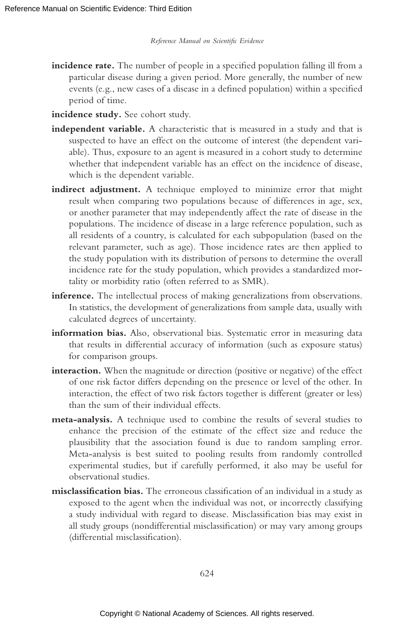- **incidence rate.** The number of people in a specified population falling ill from a particular disease during a given period. More generally, the number of new events (e.g., new cases of a disease in a defined population) within a specified period of time.
- **incidence study.** See cohort study.
- **independent variable.** A characteristic that is measured in a study and that is suspected to have an effect on the outcome of interest (the dependent variable). Thus, exposure to an agent is measured in a cohort study to determine whether that independent variable has an effect on the incidence of disease, which is the dependent variable.
- **indirect adjustment.** A technique employed to minimize error that might result when comparing two populations because of differences in age, sex, or another parameter that may independently affect the rate of disease in the populations. The incidence of disease in a large reference population, such as all residents of a country, is calculated for each subpopulation (based on the relevant parameter, such as age). Those incidence rates are then applied to the study population with its distribution of persons to determine the overall incidence rate for the study population, which provides a standardized mortality or morbidity ratio (often referred to as SMR).
- **inference.** The intellectual process of making generalizations from observations. In statistics, the development of generalizations from sample data, usually with calculated degrees of uncertainty.
- **information bias.** Also, observational bias. Systematic error in measuring data that results in differential accuracy of information (such as exposure status) for comparison groups.
- **interaction.** When the magnitude or direction (positive or negative) of the effect of one risk factor differs depending on the presence or level of the other. In interaction, the effect of two risk factors together is different (greater or less) than the sum of their individual effects.
- **meta-analysis.** A technique used to combine the results of several studies to enhance the precision of the estimate of the effect size and reduce the plausibility that the association found is due to random sampling error. Meta-analysis is best suited to pooling results from randomly controlled experimental studies, but if carefully performed, it also may be useful for observational studies.
- **misclassification bias.** The erroneous classification of an individual in a study as exposed to the agent when the individual was not, or incorrectly classifying a study individual with regard to disease. Misclassification bias may exist in all study groups (nondifferential misclassification) or may vary among groups (differential misclassification).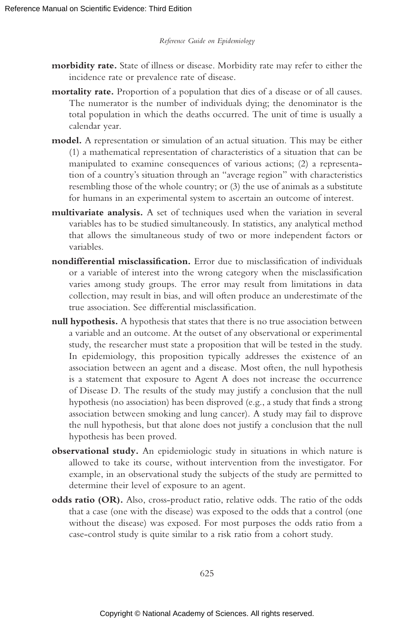- **morbidity rate.** State of illness or disease. Morbidity rate may refer to either the incidence rate or prevalence rate of disease.
- **mortality rate.** Proportion of a population that dies of a disease or of all causes. The numerator is the number of individuals dying; the denominator is the total population in which the deaths occurred. The unit of time is usually a calendar year.
- **model.** A representation or simulation of an actual situation. This may be either (1) a mathematical representation of characteristics of a situation that can be manipulated to examine consequences of various actions; (2) a representation of a country's situation through an "average region" with characteristics resembling those of the whole country; or (3) the use of animals as a substitute for humans in an experimental system to ascertain an outcome of interest.
- **multivariate analysis.** A set of techniques used when the variation in several variables has to be studied simultaneously. In statistics, any analytical method that allows the simultaneous study of two or more independent factors or variables.
- **nondifferential misclassification.** Error due to misclassification of individuals or a variable of interest into the wrong category when the misclassification varies among study groups. The error may result from limitations in data collection, may result in bias, and will often produce an underestimate of the true association. See differential misclassification.
- **null hypothesis.** A hypothesis that states that there is no true association between a variable and an outcome. At the outset of any observational or experimental study, the researcher must state a proposition that will be tested in the study. In epidemiology, this proposition typically addresses the existence of an association between an agent and a disease. Most often, the null hypothesis is a statement that exposure to Agent A does not increase the occurrence of Disease D. The results of the study may justify a conclusion that the null hypothesis (no association) has been disproved (e.g., a study that finds a strong association between smoking and lung cancer). A study may fail to disprove the null hypothesis, but that alone does not justify a conclusion that the null hypothesis has been proved.
- **observational study.** An epidemiologic study in situations in which nature is allowed to take its course, without intervention from the investigator. For example, in an observational study the subjects of the study are permitted to determine their level of exposure to an agent.
- **odds ratio (OR).** Also, cross-product ratio, relative odds. The ratio of the odds that a case (one with the disease) was exposed to the odds that a control (one without the disease) was exposed. For most purposes the odds ratio from a case-control study is quite similar to a risk ratio from a cohort study.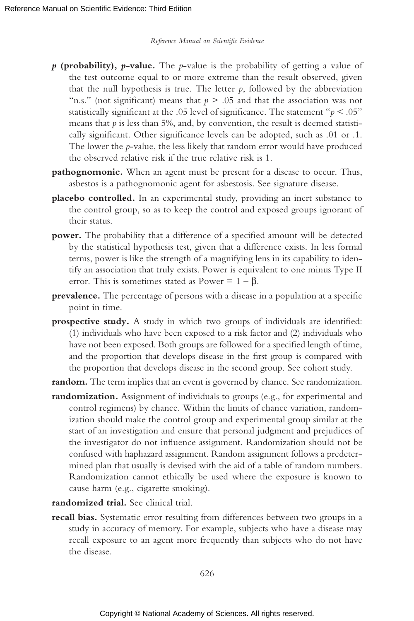- *p* **(probability),** *p***-value.** The *p*-value is the probability of getting a value of the test outcome equal to or more extreme than the result observed, given that the null hypothesis is true. The letter  $p$ , followed by the abbreviation "n.s." (not significant) means that  $p > 0.05$  and that the association was not statistically significant at the .05 level of significance. The statement " $p < .05$ " means that *p* is less than 5%, and, by convention, the result is deemed statistically significant. Other significance levels can be adopted, such as .01 or .1. The lower the *p*-value, the less likely that random error would have produced the observed relative risk if the true relative risk is 1.
- **pathognomonic.** When an agent must be present for a disease to occur. Thus, asbestos is a pathognomonic agent for asbestosis. See signature disease.
- **placebo controlled.** In an experimental study, providing an inert substance to the control group, so as to keep the control and exposed groups ignorant of their status.
- **power.** The probability that a difference of a specified amount will be detected by the statistical hypothesis test, given that a difference exists. In less formal terms, power is like the strength of a magnifying lens in its capability to identify an association that truly exists. Power is equivalent to one minus Type II error. This is sometimes stated as Power  $= 1 - \beta$ .
- **prevalence.** The percentage of persons with a disease in a population at a specific point in time.
- **prospective study.** A study in which two groups of individuals are identified: (1) individuals who have been exposed to a risk factor and (2) individuals who have not been exposed. Both groups are followed for a specified length of time, and the proportion that develops disease in the first group is compared with the proportion that develops disease in the second group. See cohort study.
- **random.** The term implies that an event is governed by chance. See randomization.
- **randomization.** Assignment of individuals to groups (e.g., for experimental and control regimens) by chance. Within the limits of chance variation, randomization should make the control group and experimental group similar at the start of an investigation and ensure that personal judgment and prejudices of the investigator do not influence assignment. Randomization should not be confused with haphazard assignment. Random assignment follows a predetermined plan that usually is devised with the aid of a table of random numbers. Randomization cannot ethically be used where the exposure is known to cause harm (e.g., cigarette smoking).
- **randomized trial.** See clinical trial.
- **recall bias.** Systematic error resulting from differences between two groups in a study in accuracy of memory. For example, subjects who have a disease may recall exposure to an agent more frequently than subjects who do not have the disease.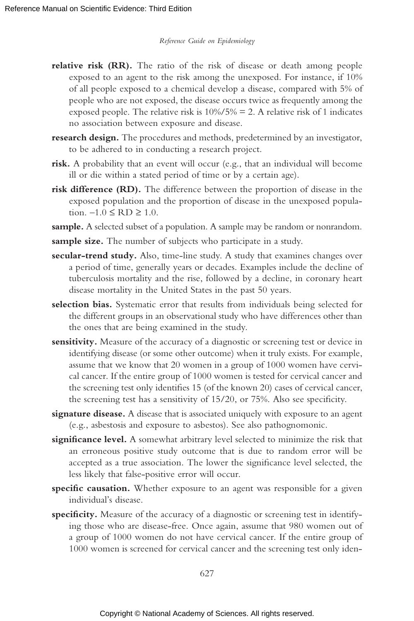- **relative risk (RR).** The ratio of the risk of disease or death among people exposed to an agent to the risk among the unexposed. For instance, if 10% of all people exposed to a chemical develop a disease, compared with 5% of people who are not exposed, the disease occurs twice as frequently among the exposed people. The relative risk is  $10\%/5\% = 2$ . A relative risk of 1 indicates no association between exposure and disease.
- **research design.** The procedures and methods, predetermined by an investigator, to be adhered to in conducting a research project.
- **risk.** A probability that an event will occur (e.g., that an individual will become ill or die within a stated period of time or by a certain age).
- **risk difference (RD).** The difference between the proportion of disease in the exposed population and the proportion of disease in the unexposed population.  $-1.0 \leq R$ D $\geq 1.0$ .
- **sample.** A selected subset of a population. A sample may be random or nonrandom.
- **sample size.** The number of subjects who participate in a study.
- **secular-trend study.** Also, time-line study. A study that examines changes over a period of time, generally years or decades. Examples include the decline of tuberculosis mortality and the rise, followed by a decline, in coronary heart disease mortality in the United States in the past 50 years.
- **selection bias.** Systematic error that results from individuals being selected for the different groups in an observational study who have differences other than the ones that are being examined in the study.
- **sensitivity.** Measure of the accuracy of a diagnostic or screening test or device in identifying disease (or some other outcome) when it truly exists. For example, assume that we know that 20 women in a group of 1000 women have cervical cancer. If the entire group of 1000 women is tested for cervical cancer and the screening test only identifies 15 (of the known 20) cases of cervical cancer, the screening test has a sensitivity of 15/20, or 75%. Also see specificity.
- **signature disease.** A disease that is associated uniquely with exposure to an agent (e.g., asbestosis and exposure to asbestos). See also pathognomonic.
- **significance level.** A somewhat arbitrary level selected to minimize the risk that an erroneous positive study outcome that is due to random error will be accepted as a true association. The lower the significance level selected, the less likely that false-positive error will occur.
- **specific causation.** Whether exposure to an agent was responsible for a given individual's disease.
- **specificity.** Measure of the accuracy of a diagnostic or screening test in identifying those who are disease-free. Once again, assume that 980 women out of a group of 1000 women do not have cervical cancer. If the entire group of 1000 women is screened for cervical cancer and the screening test only iden-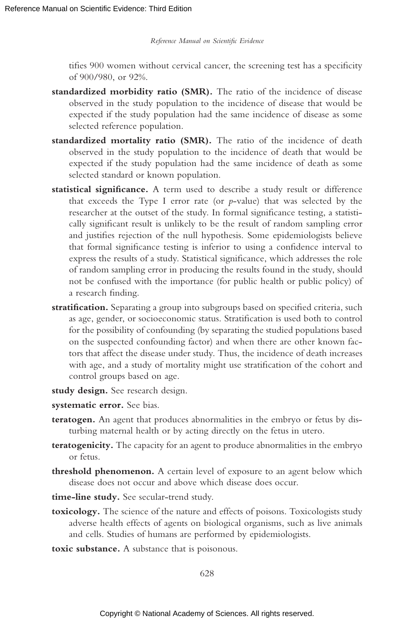tifies 900 women without cervical cancer, the screening test has a specificity of 900/980, or 92%.

- **standardized morbidity ratio (SMR).** The ratio of the incidence of disease observed in the study population to the incidence of disease that would be expected if the study population had the same incidence of disease as some selected reference population.
- **standardized mortality ratio (SMR).** The ratio of the incidence of death observed in the study population to the incidence of death that would be expected if the study population had the same incidence of death as some selected standard or known population.
- **statistical significance.** A term used to describe a study result or difference that exceeds the Type I error rate (or *p*-value) that was selected by the researcher at the outset of the study. In formal significance testing, a statistically significant result is unlikely to be the result of random sampling error and justifies rejection of the null hypothesis. Some epidemiologists believe that formal significance testing is inferior to using a confidence interval to express the results of a study. Statistical significance, which addresses the role of random sampling error in producing the results found in the study, should not be confused with the importance (for public health or public policy) of a research finding.
- **stratification.** Separating a group into subgroups based on specified criteria, such as age, gender, or socioeconomic status. Stratification is used both to control for the possibility of confounding (by separating the studied populations based on the suspected confounding factor) and when there are other known factors that affect the disease under study. Thus, the incidence of death increases with age, and a study of mortality might use stratification of the cohort and control groups based on age.
- **study design.** See research design.
- **systematic error.** See bias.
- **teratogen.** An agent that produces abnormalities in the embryo or fetus by disturbing maternal health or by acting directly on the fetus in utero.
- **teratogenicity.** The capacity for an agent to produce abnormalities in the embryo or fetus.
- **threshold phenomenon.** A certain level of exposure to an agent below which disease does not occur and above which disease does occur.
- **time-line study.** See secular-trend study.
- **toxicology.** The science of the nature and effects of poisons. Toxicologists study adverse health effects of agents on biological organisms, such as live animals and cells. Studies of humans are performed by epidemiologists.
- **toxic substance.** A substance that is poisonous.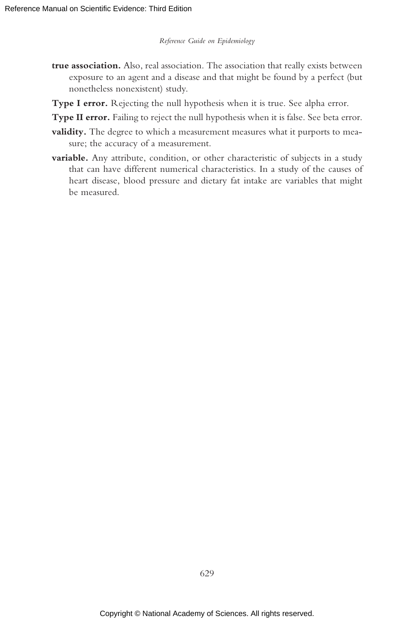- **true association.** Also, real association. The association that really exists between exposure to an agent and a disease and that might be found by a perfect (but nonetheless nonexistent) study.
- **Type I error.** Rejecting the null hypothesis when it is true. See alpha error.
- **Type II error.** Failing to reject the null hypothesis when it is false. See beta error.
- validity. The degree to which a measurement measures what it purports to measure; the accuracy of a measurement.
- **variable.** Any attribute, condition, or other characteristic of subjects in a study that can have different numerical characteristics. In a study of the causes of heart disease, blood pressure and dietary fat intake are variables that might be measured.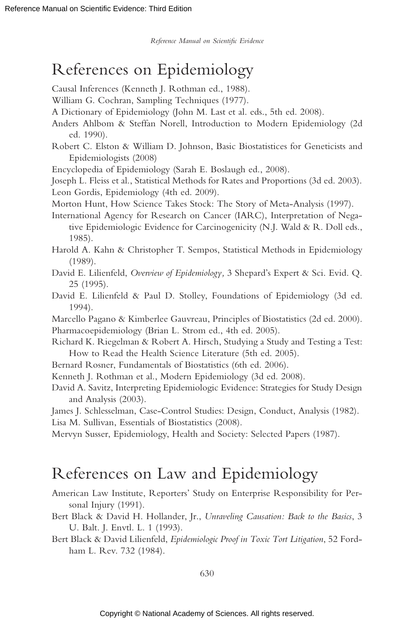# References on Epidemiology

Causal Inferences (Kenneth J. Rothman ed., 1988).

- William G. Cochran, Sampling Techniques (1977).
- A Dictionary of Epidemiology (John M. Last et al. eds., 5th ed. 2008).
- Anders Ahlbom & Steffan Norell, Introduction to Modern Epidemiology (2d ed. 1990).
- Robert C. Elston & William D. Johnson, Basic Biostatistices for Geneticists and Epidemiologists (2008)

Encyclopedia of Epidemiology (Sarah E. Boslaugh ed., 2008).

Joseph L. Fleiss et al., Statistical Methods for Rates and Proportions (3d ed. 2003). Leon Gordis, Epidemiology (4th ed. 2009).

Morton Hunt, How Science Takes Stock: The Story of Meta-Analysis (1997).

International Agency for Research on Cancer (IARC), Interpretation of Negative Epidemiologic Evidence for Carcinogenicity (N.J. Wald & R. Doll eds., 1985).

- Harold A. Kahn & Christopher T. Sempos, Statistical Methods in Epidemiology (1989).
- David E. Lilienfeld, *Overview of Epidemiology,* 3 Shepard's Expert & Sci. Evid. Q. 25 (1995).
- David E. Lilienfeld & Paul D. Stolley, Foundations of Epidemiology (3d ed. 1994).

Marcello Pagano & Kimberlee Gauvreau, Principles of Biostatistics (2d ed. 2000). Pharmacoepidemiology (Brian L. Strom ed., 4th ed. 2005).

- Richard K. Riegelman & Robert A. Hirsch, Studying a Study and Testing a Test: How to Read the Health Science Literature (5th ed. 2005).
- Bernard Rosner, Fundamentals of Biostatistics (6th ed. 2006).

Kenneth J. Rothman et al., Modern Epidemiology (3d ed. 2008).

David A. Savitz, Interpreting Epidemiologic Evidence: Strategies for Study Design and Analysis (2003).

James J. Schlesselman, Case-Control Studies: Design, Conduct, Analysis (1982). Lisa M. Sullivan, Essentials of Biostatistics (2008).

Mervyn Susser, Epidemiology, Health and Society: Selected Papers (1987).

## References on Law and Epidemiology

American Law Institute, Reporters' Study on Enterprise Responsibility for Personal Injury (1991).

- Bert Black & David H. Hollander, Jr., *Unraveling Causation: Back to the Basics*, 3 U. Balt. J. Envtl. L. 1 (1993).
- Bert Black & David Lilienfeld, *Epidemiologic Proof in Toxic Tort Litigation*, 52 Fordham L. Rev. 732 (1984).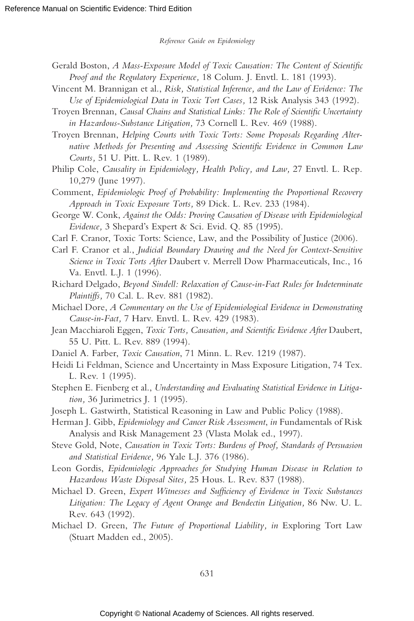- Gerald Boston, *A Mass-Exposure Model of Toxic Causation: The Content of Scientific Proof and the Regulatory Experience,* 18 Colum. J. Envtl. L. 181 (1993).
- Vincent M. Brannigan et al., *Risk, Statistical Inference, and the Law of Evidence: The Use of Epidemiological Data in Toxic Tort Cases,* 12 Risk Analysis 343 (1992).
- Troyen Brennan, *Causal Chains and Statistical Links: The Role of Scientific Uncertainty in Hazardous-Substance Litigation,* 73 Cornell L. Rev. 469 (1988).
- Troyen Brennan, *Helping Courts with Toxic Torts: Some Proposals Regarding Alternative Methods for Presenting and Assessing Scientific Evidence in Common Law Courts,* 51 U. Pitt. L. Rev. 1 (1989).
- Philip Cole, *Causality in Epidemiology, Health Policy, and Law,* 27 Envtl. L. Rep. 10,279 (June 1997).
- Comment, *Epidemiologic Proof of Probability: Implementing the Proportional Recovery Approach in Toxic Exposure Torts,* 89 Dick. L. Rev. 233 (1984).
- George W. Conk, *Against the Odds: Proving Causation of Disease with Epidemiological Evidence,* 3 Shepard's Expert & Sci. Evid. Q. 85 (1995).
- Carl F. Cranor, Toxic Torts: Science, Law, and the Possibility of Justice (2006).
- Carl F. Cranor et al., *Judicial Boundary Drawing and the Need for Context-Sensitive Science in Toxic Torts After* Daubert v. Merrell Dow Pharmaceuticals, Inc., 16 Va. Envtl. L.J. 1 (1996).
- Richard Delgado, *Beyond Sindell: Relaxation of Cause-in-Fact Rules for Indeterminate Plaintiffs,* 70 Cal. L. Rev. 881 (1982).
- Michael Dore, *A Commentary on the Use of Epidemiological Evidence in Demonstrating Cause-in-Fact,* 7 Harv. Envtl. L. Rev. 429 (1983).
- Jean Macchiaroli Eggen, *Toxic Torts, Causation, and Scientific Evidence After* Daubert, 55 U. Pitt. L. Rev. 889 (1994).
- Daniel A. Farber, *Toxic Causation*, 71 Minn. L. Rev. 1219 (1987).
- Heidi Li Feldman, Science and Uncertainty in Mass Exposure Litigation, 74 Tex. L. Rev. 1 (1995).
- Stephen E. Fienberg et al., *Understanding and Evaluating Statistical Evidence in Litigation,* 36 Jurimetrics J. 1 (1995).
- Joseph L. Gastwirth, Statistical Reasoning in Law and Public Policy (1988).
- Herman J. Gibb, *Epidemiology and Cancer Risk Assessment*, *in* Fundamentals of Risk Analysis and Risk Management 23 (Vlasta Molak ed., 1997).
- Steve Gold, Note, *Causation in Toxic Torts: Burdens of Proof, Standards of Persuasion and Statistical Evidence,* 96 Yale L.J. 376 (1986).
- Leon Gordis, *Epidemiologic Approaches for Studying Human Disease in Relation to Hazardous Waste Disposal Sites,* 25 Hous. L. Rev. 837 (1988).
- Michael D. Green, *Expert Witnesses and Sufficiency of Evidence in Toxic Substances Litigation: The Legacy of Agent Orange and Bendectin Litigation,* 86 Nw. U. L. Rev. 643 (1992).
- Michael D. Green, *The Future of Proportional Liability, in* Exploring Tort Law (Stuart Madden ed., 2005).